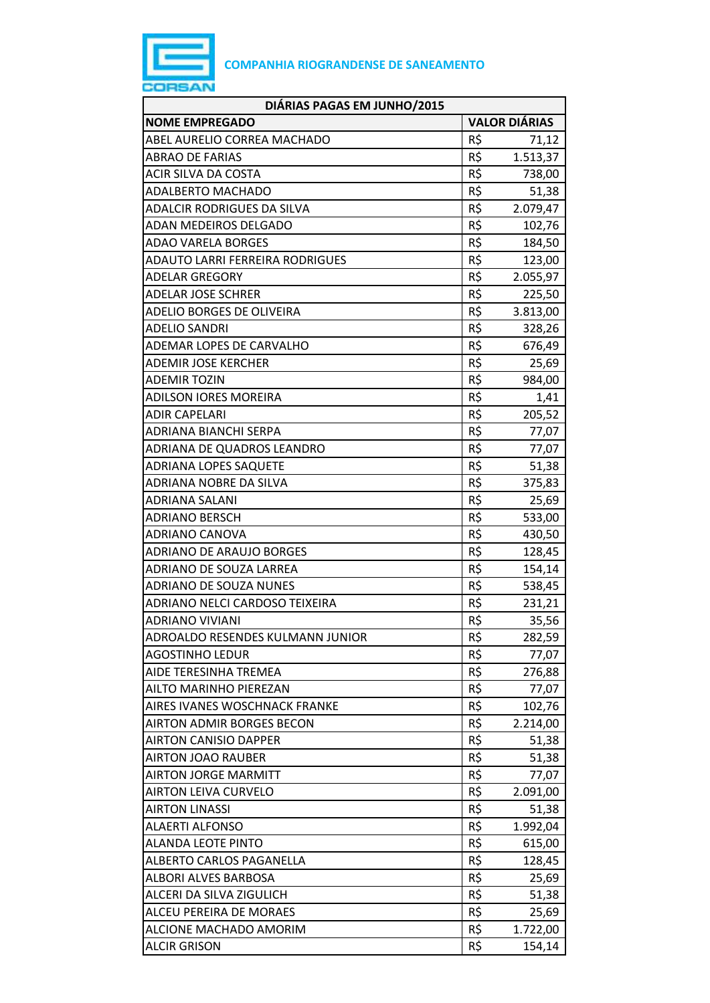

| DIÁRIAS PAGAS EM JUNHO/2015            |                      |          |
|----------------------------------------|----------------------|----------|
| <b>NOME EMPREGADO</b>                  | <b>VALOR DIÁRIAS</b> |          |
| ABEL AURELIO CORREA MACHADO            | R\$                  | 71,12    |
| <b>ABRAO DE FARIAS</b>                 | R\$                  | 1.513,37 |
| ACIR SILVA DA COSTA                    | R\$                  | 738,00   |
| <b>ADALBERTO MACHADO</b>               | R\$                  | 51,38    |
| ADALCIR RODRIGUES DA SILVA             | R\$                  | 2.079,47 |
| <b>ADAN MEDEIROS DELGADO</b>           | R\$                  | 102,76   |
| <b>ADAO VARELA BORGES</b>              | R\$                  | 184,50   |
| <b>ADAUTO LARRI FERREIRA RODRIGUES</b> | R\$                  | 123,00   |
| <b>ADELAR GREGORY</b>                  | R\$                  | 2.055,97 |
| <b>ADELAR JOSE SCHRER</b>              | R\$                  | 225,50   |
| ADELIO BORGES DE OLIVEIRA              | R\$                  | 3.813,00 |
| <b>ADELIO SANDRI</b>                   | R\$                  | 328,26   |
| ADEMAR LOPES DE CARVALHO               | R\$                  | 676,49   |
| <b>ADEMIR JOSE KERCHER</b>             | R\$                  | 25,69    |
| <b>ADEMIR TOZIN</b>                    | R\$                  | 984,00   |
| <b>ADILSON IORES MOREIRA</b>           | R\$                  | 1,41     |
| <b>ADIR CAPELARI</b>                   | R\$                  | 205,52   |
| ADRIANA BIANCHI SERPA                  | R\$                  | 77,07    |
| ADRIANA DE QUADROS LEANDRO             | R\$                  | 77,07    |
| <b>ADRIANA LOPES SAQUETE</b>           | R\$                  | 51,38    |
| ADRIANA NOBRE DA SILVA                 | R\$                  | 375,83   |
| ADRIANA SALANI                         | R\$                  | 25,69    |
| ADRIANO BERSCH                         | R\$                  | 533,00   |
| ADRIANO CANOVA                         | R\$                  | 430,50   |
| ADRIANO DE ARAUJO BORGES               | R\$                  | 128,45   |
| ADRIANO DE SOUZA LARREA                | R\$                  | 154,14   |
| <b>ADRIANO DE SOUZA NUNES</b>          | R\$                  | 538,45   |
| ADRIANO NELCI CARDOSO TEIXEIRA         | R\$                  | 231,21   |
| <b>ADRIANO VIVIANI</b>                 | R\$                  | 35,56    |
| ADROALDO RESENDES KULMANN JUNIOR       | R\$                  | 282,59   |
| <b>AGOSTINHO LEDUR</b>                 | R\$                  | 77,07    |
| AIDE TERESINHA TREMEA                  | R\$                  | 276,88   |
| AILTO MARINHO PIEREZAN                 | R\$                  | 77,07    |
| AIRES IVANES WOSCHNACK FRANKE          | R\$                  | 102,76   |
| <b>AIRTON ADMIR BORGES BECON</b>       | R\$                  | 2.214,00 |
| <b>AIRTON CANISIO DAPPER</b>           | R\$                  | 51,38    |
| <b>AIRTON JOAO RAUBER</b>              | R\$                  | 51,38    |
| <b>AIRTON JORGE MARMITT</b>            | R\$                  | 77,07    |
| <b>AIRTON LEIVA CURVELO</b>            | R\$                  | 2.091,00 |
| <b>AIRTON LINASSI</b>                  | R\$                  | 51,38    |
| <b>ALAERTI ALFONSO</b>                 | R\$                  | 1.992,04 |
| <b>ALANDA LEOTE PINTO</b>              | R\$                  | 615,00   |
| <b>ALBERTO CARLOS PAGANELLA</b>        | R\$                  | 128,45   |
| ALBORI ALVES BARBOSA                   | R\$                  | 25,69    |
| ALCERI DA SILVA ZIGULICH               | R\$                  | 51,38    |
| ALCEU PEREIRA DE MORAES                | R\$                  | 25,69    |
| ALCIONE MACHADO AMORIM                 | R\$                  | 1.722,00 |
| <b>ALCIR GRISON</b>                    | R\$                  | 154,14   |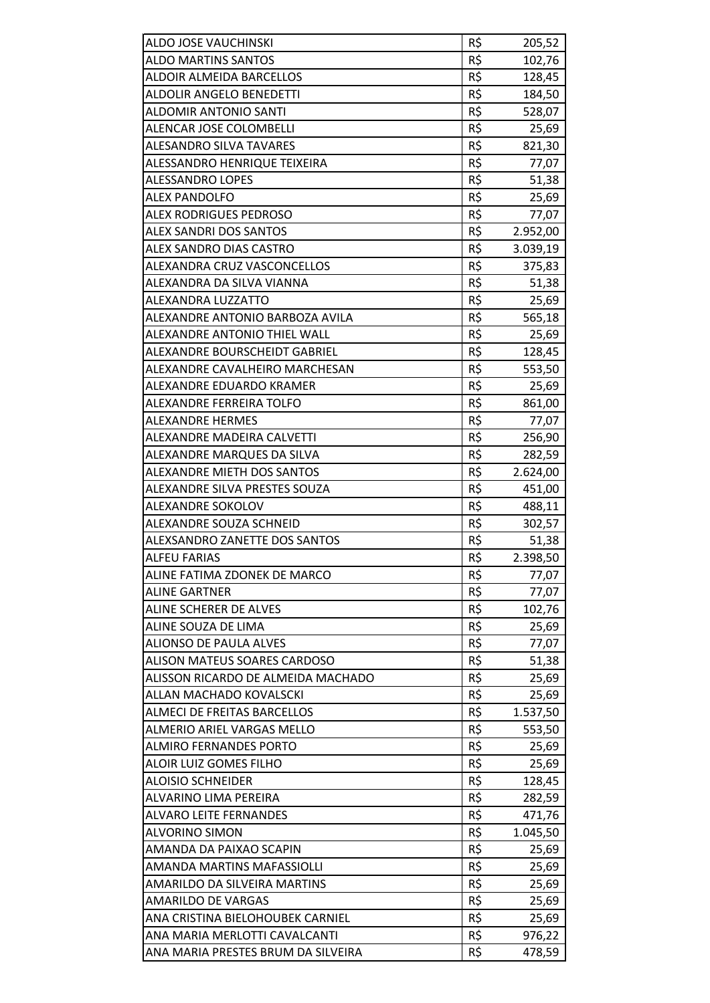| ALDO JOSE VAUCHINSKI               | R\$ | 205,52   |
|------------------------------------|-----|----------|
| <b>ALDO MARTINS SANTOS</b>         | R\$ | 102,76   |
| <b>ALDOIR ALMEIDA BARCELLOS</b>    | R\$ | 128,45   |
| ALDOLIR ANGELO BENEDETTI           | R\$ | 184,50   |
| <b>ALDOMIR ANTONIO SANTI</b>       | R\$ | 528,07   |
| ALENCAR JOSE COLOMBELLI            | R\$ | 25,69    |
| <b>ALESANDRO SILVA TAVARES</b>     | R\$ | 821,30   |
| ALESSANDRO HENRIQUE TEIXEIRA       | R\$ | 77,07    |
| <b>ALESSANDRO LOPES</b>            | R\$ | 51,38    |
| <b>ALEX PANDOLFO</b>               | R\$ | 25,69    |
| <b>ALEX RODRIGUES PEDROSO</b>      | R\$ | 77,07    |
| ALEX SANDRI DOS SANTOS             | R\$ | 2.952,00 |
| ALEX SANDRO DIAS CASTRO            | R\$ | 3.039,19 |
| ALEXANDRA CRUZ VASCONCELLOS        | R\$ | 375,83   |
| ALEXANDRA DA SILVA VIANNA          | R\$ | 51,38    |
| ALEXANDRA LUZZATTO                 | R\$ | 25,69    |
| ALEXANDRE ANTONIO BARBOZA AVILA    | R\$ | 565,18   |
| ALEXANDRE ANTONIO THIEL WALL       | R\$ | 25,69    |
| ALEXANDRE BOURSCHEIDT GABRIEL      | R\$ | 128,45   |
| ALEXANDRE CAVALHEIRO MARCHESAN     | R\$ | 553,50   |
| ALEXANDRE EDUARDO KRAMER           | R\$ | 25,69    |
| ALEXANDRE FERREIRA TOLFO           | R\$ | 861,00   |
| <b>ALEXANDRE HERMES</b>            | R\$ | 77,07    |
| ALEXANDRE MADEIRA CALVETTI         | R\$ | 256,90   |
| ALEXANDRE MARQUES DA SILVA         | R\$ | 282,59   |
| ALEXANDRE MIETH DOS SANTOS         | R\$ | 2.624,00 |
| ALEXANDRE SILVA PRESTES SOUZA      | R\$ | 451,00   |
| ALEXANDRE SOKOLOV                  | R\$ | 488,11   |
| ALEXANDRE SOUZA SCHNEID            | R\$ | 302,57   |
| ALEXSANDRO ZANETTE DOS SANTOS      | R\$ | 51,38    |
| <b>ALFEU FARIAS</b>                | R\$ | 2.398,50 |
| ALINE FATIMA ZDONEK DE MARCO       | R\$ | 77,07    |
| <b>ALINE GARTNER</b>               | R\$ | 77,07    |
| ALINE SCHERER DE ALVES             | R\$ | 102,76   |
| ALINE SOUZA DE LIMA                | R\$ | 25,69    |
| <b>ALIONSO DE PAULA ALVES</b>      | R\$ | 77,07    |
| ALISON MATEUS SOARES CARDOSO       | R\$ | 51,38    |
| ALISSON RICARDO DE ALMEIDA MACHADO | R\$ | 25,69    |
| ALLAN MACHADO KOVALSCKI            | R\$ | 25,69    |
| ALMECI DE FREITAS BARCELLOS        | R\$ | 1.537,50 |
| ALMERIO ARIEL VARGAS MELLO         | R\$ | 553,50   |
| ALMIRO FERNANDES PORTO             | R\$ | 25,69    |
| <b>ALOIR LUIZ GOMES FILHO</b>      | R\$ | 25,69    |
| <b>ALOISIO SCHNEIDER</b>           | R\$ | 128,45   |
| ALVARINO LIMA PEREIRA              | R\$ | 282,59   |
| <b>ALVARO LEITE FERNANDES</b>      | R\$ | 471,76   |
| <b>ALVORINO SIMON</b>              | R\$ | 1.045,50 |
| AMANDA DA PAIXAO SCAPIN            | R\$ | 25,69    |
| AMANDA MARTINS MAFASSIOLLI         | R\$ | 25,69    |
| AMARILDO DA SILVEIRA MARTINS       | R\$ | 25,69    |
| AMARILDO DE VARGAS                 | R\$ | 25,69    |
| ANA CRISTINA BIELOHOUBEK CARNIEL   | R\$ | 25,69    |
| ANA MARIA MERLOTTI CAVALCANTI      | R\$ | 976,22   |
| ANA MARIA PRESTES BRUM DA SILVEIRA | R\$ | 478,59   |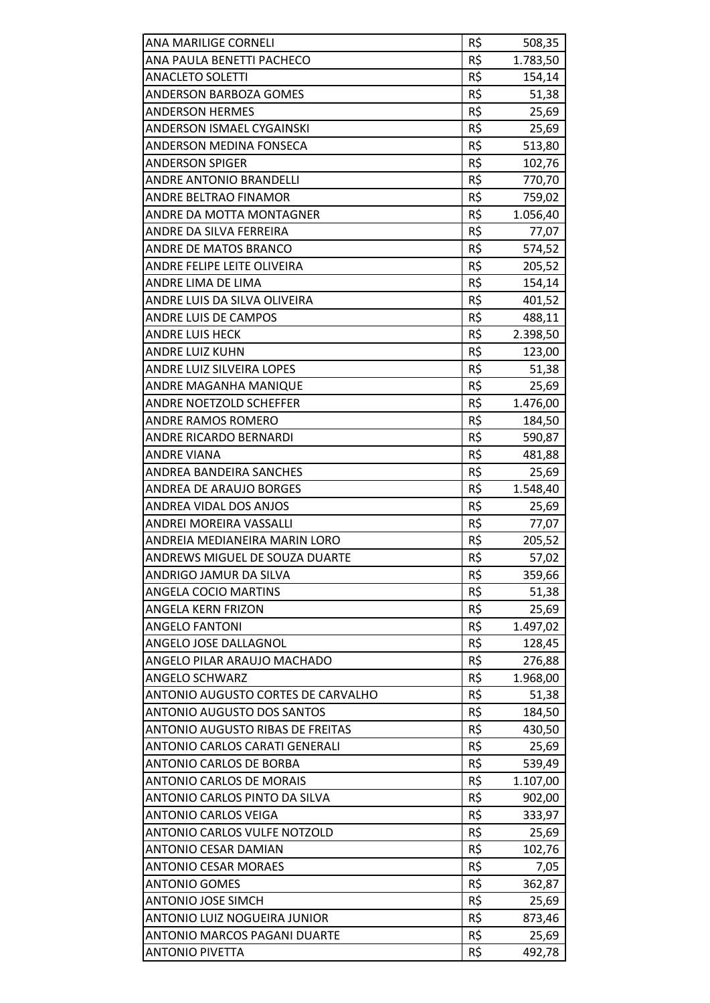| ANA MARILIGE CORNELI               | R\$ | 508,35             |
|------------------------------------|-----|--------------------|
| ANA PAULA BENETTI PACHECO          | R\$ | 1.783,50           |
| <b>ANACLETO SOLETTI</b>            | R\$ | 154,14             |
| ANDERSON BARBOZA GOMES             | R\$ | 51,38              |
| <b>ANDERSON HERMES</b>             | R\$ | 25,69              |
| ANDERSON ISMAEL CYGAINSKI          | R\$ | 25,69              |
| ANDERSON MEDINA FONSECA            | R\$ | 513,80             |
| <b>ANDERSON SPIGER</b>             | R\$ | 102,76             |
| ANDRE ANTONIO BRANDELLI            | R\$ | 770,70             |
| <b>ANDRE BELTRAO FINAMOR</b>       | R\$ | 759,02             |
| ANDRE DA MOTTA MONTAGNER           | R\$ | 1.056,40           |
| ANDRE DA SILVA FERREIRA            | R\$ | 77,07              |
| <b>ANDRE DE MATOS BRANCO</b>       | R\$ | 574,52             |
| ANDRE FELIPE LEITE OLIVEIRA        | R\$ | 205,52             |
| ANDRE LIMA DE LIMA                 | R\$ | 154,14             |
| ANDRE LUIS DA SILVA OLIVEIRA       | R\$ | 401,52             |
| <b>ANDRE LUIS DE CAMPOS</b>        | R\$ | 488,11             |
| <b>ANDRE LUIS HECK</b>             | R\$ | 2.398,50           |
| <b>ANDRE LUIZ KUHN</b>             | R\$ | 123,00             |
| ANDRE LUIZ SILVEIRA LOPES          | R\$ | 51,38              |
| ANDRE MAGANHA MANIQUE              | R\$ | 25,69              |
| ANDRE NOETZOLD SCHEFFER            | R\$ | 1.476,00           |
| <b>ANDRE RAMOS ROMERO</b>          | R\$ | 184,50             |
| ANDRE RICARDO BERNARDI             | R\$ | 590,87             |
| ANDRE VIANA                        | R\$ | 481,88             |
| ANDREA BANDEIRA SANCHES            | R\$ | 25,69              |
| ANDREA DE ARAUJO BORGES            | R\$ | 1.548,40           |
| ANDREA VIDAL DOS ANJOS             | R\$ |                    |
| <b>ANDREI MOREIRA VASSALLI</b>     | R\$ | 25,69              |
| ANDREIA MEDIANEIRA MARIN LORO      | R\$ | 77,07              |
| ANDREWS MIGUEL DE SOUZA DUARTE     | R\$ | 205,52<br>57,02    |
| ANDRIGO JAMUR DA SILVA             | R\$ | 359,66             |
| <b>ANGELA COCIO MARTINS</b>        | R\$ | 51,38              |
| ANGELA KERN FRIZON                 | R\$ | 25,69              |
| <b>ANGELO FANTONI</b>              | R\$ | 1.497,02           |
| ANGELO JOSE DALLAGNOL              | R\$ | 128,45             |
| ANGELO PILAR ARAUJO MACHADO        | R\$ | 276,88             |
| ANGELO SCHWARZ                     | R\$ | 1.968,00           |
| ANTONIO AUGUSTO CORTES DE CARVALHO | R\$ | 51,38              |
| <b>ANTONIO AUGUSTO DOS SANTOS</b>  | R\$ | 184,50             |
| ANTONIO AUGUSTO RIBAS DE FREITAS   | R\$ | 430,50             |
| ANTONIO CARLOS CARATI GENERALI     | R\$ | 25,69              |
| ANTONIO CARLOS DE BORBA            | R\$ |                    |
| <b>ANTONIO CARLOS DE MORAIS</b>    | R\$ | 539,49<br>1.107,00 |
| ANTONIO CARLOS PINTO DA SILVA      | R\$ | 902,00             |
| <b>ANTONIO CARLOS VEIGA</b>        | R\$ |                    |
| ANTONIO CARLOS VULFE NOTZOLD       | R\$ | 333,97<br>25,69    |
| ANTONIO CESAR DAMIAN               | R\$ | 102,76             |
| <b>ANTONIO CESAR MORAES</b>        | R\$ |                    |
| <b>ANTONIO GOMES</b>               | R\$ | 7,05               |
| <b>ANTONIO JOSE SIMCH</b>          | R\$ | 362,87<br>25,69    |
| ANTONIO LUIZ NOGUEIRA JUNIOR       | R\$ | 873,46             |
| ANTONIO MARCOS PAGANI DUARTE       | R\$ | 25,69              |
| <b>ANTONIO PIVETTA</b>             | R\$ | 492,78             |
|                                    |     |                    |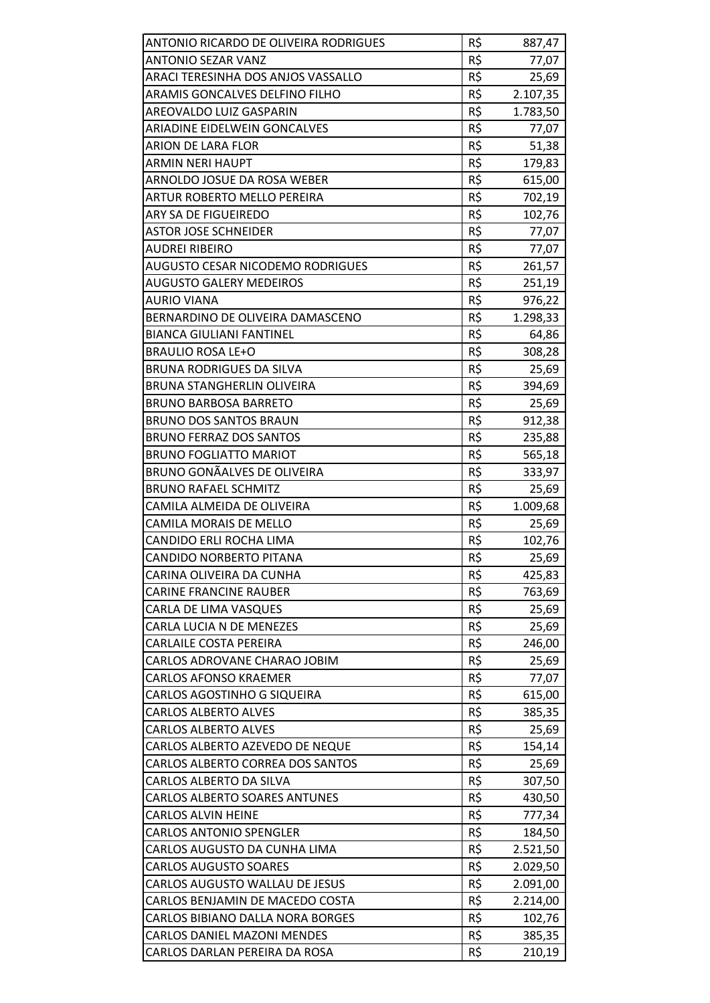| ANTONIO RICARDO DE OLIVEIRA RODRIGUES | R\$             | 887,47   |
|---------------------------------------|-----------------|----------|
| <b>ANTONIO SEZAR VANZ</b>             | R\$             | 77,07    |
| ARACI TERESINHA DOS ANJOS VASSALLO    | R\$             | 25,69    |
| ARAMIS GONCALVES DELFINO FILHO        | $R\overline{S}$ | 2.107,35 |
| <b>AREOVALDO LUIZ GASPARIN</b>        | R\$             | 1.783,50 |
| ARIADINE EIDELWEIN GONCALVES          | R\$             | 77,07    |
| ARION DE LARA FLOR                    | R\$             | 51,38    |
| <b>ARMIN NERI HAUPT</b>               | R\$             | 179,83   |
| ARNOLDO JOSUE DA ROSA WEBER           | R\$             | 615,00   |
| ARTUR ROBERTO MELLO PEREIRA           | R\$             | 702,19   |
| ARY SA DE FIGUEIREDO                  | R\$             | 102,76   |
| <b>ASTOR JOSE SCHNEIDER</b>           | R\$             | 77,07    |
| <b>AUDREI RIBEIRO</b>                 | R\$             | 77,07    |
| AUGUSTO CESAR NICODEMO RODRIGUES      | R\$             | 261,57   |
| <b>AUGUSTO GALERY MEDEIROS</b>        | R\$             | 251,19   |
| <b>AURIO VIANA</b>                    | R\$             | 976,22   |
| BERNARDINO DE OLIVEIRA DAMASCENO      | R\$             | 1.298,33 |
| <b>BIANCA GIULIANI FANTINEL</b>       | R\$             | 64,86    |
| <b>BRAULIO ROSA LE+O</b>              | R\$             | 308,28   |
| <b>BRUNA RODRIGUES DA SILVA</b>       | R\$             | 25,69    |
| BRUNA STANGHERLIN OLIVEIRA            | R\$             | 394,69   |
| <b>BRUNO BARBOSA BARRETO</b>          | R\$             | 25,69    |
| <b>BRUNO DOS SANTOS BRAUN</b>         | R\$             | 912,38   |
| <b>BRUNO FERRAZ DOS SANTOS</b>        | R\$             | 235,88   |
| <b>BRUNO FOGLIATTO MARIOT</b>         | R\$             | 565,18   |
| BRUNO GONÃALVES DE OLIVEIRA           | R\$             | 333,97   |
| <b>BRUNO RAFAEL SCHMITZ</b>           | R\$             | 25,69    |
| CAMILA ALMEIDA DE OLIVEIRA            | R\$             | 1.009,68 |
| <b>CAMILA MORAIS DE MELLO</b>         | R\$             | 25,69    |
| CANDIDO ERLI ROCHA LIMA               | R\$             | 102,76   |
| CANDIDO NORBERTO PITANA               | R\$             | 25,69    |
| CARINA OLIVEIRA DA CUNHA              | R\$             | 425,83   |
| <b>CARINE FRANCINE RAUBER</b>         | R\$             | 763,69   |
| CARLA DE LIMA VASQUES                 | R\$             | 25,69    |
| CARLA LUCIA N DE MENEZES              | R\$             | 25,69    |
| <b>CARLAILE COSTA PEREIRA</b>         | R\$             | 246,00   |
| CARLOS ADROVANE CHARAO JOBIM          | R\$             | 25,69    |
| CARLOS AFONSO KRAEMER                 | R\$             | 77,07    |
| CARLOS AGOSTINHO G SIQUEIRA           | R\$             | 615,00   |
| <b>CARLOS ALBERTO ALVES</b>           | R\$             | 385,35   |
| <b>CARLOS ALBERTO ALVES</b>           | R\$             | 25,69    |
| CARLOS ALBERTO AZEVEDO DE NEQUE       | R\$             | 154,14   |
| CARLOS ALBERTO CORREA DOS SANTOS      | R\$             | 25,69    |
| CARLOS ALBERTO DA SILVA               | R\$             | 307,50   |
| CARLOS ALBERTO SOARES ANTUNES         | R\$             | 430,50   |
| <b>CARLOS ALVIN HEINE</b>             | R\$             | 777,34   |
| <b>CARLOS ANTONIO SPENGLER</b>        | R\$             | 184,50   |
| CARLOS AUGUSTO DA CUNHA LIMA          | R\$             | 2.521,50 |
| <b>CARLOS AUGUSTO SOARES</b>          | R\$             | 2.029,50 |
| CARLOS AUGUSTO WALLAU DE JESUS        | R\$             | 2.091,00 |
| CARLOS BENJAMIN DE MACEDO COSTA       | R\$             | 2.214,00 |
| CARLOS BIBIANO DALLA NORA BORGES      | R\$             | 102,76   |
| <b>CARLOS DANIEL MAZONI MENDES</b>    | R\$             | 385,35   |
| CARLOS DARLAN PEREIRA DA ROSA         | R\$             | 210,19   |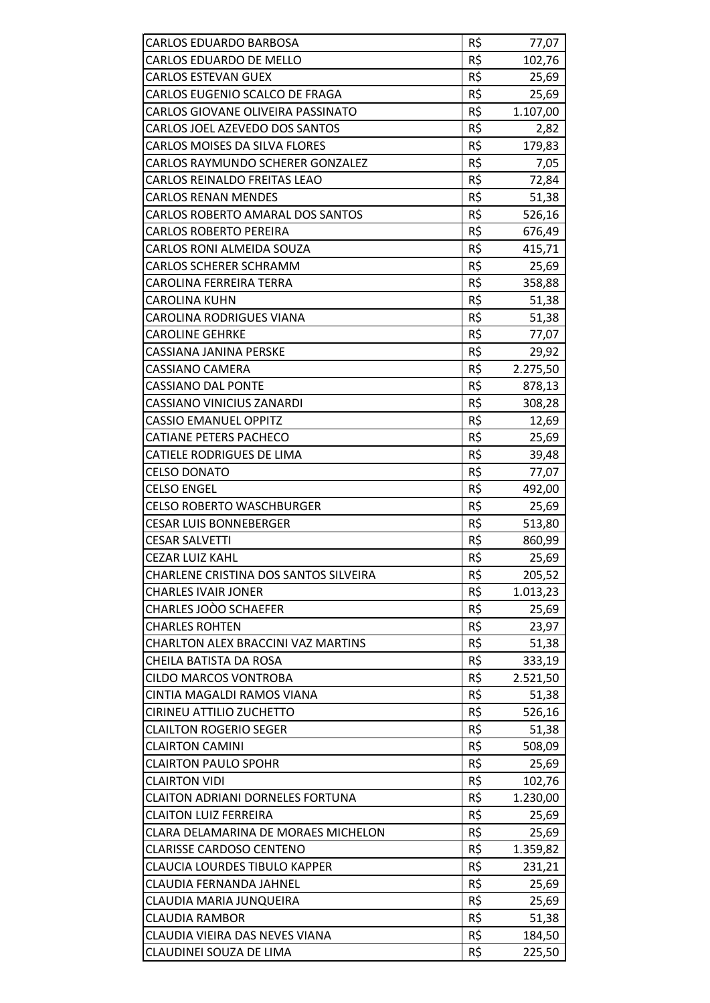| <b>CARLOS EDUARDO BARBOSA</b>             | R\$ | 77,07    |
|-------------------------------------------|-----|----------|
| CARLOS EDUARDO DE MELLO                   | R\$ | 102,76   |
| <b>CARLOS ESTEVAN GUEX</b>                | R\$ | 25,69    |
| CARLOS EUGENIO SCALCO DE FRAGA            | R\$ | 25,69    |
| CARLOS GIOVANE OLIVEIRA PASSINATO         | R\$ | 1.107,00 |
| CARLOS JOEL AZEVEDO DOS SANTOS            | R\$ | 2,82     |
| <b>CARLOS MOISES DA SILVA FLORES</b>      | R\$ | 179,83   |
| CARLOS RAYMUNDO SCHERER GONZALEZ          | R\$ | 7,05     |
| CARLOS REINALDO FREITAS LEAO              | R\$ | 72,84    |
| <b>CARLOS RENAN MENDES</b>                | R\$ | 51,38    |
| CARLOS ROBERTO AMARAL DOS SANTOS          | R\$ | 526,16   |
| <b>CARLOS ROBERTO PEREIRA</b>             | R\$ | 676,49   |
| <b>CARLOS RONI ALMEIDA SOUZA</b>          | R\$ | 415,71   |
| <b>CARLOS SCHERER SCHRAMM</b>             | R\$ | 25,69    |
| CAROLINA FERREIRA TERRA                   | R\$ | 358,88   |
| <b>CAROLINA KUHN</b>                      | R\$ | 51,38    |
| <b>CAROLINA RODRIGUES VIANA</b>           | R\$ | 51,38    |
| <b>CAROLINE GEHRKE</b>                    | R\$ | 77,07    |
| <b>CASSIANA JANINA PERSKE</b>             | R\$ | 29,92    |
| <b>CASSIANO CAMERA</b>                    | R\$ | 2.275,50 |
| <b>CASSIANO DAL PONTE</b>                 | R\$ | 878,13   |
| <b>CASSIANO VINICIUS ZANARDI</b>          | R\$ | 308,28   |
| <b>CASSIO EMANUEL OPPITZ</b>              | R\$ | 12,69    |
| <b>CATIANE PETERS PACHECO</b>             | R\$ | 25,69    |
| CATIELE RODRIGUES DE LIMA                 | R\$ | 39,48    |
| <b>CELSO DONATO</b>                       | R\$ | 77,07    |
| <b>CELSO ENGEL</b>                        | R\$ | 492,00   |
| <b>CELSO ROBERTO WASCHBURGER</b>          | R\$ | 25,69    |
| <b>CESAR LUIS BONNEBERGER</b>             | R\$ | 513,80   |
| <b>CESAR SALVETTI</b>                     | R\$ | 860,99   |
| <b>CEZAR LUIZ KAHL</b>                    | R\$ | 25,69    |
| CHARLENE CRISTINA DOS SANTOS SILVEIRA     | R\$ | 205,52   |
| <b>CHARLES IVAIR JONER</b>                | R\$ | 1.013,23 |
| CHARLES JOOO SCHAEFER                     | R\$ | 25,69    |
| <b>CHARLES ROHTEN</b>                     | R\$ | 23,97    |
| <b>CHARLTON ALEX BRACCINI VAZ MARTINS</b> | R\$ | 51,38    |
| CHEILA BATISTA DA ROSA                    | R\$ | 333,19   |
| <b>CILDO MARCOS VONTROBA</b>              | R\$ | 2.521,50 |
| CINTIA MAGALDI RAMOS VIANA                | R\$ | 51,38    |
| <b>CIRINEU ATTILIO ZUCHETTO</b>           | R\$ | 526,16   |
| <b>CLAILTON ROGERIO SEGER</b>             | R\$ | 51,38    |
| <b>CLAIRTON CAMINI</b>                    | R\$ | 508,09   |
| <b>CLAIRTON PAULO SPOHR</b>               | R\$ | 25,69    |
| <b>CLAIRTON VIDI</b>                      | R\$ | 102,76   |
| <b>CLAITON ADRIANI DORNELES FORTUNA</b>   | R\$ | 1.230,00 |
| <b>CLAITON LUIZ FERREIRA</b>              | R\$ | 25,69    |
| CLARA DELAMARINA DE MORAES MICHELON       | R\$ | 25,69    |
| <b>CLARISSE CARDOSO CENTENO</b>           | R\$ | 1.359,82 |
| <b>CLAUCIA LOURDES TIBULO KAPPER</b>      | R\$ | 231,21   |
| <b>CLAUDIA FERNANDA JAHNEL</b>            | R\$ | 25,69    |
| CLAUDIA MARIA JUNQUEIRA                   | R\$ | 25,69    |
| <b>CLAUDIA RAMBOR</b>                     | R\$ | 51,38    |
| CLAUDIA VIEIRA DAS NEVES VIANA            | R\$ | 184,50   |
| CLAUDINEI SOUZA DE LIMA                   | R\$ | 225,50   |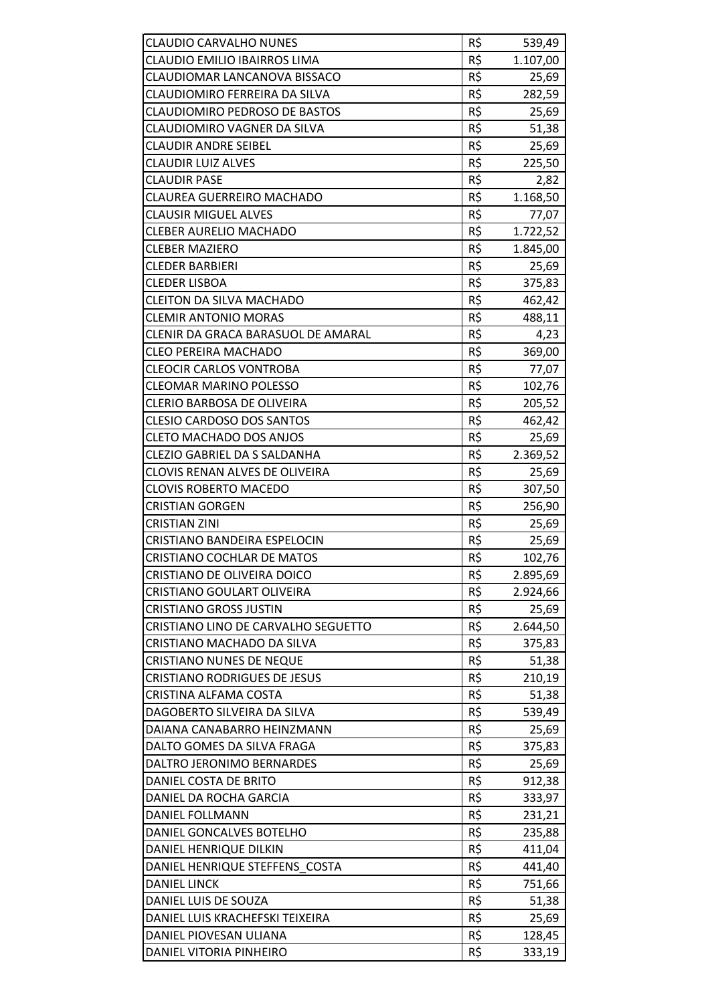| <b>CLAUDIO CARVALHO NUNES</b>        | R\$ | 539,49   |
|--------------------------------------|-----|----------|
| CLAUDIO EMILIO IBAIRROS LIMA         | R\$ | 1.107,00 |
| CLAUDIOMAR LANCANOVA BISSACO         | R\$ | 25,69    |
| CLAUDIOMIRO FERREIRA DA SILVA        | R\$ | 282,59   |
| <b>CLAUDIOMIRO PEDROSO DE BASTOS</b> | R\$ | 25,69    |
| CLAUDIOMIRO VAGNER DA SILVA          | R\$ | 51,38    |
| <b>CLAUDIR ANDRE SEIBEL</b>          | R\$ | 25,69    |
| <b>CLAUDIR LUIZ ALVES</b>            | R\$ | 225,50   |
| <b>CLAUDIR PASE</b>                  | R\$ | 2,82     |
| CLAUREA GUERREIRO MACHADO            | R\$ | 1.168,50 |
| <b>CLAUSIR MIGUEL ALVES</b>          | R\$ | 77,07    |
| <b>CLEBER AURELIO MACHADO</b>        | R\$ | 1.722,52 |
| <b>CLEBER MAZIERO</b>                | R\$ | 1.845,00 |
| <b>CLEDER BARBIERI</b>               | R\$ | 25,69    |
| <b>CLEDER LISBOA</b>                 | R\$ | 375,83   |
| <b>CLEITON DA SILVA MACHADO</b>      | R\$ | 462,42   |
| <b>CLEMIR ANTONIO MORAS</b>          | R\$ | 488,11   |
| CLENIR DA GRACA BARASUOL DE AMARAL   | R\$ | 4,23     |
| <b>CLEO PEREIRA MACHADO</b>          | R\$ | 369,00   |
| <b>CLEOCIR CARLOS VONTROBA</b>       | R\$ | 77,07    |
| <b>CLEOMAR MARINO POLESSO</b>        | R\$ | 102,76   |
| <b>CLERIO BARBOSA DE OLIVEIRA</b>    | R\$ | 205,52   |
| <b>CLESIO CARDOSO DOS SANTOS</b>     | R\$ | 462,42   |
| <b>CLETO MACHADO DOS ANJOS</b>       | R\$ | 25,69    |
| CLEZIO GABRIEL DA S SALDANHA         | R\$ | 2.369,52 |
| CLOVIS RENAN ALVES DE OLIVEIRA       | R\$ | 25,69    |
| <b>CLOVIS ROBERTO MACEDO</b>         | R\$ | 307,50   |
| <b>CRISTIAN GORGEN</b>               | R\$ | 256,90   |
| <b>CRISTIAN ZINI</b>                 | R\$ | 25,69    |
| CRISTIANO BANDEIRA ESPELOCIN         | R\$ | 25,69    |
| <b>CRISTIANO COCHLAR DE MATOS</b>    | R\$ | 102,76   |
| CRISTIANO DE OLIVEIRA DOICO          | R\$ | 2.895,69 |
| <b>CRISTIANO GOULART OLIVEIRA</b>    | R\$ | 2.924,66 |
| <b>CRISTIANO GROSS JUSTIN</b>        | R\$ | 25,69    |
| CRISTIANO LINO DE CARVALHO SEGUETTO  | R\$ | 2.644,50 |
| CRISTIANO MACHADO DA SILVA           | R\$ | 375,83   |
| <b>CRISTIANO NUNES DE NEQUE</b>      | R\$ | 51,38    |
| <b>CRISTIANO RODRIGUES DE JESUS</b>  | R\$ | 210,19   |
| CRISTINA ALFAMA COSTA                | R\$ | 51,38    |
| DAGOBERTO SILVEIRA DA SILVA          | R\$ | 539,49   |
| DAIANA CANABARRO HEINZMANN           | R\$ | 25,69    |
| DALTO GOMES DA SILVA FRAGA           | R\$ | 375,83   |
| DALTRO JERONIMO BERNARDES            | R\$ | 25,69    |
| DANIEL COSTA DE BRITO                | R\$ | 912,38   |
| DANIEL DA ROCHA GARCIA               | R\$ | 333,97   |
| DANIEL FOLLMANN                      | R\$ | 231,21   |
| DANIEL GONCALVES BOTELHO             | R\$ | 235,88   |
| DANIEL HENRIQUE DILKIN               | R\$ | 411,04   |
| DANIEL HENRIQUE STEFFENS COSTA       | R\$ | 441,40   |
| <b>DANIEL LINCK</b>                  | R\$ | 751,66   |
| DANIEL LUIS DE SOUZA                 | R\$ | 51,38    |
| DANIEL LUIS KRACHEFSKI TEIXEIRA      | R\$ | 25,69    |
| DANIEL PIOVESAN ULIANA               | R\$ | 128,45   |
| DANIEL VITORIA PINHEIRO              | R\$ | 333,19   |
|                                      |     |          |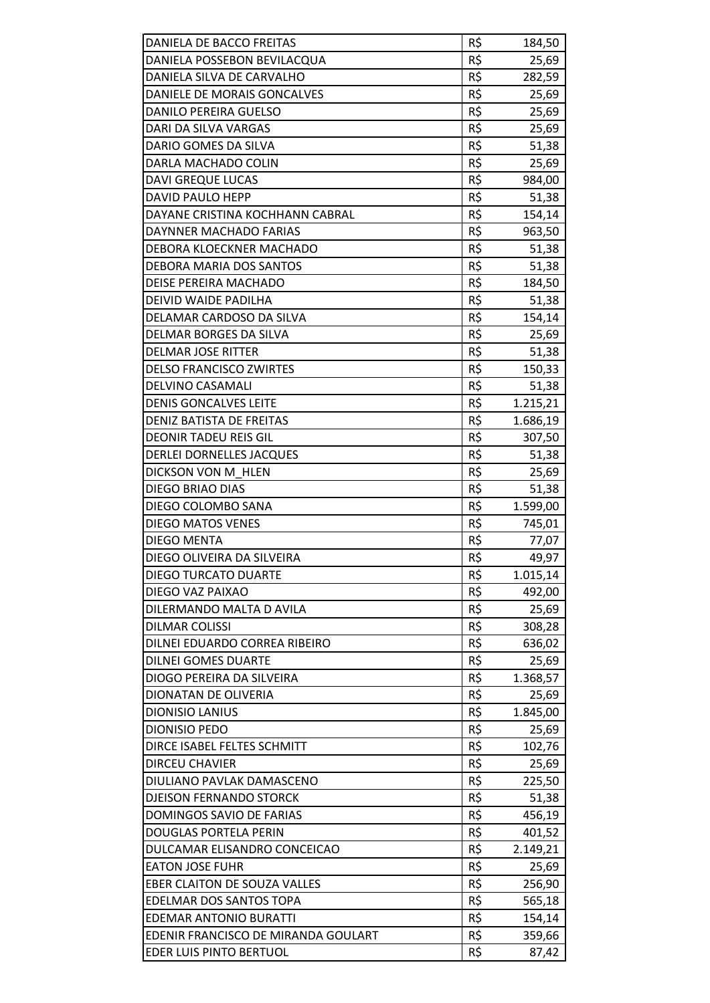| R\$<br>DANIELA POSSEBON BEVILACQUA<br>25,69<br>R\$<br>DANIELA SILVA DE CARVALHO<br>282,59<br>R\$<br>DANIELE DE MORAIS GONCALVES<br>25,69<br>R\$<br><b>DANILO PEREIRA GUELSO</b><br>25,69<br>DARI DA SILVA VARGAS<br>R\$<br>25,69<br>R\$<br>DARIO GOMES DA SILVA<br>51,38<br>DARLA MACHADO COLIN<br>R\$<br>25,69<br>R\$<br><b>DAVI GREQUE LUCAS</b><br>984,00<br>R\$<br><b>DAVID PAULO HEPP</b><br>51,38<br>DAYANE CRISTINA KOCHHANN CABRAL<br>R\$<br>154,14<br>R\$<br>DAYNNER MACHADO FARIAS<br>963,50<br>R\$<br>DEBORA KLOECKNER MACHADO<br>51,38<br>R\$<br>DEBORA MARIA DOS SANTOS<br>51,38<br>R\$<br>DEISE PEREIRA MACHADO<br>184,50<br>DEIVID WAIDE PADILHA<br>R\$<br>51,38<br>R\$<br>DELAMAR CARDOSO DA SILVA<br>154,14<br>DELMAR BORGES DA SILVA<br>R\$<br>25,69<br>R\$<br><b>DELMAR JOSE RITTER</b><br>51,38<br>R\$<br><b>DELSO FRANCISCO ZWIRTES</b><br>150,33<br>DELVINO CASAMALI<br>R\$<br>51,38<br>R\$<br><b>DENIS GONCALVES LEITE</b><br>1.215,21<br>DENIZ BATISTA DE FREITAS<br>R\$<br>1.686,19<br>R\$<br><b>DEONIR TADEU REIS GIL</b><br>307,50<br>R\$<br><b>DERLEI DORNELLES JACQUES</b><br>51,38<br>DICKSON VON M HLEN<br>R\$<br>25,69<br>R\$<br><b>DIEGO BRIAO DIAS</b><br>51,38<br>DIEGO COLOMBO SANA<br>R\$<br>1.599,00<br>R\$<br><b>DIEGO MATOS VENES</b><br>745,01<br>R\$<br><b>DIEGO MENTA</b><br>77,07<br>R\$<br>DIEGO OLIVEIRA DA SILVEIRA<br>49,97<br><b>DIEGO TURCATO DUARTE</b><br>R\$<br>1.015,14<br>R\$<br>DIEGO VAZ PAIXAO<br>492,00<br>R\$<br>DILERMANDO MALTA D AVILA<br>25,69<br>R\$<br><b>DILMAR COLISSI</b><br>308,28<br>R\$<br>DILNEI EDUARDO CORREA RIBEIRO<br>636,02<br>R\$<br><b>DILNEI GOMES DUARTE</b><br>25,69<br>R\$<br>DIOGO PEREIRA DA SILVEIRA<br>1.368,57<br>R\$<br>DIONATAN DE OLIVERIA<br>25,69<br>R\$<br><b>DIONISIO LANIUS</b><br>1.845,00<br>R\$<br><b>DIONISIO PEDO</b><br>25,69<br>R\$<br>DIRCE ISABEL FELTES SCHMITT<br>102,76<br>R\$<br><b>DIRCEU CHAVIER</b><br>25,69<br>R\$<br>225,50<br>DIULIANO PAVLAK DAMASCENO<br>R\$<br><b>DJEISON FERNANDO STORCK</b><br>51,38<br>R\$<br>DOMINGOS SAVIO DE FARIAS<br>456,19<br>R\$<br>401,52<br>DOUGLAS PORTELA PERIN<br>R\$<br>DULCAMAR ELISANDRO CONCEICAO<br>2.149,21<br>R\$<br><b>EATON JOSE FUHR</b><br>25,69<br>R\$<br>EBER CLAITON DE SOUZA VALLES<br>256,90<br>EDELMAR DOS SANTOS TOPA<br>R\$<br>565,18<br>R\$<br><b>EDEMAR ANTONIO BURATTI</b><br>154,14<br>R\$<br>EDENIR FRANCISCO DE MIRANDA GOULART<br>359,66<br>R\$<br>EDER LUIS PINTO BERTUOL<br>87,42 | DANIELA DE BACCO FREITAS | R\$ | 184,50 |
|----------------------------------------------------------------------------------------------------------------------------------------------------------------------------------------------------------------------------------------------------------------------------------------------------------------------------------------------------------------------------------------------------------------------------------------------------------------------------------------------------------------------------------------------------------------------------------------------------------------------------------------------------------------------------------------------------------------------------------------------------------------------------------------------------------------------------------------------------------------------------------------------------------------------------------------------------------------------------------------------------------------------------------------------------------------------------------------------------------------------------------------------------------------------------------------------------------------------------------------------------------------------------------------------------------------------------------------------------------------------------------------------------------------------------------------------------------------------------------------------------------------------------------------------------------------------------------------------------------------------------------------------------------------------------------------------------------------------------------------------------------------------------------------------------------------------------------------------------------------------------------------------------------------------------------------------------------------------------------------------------------------------------------------------------------------------------------------------------------------------------------------------------------------------------------------------------------------------------------------------------------------------------------------------------------------------------------------------------------------------------------------------------------------------------------------------------------------------|--------------------------|-----|--------|
|                                                                                                                                                                                                                                                                                                                                                                                                                                                                                                                                                                                                                                                                                                                                                                                                                                                                                                                                                                                                                                                                                                                                                                                                                                                                                                                                                                                                                                                                                                                                                                                                                                                                                                                                                                                                                                                                                                                                                                                                                                                                                                                                                                                                                                                                                                                                                                                                                                                                      |                          |     |        |
|                                                                                                                                                                                                                                                                                                                                                                                                                                                                                                                                                                                                                                                                                                                                                                                                                                                                                                                                                                                                                                                                                                                                                                                                                                                                                                                                                                                                                                                                                                                                                                                                                                                                                                                                                                                                                                                                                                                                                                                                                                                                                                                                                                                                                                                                                                                                                                                                                                                                      |                          |     |        |
|                                                                                                                                                                                                                                                                                                                                                                                                                                                                                                                                                                                                                                                                                                                                                                                                                                                                                                                                                                                                                                                                                                                                                                                                                                                                                                                                                                                                                                                                                                                                                                                                                                                                                                                                                                                                                                                                                                                                                                                                                                                                                                                                                                                                                                                                                                                                                                                                                                                                      |                          |     |        |
|                                                                                                                                                                                                                                                                                                                                                                                                                                                                                                                                                                                                                                                                                                                                                                                                                                                                                                                                                                                                                                                                                                                                                                                                                                                                                                                                                                                                                                                                                                                                                                                                                                                                                                                                                                                                                                                                                                                                                                                                                                                                                                                                                                                                                                                                                                                                                                                                                                                                      |                          |     |        |
|                                                                                                                                                                                                                                                                                                                                                                                                                                                                                                                                                                                                                                                                                                                                                                                                                                                                                                                                                                                                                                                                                                                                                                                                                                                                                                                                                                                                                                                                                                                                                                                                                                                                                                                                                                                                                                                                                                                                                                                                                                                                                                                                                                                                                                                                                                                                                                                                                                                                      |                          |     |        |
|                                                                                                                                                                                                                                                                                                                                                                                                                                                                                                                                                                                                                                                                                                                                                                                                                                                                                                                                                                                                                                                                                                                                                                                                                                                                                                                                                                                                                                                                                                                                                                                                                                                                                                                                                                                                                                                                                                                                                                                                                                                                                                                                                                                                                                                                                                                                                                                                                                                                      |                          |     |        |
|                                                                                                                                                                                                                                                                                                                                                                                                                                                                                                                                                                                                                                                                                                                                                                                                                                                                                                                                                                                                                                                                                                                                                                                                                                                                                                                                                                                                                                                                                                                                                                                                                                                                                                                                                                                                                                                                                                                                                                                                                                                                                                                                                                                                                                                                                                                                                                                                                                                                      |                          |     |        |
|                                                                                                                                                                                                                                                                                                                                                                                                                                                                                                                                                                                                                                                                                                                                                                                                                                                                                                                                                                                                                                                                                                                                                                                                                                                                                                                                                                                                                                                                                                                                                                                                                                                                                                                                                                                                                                                                                                                                                                                                                                                                                                                                                                                                                                                                                                                                                                                                                                                                      |                          |     |        |
|                                                                                                                                                                                                                                                                                                                                                                                                                                                                                                                                                                                                                                                                                                                                                                                                                                                                                                                                                                                                                                                                                                                                                                                                                                                                                                                                                                                                                                                                                                                                                                                                                                                                                                                                                                                                                                                                                                                                                                                                                                                                                                                                                                                                                                                                                                                                                                                                                                                                      |                          |     |        |
|                                                                                                                                                                                                                                                                                                                                                                                                                                                                                                                                                                                                                                                                                                                                                                                                                                                                                                                                                                                                                                                                                                                                                                                                                                                                                                                                                                                                                                                                                                                                                                                                                                                                                                                                                                                                                                                                                                                                                                                                                                                                                                                                                                                                                                                                                                                                                                                                                                                                      |                          |     |        |
|                                                                                                                                                                                                                                                                                                                                                                                                                                                                                                                                                                                                                                                                                                                                                                                                                                                                                                                                                                                                                                                                                                                                                                                                                                                                                                                                                                                                                                                                                                                                                                                                                                                                                                                                                                                                                                                                                                                                                                                                                                                                                                                                                                                                                                                                                                                                                                                                                                                                      |                          |     |        |
|                                                                                                                                                                                                                                                                                                                                                                                                                                                                                                                                                                                                                                                                                                                                                                                                                                                                                                                                                                                                                                                                                                                                                                                                                                                                                                                                                                                                                                                                                                                                                                                                                                                                                                                                                                                                                                                                                                                                                                                                                                                                                                                                                                                                                                                                                                                                                                                                                                                                      |                          |     |        |
|                                                                                                                                                                                                                                                                                                                                                                                                                                                                                                                                                                                                                                                                                                                                                                                                                                                                                                                                                                                                                                                                                                                                                                                                                                                                                                                                                                                                                                                                                                                                                                                                                                                                                                                                                                                                                                                                                                                                                                                                                                                                                                                                                                                                                                                                                                                                                                                                                                                                      |                          |     |        |
|                                                                                                                                                                                                                                                                                                                                                                                                                                                                                                                                                                                                                                                                                                                                                                                                                                                                                                                                                                                                                                                                                                                                                                                                                                                                                                                                                                                                                                                                                                                                                                                                                                                                                                                                                                                                                                                                                                                                                                                                                                                                                                                                                                                                                                                                                                                                                                                                                                                                      |                          |     |        |
|                                                                                                                                                                                                                                                                                                                                                                                                                                                                                                                                                                                                                                                                                                                                                                                                                                                                                                                                                                                                                                                                                                                                                                                                                                                                                                                                                                                                                                                                                                                                                                                                                                                                                                                                                                                                                                                                                                                                                                                                                                                                                                                                                                                                                                                                                                                                                                                                                                                                      |                          |     |        |
|                                                                                                                                                                                                                                                                                                                                                                                                                                                                                                                                                                                                                                                                                                                                                                                                                                                                                                                                                                                                                                                                                                                                                                                                                                                                                                                                                                                                                                                                                                                                                                                                                                                                                                                                                                                                                                                                                                                                                                                                                                                                                                                                                                                                                                                                                                                                                                                                                                                                      |                          |     |        |
|                                                                                                                                                                                                                                                                                                                                                                                                                                                                                                                                                                                                                                                                                                                                                                                                                                                                                                                                                                                                                                                                                                                                                                                                                                                                                                                                                                                                                                                                                                                                                                                                                                                                                                                                                                                                                                                                                                                                                                                                                                                                                                                                                                                                                                                                                                                                                                                                                                                                      |                          |     |        |
|                                                                                                                                                                                                                                                                                                                                                                                                                                                                                                                                                                                                                                                                                                                                                                                                                                                                                                                                                                                                                                                                                                                                                                                                                                                                                                                                                                                                                                                                                                                                                                                                                                                                                                                                                                                                                                                                                                                                                                                                                                                                                                                                                                                                                                                                                                                                                                                                                                                                      |                          |     |        |
|                                                                                                                                                                                                                                                                                                                                                                                                                                                                                                                                                                                                                                                                                                                                                                                                                                                                                                                                                                                                                                                                                                                                                                                                                                                                                                                                                                                                                                                                                                                                                                                                                                                                                                                                                                                                                                                                                                                                                                                                                                                                                                                                                                                                                                                                                                                                                                                                                                                                      |                          |     |        |
|                                                                                                                                                                                                                                                                                                                                                                                                                                                                                                                                                                                                                                                                                                                                                                                                                                                                                                                                                                                                                                                                                                                                                                                                                                                                                                                                                                                                                                                                                                                                                                                                                                                                                                                                                                                                                                                                                                                                                                                                                                                                                                                                                                                                                                                                                                                                                                                                                                                                      |                          |     |        |
|                                                                                                                                                                                                                                                                                                                                                                                                                                                                                                                                                                                                                                                                                                                                                                                                                                                                                                                                                                                                                                                                                                                                                                                                                                                                                                                                                                                                                                                                                                                                                                                                                                                                                                                                                                                                                                                                                                                                                                                                                                                                                                                                                                                                                                                                                                                                                                                                                                                                      |                          |     |        |
|                                                                                                                                                                                                                                                                                                                                                                                                                                                                                                                                                                                                                                                                                                                                                                                                                                                                                                                                                                                                                                                                                                                                                                                                                                                                                                                                                                                                                                                                                                                                                                                                                                                                                                                                                                                                                                                                                                                                                                                                                                                                                                                                                                                                                                                                                                                                                                                                                                                                      |                          |     |        |
|                                                                                                                                                                                                                                                                                                                                                                                                                                                                                                                                                                                                                                                                                                                                                                                                                                                                                                                                                                                                                                                                                                                                                                                                                                                                                                                                                                                                                                                                                                                                                                                                                                                                                                                                                                                                                                                                                                                                                                                                                                                                                                                                                                                                                                                                                                                                                                                                                                                                      |                          |     |        |
|                                                                                                                                                                                                                                                                                                                                                                                                                                                                                                                                                                                                                                                                                                                                                                                                                                                                                                                                                                                                                                                                                                                                                                                                                                                                                                                                                                                                                                                                                                                                                                                                                                                                                                                                                                                                                                                                                                                                                                                                                                                                                                                                                                                                                                                                                                                                                                                                                                                                      |                          |     |        |
|                                                                                                                                                                                                                                                                                                                                                                                                                                                                                                                                                                                                                                                                                                                                                                                                                                                                                                                                                                                                                                                                                                                                                                                                                                                                                                                                                                                                                                                                                                                                                                                                                                                                                                                                                                                                                                                                                                                                                                                                                                                                                                                                                                                                                                                                                                                                                                                                                                                                      |                          |     |        |
|                                                                                                                                                                                                                                                                                                                                                                                                                                                                                                                                                                                                                                                                                                                                                                                                                                                                                                                                                                                                                                                                                                                                                                                                                                                                                                                                                                                                                                                                                                                                                                                                                                                                                                                                                                                                                                                                                                                                                                                                                                                                                                                                                                                                                                                                                                                                                                                                                                                                      |                          |     |        |
|                                                                                                                                                                                                                                                                                                                                                                                                                                                                                                                                                                                                                                                                                                                                                                                                                                                                                                                                                                                                                                                                                                                                                                                                                                                                                                                                                                                                                                                                                                                                                                                                                                                                                                                                                                                                                                                                                                                                                                                                                                                                                                                                                                                                                                                                                                                                                                                                                                                                      |                          |     |        |
|                                                                                                                                                                                                                                                                                                                                                                                                                                                                                                                                                                                                                                                                                                                                                                                                                                                                                                                                                                                                                                                                                                                                                                                                                                                                                                                                                                                                                                                                                                                                                                                                                                                                                                                                                                                                                                                                                                                                                                                                                                                                                                                                                                                                                                                                                                                                                                                                                                                                      |                          |     |        |
|                                                                                                                                                                                                                                                                                                                                                                                                                                                                                                                                                                                                                                                                                                                                                                                                                                                                                                                                                                                                                                                                                                                                                                                                                                                                                                                                                                                                                                                                                                                                                                                                                                                                                                                                                                                                                                                                                                                                                                                                                                                                                                                                                                                                                                                                                                                                                                                                                                                                      |                          |     |        |
|                                                                                                                                                                                                                                                                                                                                                                                                                                                                                                                                                                                                                                                                                                                                                                                                                                                                                                                                                                                                                                                                                                                                                                                                                                                                                                                                                                                                                                                                                                                                                                                                                                                                                                                                                                                                                                                                                                                                                                                                                                                                                                                                                                                                                                                                                                                                                                                                                                                                      |                          |     |        |
|                                                                                                                                                                                                                                                                                                                                                                                                                                                                                                                                                                                                                                                                                                                                                                                                                                                                                                                                                                                                                                                                                                                                                                                                                                                                                                                                                                                                                                                                                                                                                                                                                                                                                                                                                                                                                                                                                                                                                                                                                                                                                                                                                                                                                                                                                                                                                                                                                                                                      |                          |     |        |
|                                                                                                                                                                                                                                                                                                                                                                                                                                                                                                                                                                                                                                                                                                                                                                                                                                                                                                                                                                                                                                                                                                                                                                                                                                                                                                                                                                                                                                                                                                                                                                                                                                                                                                                                                                                                                                                                                                                                                                                                                                                                                                                                                                                                                                                                                                                                                                                                                                                                      |                          |     |        |
|                                                                                                                                                                                                                                                                                                                                                                                                                                                                                                                                                                                                                                                                                                                                                                                                                                                                                                                                                                                                                                                                                                                                                                                                                                                                                                                                                                                                                                                                                                                                                                                                                                                                                                                                                                                                                                                                                                                                                                                                                                                                                                                                                                                                                                                                                                                                                                                                                                                                      |                          |     |        |
|                                                                                                                                                                                                                                                                                                                                                                                                                                                                                                                                                                                                                                                                                                                                                                                                                                                                                                                                                                                                                                                                                                                                                                                                                                                                                                                                                                                                                                                                                                                                                                                                                                                                                                                                                                                                                                                                                                                                                                                                                                                                                                                                                                                                                                                                                                                                                                                                                                                                      |                          |     |        |
|                                                                                                                                                                                                                                                                                                                                                                                                                                                                                                                                                                                                                                                                                                                                                                                                                                                                                                                                                                                                                                                                                                                                                                                                                                                                                                                                                                                                                                                                                                                                                                                                                                                                                                                                                                                                                                                                                                                                                                                                                                                                                                                                                                                                                                                                                                                                                                                                                                                                      |                          |     |        |
|                                                                                                                                                                                                                                                                                                                                                                                                                                                                                                                                                                                                                                                                                                                                                                                                                                                                                                                                                                                                                                                                                                                                                                                                                                                                                                                                                                                                                                                                                                                                                                                                                                                                                                                                                                                                                                                                                                                                                                                                                                                                                                                                                                                                                                                                                                                                                                                                                                                                      |                          |     |        |
|                                                                                                                                                                                                                                                                                                                                                                                                                                                                                                                                                                                                                                                                                                                                                                                                                                                                                                                                                                                                                                                                                                                                                                                                                                                                                                                                                                                                                                                                                                                                                                                                                                                                                                                                                                                                                                                                                                                                                                                                                                                                                                                                                                                                                                                                                                                                                                                                                                                                      |                          |     |        |
|                                                                                                                                                                                                                                                                                                                                                                                                                                                                                                                                                                                                                                                                                                                                                                                                                                                                                                                                                                                                                                                                                                                                                                                                                                                                                                                                                                                                                                                                                                                                                                                                                                                                                                                                                                                                                                                                                                                                                                                                                                                                                                                                                                                                                                                                                                                                                                                                                                                                      |                          |     |        |
|                                                                                                                                                                                                                                                                                                                                                                                                                                                                                                                                                                                                                                                                                                                                                                                                                                                                                                                                                                                                                                                                                                                                                                                                                                                                                                                                                                                                                                                                                                                                                                                                                                                                                                                                                                                                                                                                                                                                                                                                                                                                                                                                                                                                                                                                                                                                                                                                                                                                      |                          |     |        |
|                                                                                                                                                                                                                                                                                                                                                                                                                                                                                                                                                                                                                                                                                                                                                                                                                                                                                                                                                                                                                                                                                                                                                                                                                                                                                                                                                                                                                                                                                                                                                                                                                                                                                                                                                                                                                                                                                                                                                                                                                                                                                                                                                                                                                                                                                                                                                                                                                                                                      |                          |     |        |
|                                                                                                                                                                                                                                                                                                                                                                                                                                                                                                                                                                                                                                                                                                                                                                                                                                                                                                                                                                                                                                                                                                                                                                                                                                                                                                                                                                                                                                                                                                                                                                                                                                                                                                                                                                                                                                                                                                                                                                                                                                                                                                                                                                                                                                                                                                                                                                                                                                                                      |                          |     |        |
|                                                                                                                                                                                                                                                                                                                                                                                                                                                                                                                                                                                                                                                                                                                                                                                                                                                                                                                                                                                                                                                                                                                                                                                                                                                                                                                                                                                                                                                                                                                                                                                                                                                                                                                                                                                                                                                                                                                                                                                                                                                                                                                                                                                                                                                                                                                                                                                                                                                                      |                          |     |        |
|                                                                                                                                                                                                                                                                                                                                                                                                                                                                                                                                                                                                                                                                                                                                                                                                                                                                                                                                                                                                                                                                                                                                                                                                                                                                                                                                                                                                                                                                                                                                                                                                                                                                                                                                                                                                                                                                                                                                                                                                                                                                                                                                                                                                                                                                                                                                                                                                                                                                      |                          |     |        |
|                                                                                                                                                                                                                                                                                                                                                                                                                                                                                                                                                                                                                                                                                                                                                                                                                                                                                                                                                                                                                                                                                                                                                                                                                                                                                                                                                                                                                                                                                                                                                                                                                                                                                                                                                                                                                                                                                                                                                                                                                                                                                                                                                                                                                                                                                                                                                                                                                                                                      |                          |     |        |
|                                                                                                                                                                                                                                                                                                                                                                                                                                                                                                                                                                                                                                                                                                                                                                                                                                                                                                                                                                                                                                                                                                                                                                                                                                                                                                                                                                                                                                                                                                                                                                                                                                                                                                                                                                                                                                                                                                                                                                                                                                                                                                                                                                                                                                                                                                                                                                                                                                                                      |                          |     |        |
|                                                                                                                                                                                                                                                                                                                                                                                                                                                                                                                                                                                                                                                                                                                                                                                                                                                                                                                                                                                                                                                                                                                                                                                                                                                                                                                                                                                                                                                                                                                                                                                                                                                                                                                                                                                                                                                                                                                                                                                                                                                                                                                                                                                                                                                                                                                                                                                                                                                                      |                          |     |        |
|                                                                                                                                                                                                                                                                                                                                                                                                                                                                                                                                                                                                                                                                                                                                                                                                                                                                                                                                                                                                                                                                                                                                                                                                                                                                                                                                                                                                                                                                                                                                                                                                                                                                                                                                                                                                                                                                                                                                                                                                                                                                                                                                                                                                                                                                                                                                                                                                                                                                      |                          |     |        |
|                                                                                                                                                                                                                                                                                                                                                                                                                                                                                                                                                                                                                                                                                                                                                                                                                                                                                                                                                                                                                                                                                                                                                                                                                                                                                                                                                                                                                                                                                                                                                                                                                                                                                                                                                                                                                                                                                                                                                                                                                                                                                                                                                                                                                                                                                                                                                                                                                                                                      |                          |     |        |
|                                                                                                                                                                                                                                                                                                                                                                                                                                                                                                                                                                                                                                                                                                                                                                                                                                                                                                                                                                                                                                                                                                                                                                                                                                                                                                                                                                                                                                                                                                                                                                                                                                                                                                                                                                                                                                                                                                                                                                                                                                                                                                                                                                                                                                                                                                                                                                                                                                                                      |                          |     |        |
|                                                                                                                                                                                                                                                                                                                                                                                                                                                                                                                                                                                                                                                                                                                                                                                                                                                                                                                                                                                                                                                                                                                                                                                                                                                                                                                                                                                                                                                                                                                                                                                                                                                                                                                                                                                                                                                                                                                                                                                                                                                                                                                                                                                                                                                                                                                                                                                                                                                                      |                          |     |        |
|                                                                                                                                                                                                                                                                                                                                                                                                                                                                                                                                                                                                                                                                                                                                                                                                                                                                                                                                                                                                                                                                                                                                                                                                                                                                                                                                                                                                                                                                                                                                                                                                                                                                                                                                                                                                                                                                                                                                                                                                                                                                                                                                                                                                                                                                                                                                                                                                                                                                      |                          |     |        |
|                                                                                                                                                                                                                                                                                                                                                                                                                                                                                                                                                                                                                                                                                                                                                                                                                                                                                                                                                                                                                                                                                                                                                                                                                                                                                                                                                                                                                                                                                                                                                                                                                                                                                                                                                                                                                                                                                                                                                                                                                                                                                                                                                                                                                                                                                                                                                                                                                                                                      |                          |     |        |
|                                                                                                                                                                                                                                                                                                                                                                                                                                                                                                                                                                                                                                                                                                                                                                                                                                                                                                                                                                                                                                                                                                                                                                                                                                                                                                                                                                                                                                                                                                                                                                                                                                                                                                                                                                                                                                                                                                                                                                                                                                                                                                                                                                                                                                                                                                                                                                                                                                                                      |                          |     |        |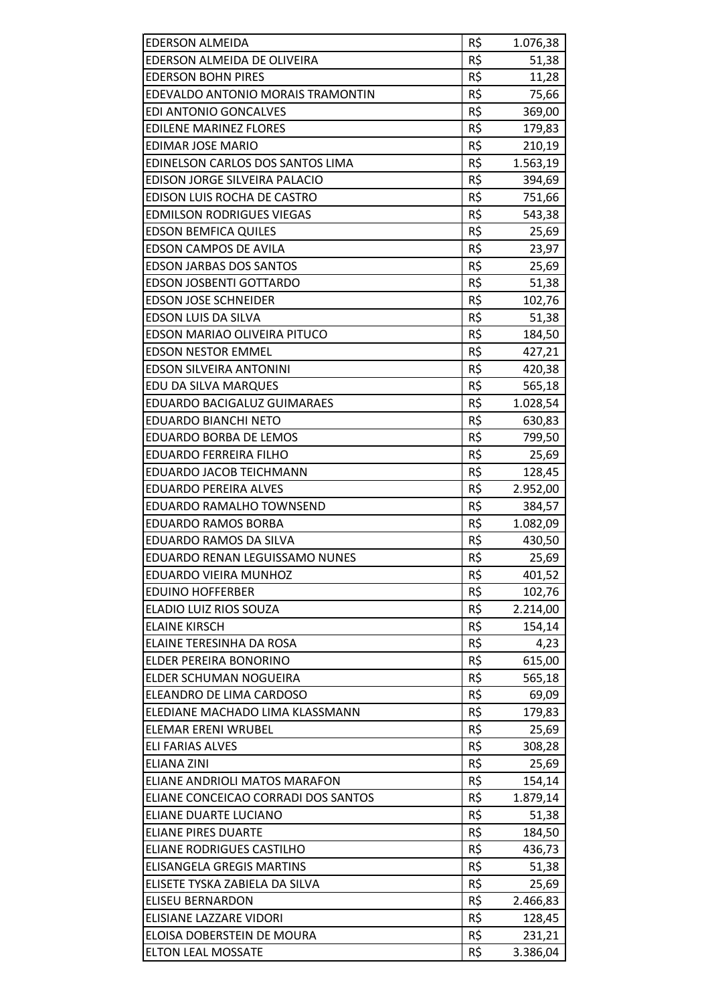| <b>EDERSON ALMEIDA</b>              | R\$ | 1.076,38 |
|-------------------------------------|-----|----------|
| EDERSON ALMEIDA DE OLIVEIRA         | R\$ | 51,38    |
| <b>EDERSON BOHN PIRES</b>           | R\$ | 11,28    |
| EDEVALDO ANTONIO MORAIS TRAMONTIN   | R\$ | 75,66    |
| <b>EDI ANTONIO GONCALVES</b>        | R\$ | 369,00   |
| <b>EDILENE MARINEZ FLORES</b>       | R\$ | 179,83   |
| <b>EDIMAR JOSE MARIO</b>            | R\$ | 210,19   |
| EDINELSON CARLOS DOS SANTOS LIMA    | R\$ | 1.563,19 |
| EDISON JORGE SILVEIRA PALACIO       | R\$ | 394,69   |
| EDISON LUIS ROCHA DE CASTRO         | R\$ | 751,66   |
| <b>EDMILSON RODRIGUES VIEGAS</b>    | R\$ | 543,38   |
| <b>EDSON BEMFICA QUILES</b>         | R\$ | 25,69    |
| <b>EDSON CAMPOS DE AVILA</b>        | R\$ | 23,97    |
| <b>EDSON JARBAS DOS SANTOS</b>      | R\$ | 25,69    |
| <b>EDSON JOSBENTI GOTTARDO</b>      | R\$ | 51,38    |
| <b>EDSON JOSE SCHNEIDER</b>         | R\$ | 102,76   |
| EDSON LUIS DA SILVA                 | R\$ | 51,38    |
| EDSON MARIAO OLIVEIRA PITUCO        | R\$ | 184,50   |
| <b>EDSON NESTOR EMMEL</b>           | R\$ | 427,21   |
| <b>EDSON SILVEIRA ANTONINI</b>      | R\$ | 420,38   |
| EDU DA SILVA MARQUES                | R\$ | 565,18   |
| EDUARDO BACIGALUZ GUIMARAES         | R\$ | 1.028,54 |
| <b>EDUARDO BIANCHI NETO</b>         | R\$ | 630,83   |
| EDUARDO BORBA DE LEMOS              | R\$ | 799,50   |
| <b>EDUARDO FERREIRA FILHO</b>       | R\$ | 25,69    |
| EDUARDO JACOB TEICHMANN             | R\$ | 128,45   |
| EDUARDO PEREIRA ALVES               | R\$ | 2.952,00 |
| EDUARDO RAMALHO TOWNSEND            | R\$ | 384,57   |
| <b>EDUARDO RAMOS BORBA</b>          | R\$ | 1.082,09 |
| EDUARDO RAMOS DA SILVA              | R\$ | 430,50   |
| EDUARDO RENAN LEGUISSAMO NUNES      | R\$ | 25,69    |
| EDUARDO VIEIRA MUNHOZ               | R\$ | 401,52   |
| <b>EDUINO HOFFERBER</b>             | R\$ | 102,76   |
| ELADIO LUIZ RIOS SOUZA              | R\$ | 2.214,00 |
| <b>ELAINE KIRSCH</b>                | R\$ | 154,14   |
| ELAINE TERESINHA DA ROSA            | R\$ | 4,23     |
| ELDER PEREIRA BONORINO              | R\$ | 615,00   |
| ELDER SCHUMAN NOGUEIRA              | R\$ | 565,18   |
| ELEANDRO DE LIMA CARDOSO            | R\$ | 69,09    |
| ELEDIANE MACHADO LIMA KLASSMANN     | R\$ | 179,83   |
| <b>ELEMAR ERENI WRUBEL</b>          | R\$ | 25,69    |
| <b>ELI FARIAS ALVES</b>             | R\$ | 308,28   |
| <b>ELIANA ZINI</b>                  | R\$ | 25,69    |
| ELIANE ANDRIOLI MATOS MARAFON       | R\$ | 154,14   |
| ELIANE CONCEICAO CORRADI DOS SANTOS | R\$ | 1.879,14 |
| ELIANE DUARTE LUCIANO               | R\$ | 51,38    |
| <b>ELIANE PIRES DUARTE</b>          | R\$ | 184,50   |
| <b>ELIANE RODRIGUES CASTILHO</b>    | R\$ | 436,73   |
| <b>ELISANGELA GREGIS MARTINS</b>    | R\$ | 51,38    |
| ELISETE TYSKA ZABIELA DA SILVA      | R\$ | 25,69    |
| <b>ELISEU BERNARDON</b>             | R\$ | 2.466,83 |
| ELISIANE LAZZARE VIDORI             | R\$ | 128,45   |
| ELOISA DOBERSTEIN DE MOURA          | R\$ | 231,21   |
| <b>ELTON LEAL MOSSATE</b>           | R\$ | 3.386,04 |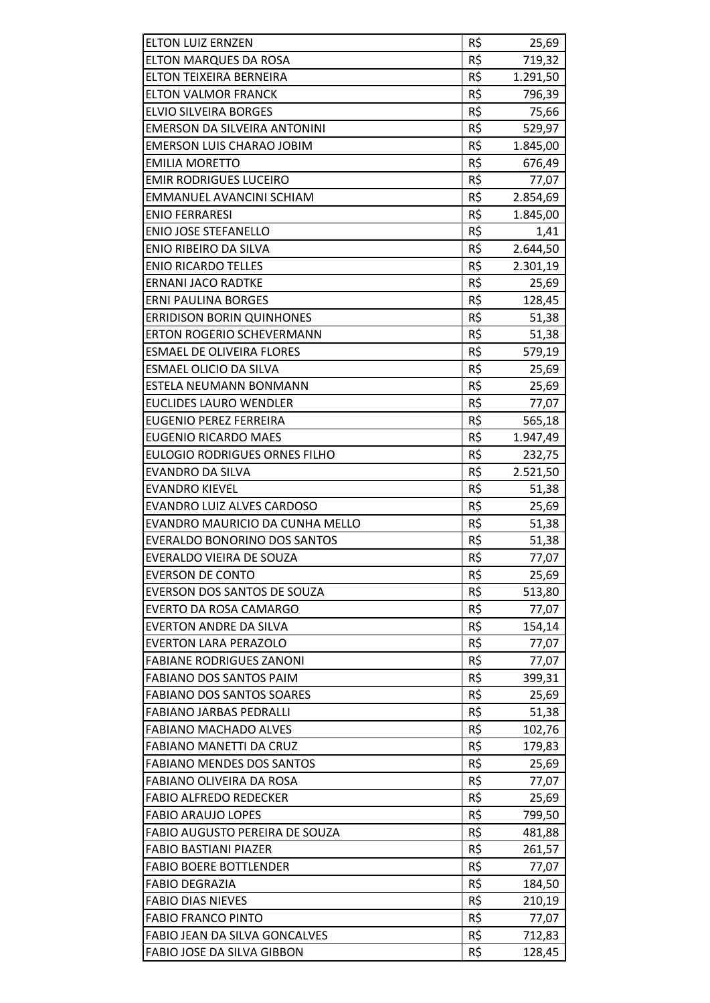| <b>ELTON LUIZ ERNZEN</b>             | R\$ | 25,69    |
|--------------------------------------|-----|----------|
| <b>ELTON MARQUES DA ROSA</b>         | R\$ | 719,32   |
| ELTON TEIXEIRA BERNEIRA              | R\$ | 1.291,50 |
| <b>ELTON VALMOR FRANCK</b>           | R\$ | 796,39   |
| ELVIO SILVEIRA BORGES                | R\$ | 75,66    |
| EMERSON DA SILVEIRA ANTONINI         | R\$ | 529,97   |
| <b>EMERSON LUIS CHARAO JOBIM</b>     | R\$ | 1.845,00 |
| <b>EMILIA MORETTO</b>                | R\$ | 676,49   |
| <b>EMIR RODRIGUES LUCEIRO</b>        | R\$ | 77,07    |
| EMMANUEL AVANCINI SCHIAM             | R\$ | 2.854,69 |
| <b>ENIO FERRARESI</b>                | R\$ | 1.845,00 |
| <b>ENIO JOSE STEFANELLO</b>          | R\$ | 1,41     |
| ENIO RIBEIRO DA SILVA                | R\$ | 2.644,50 |
| <b>ENIO RICARDO TELLES</b>           | R\$ | 2.301,19 |
| <b>ERNANI JACO RADTKE</b>            | R\$ | 25,69    |
| <b>ERNI PAULINA BORGES</b>           | R\$ | 128,45   |
| <b>ERRIDISON BORIN QUINHONES</b>     | R\$ | 51,38    |
| <b>ERTON ROGERIO SCHEVERMANN</b>     | R\$ | 51,38    |
| <b>ESMAEL DE OLIVEIRA FLORES</b>     | R\$ | 579,19   |
| ESMAEL OLICIO DA SILVA               | R\$ | 25,69    |
| ESTELA NEUMANN BONMANN               | R\$ | 25,69    |
| <b>EUCLIDES LAURO WENDLER</b>        | R\$ | 77,07    |
| <b>EUGENIO PEREZ FERREIRA</b>        | R\$ | 565,18   |
| <b>EUGENIO RICARDO MAES</b>          | R\$ | 1.947,49 |
| <b>EULOGIO RODRIGUES ORNES FILHO</b> | R\$ | 232,75   |
| <b>EVANDRO DA SILVA</b>              | R\$ | 2.521,50 |
| <b>EVANDRO KIEVEL</b>                | R\$ | 51,38    |
| <b>EVANDRO LUIZ ALVES CARDOSO</b>    | R\$ | 25,69    |
| EVANDRO MAURICIO DA CUNHA MELLO      | R\$ | 51,38    |
| <b>EVERALDO BONORINO DOS SANTOS</b>  | R\$ | 51,38    |
| EVERALDO VIEIRA DE SOUZA             | R\$ | 77,07    |
| <b>EVERSON DE CONTO</b>              | R\$ | 25,69    |
| EVERSON DOS SANTOS DE SOUZA          | R\$ | 513,80   |
| <b>EVERTO DA ROSA CAMARGO</b>        | R\$ | 77,07    |
| <b>EVERTON ANDRE DA SILVA</b>        | R\$ | 154,14   |
| <b>EVERTON LARA PERAZOLO</b>         | R\$ | 77,07    |
| <b>FABIANE RODRIGUES ZANONI</b>      | R\$ | 77,07    |
| <b>FABIANO DOS SANTOS PAIM</b>       | R\$ | 399,31   |
| <b>FABIANO DOS SANTOS SOARES</b>     | R\$ | 25,69    |
| <b>FABIANO JARBAS PEDRALLI</b>       | R\$ | 51,38    |
| <b>FABIANO MACHADO ALVES</b>         | R\$ | 102,76   |
| <b>FABIANO MANETTI DA CRUZ</b>       | R\$ | 179,83   |
| <b>FABIANO MENDES DOS SANTOS</b>     | R\$ | 25,69    |
| FABIANO OLIVEIRA DA ROSA             | R\$ | 77,07    |
| <b>FABIO ALFREDO REDECKER</b>        | R\$ | 25,69    |
| <b>FABIO ARAUJO LOPES</b>            | R\$ | 799,50   |
| FABIO AUGUSTO PEREIRA DE SOUZA       | R\$ | 481,88   |
| <b>FABIO BASTIANI PIAZER</b>         | R\$ | 261,57   |
| <b>FABIO BOERE BOTTLENDER</b>        | R\$ | 77,07    |
| <b>FABIO DEGRAZIA</b>                | R\$ | 184,50   |
| <b>FABIO DIAS NIEVES</b>             | R\$ | 210,19   |
| <b>FABIO FRANCO PINTO</b>            | R\$ | 77,07    |
| <b>FABIO JEAN DA SILVA GONCALVES</b> | R\$ | 712,83   |
| FABIO JOSE DA SILVA GIBBON           | R\$ | 128,45   |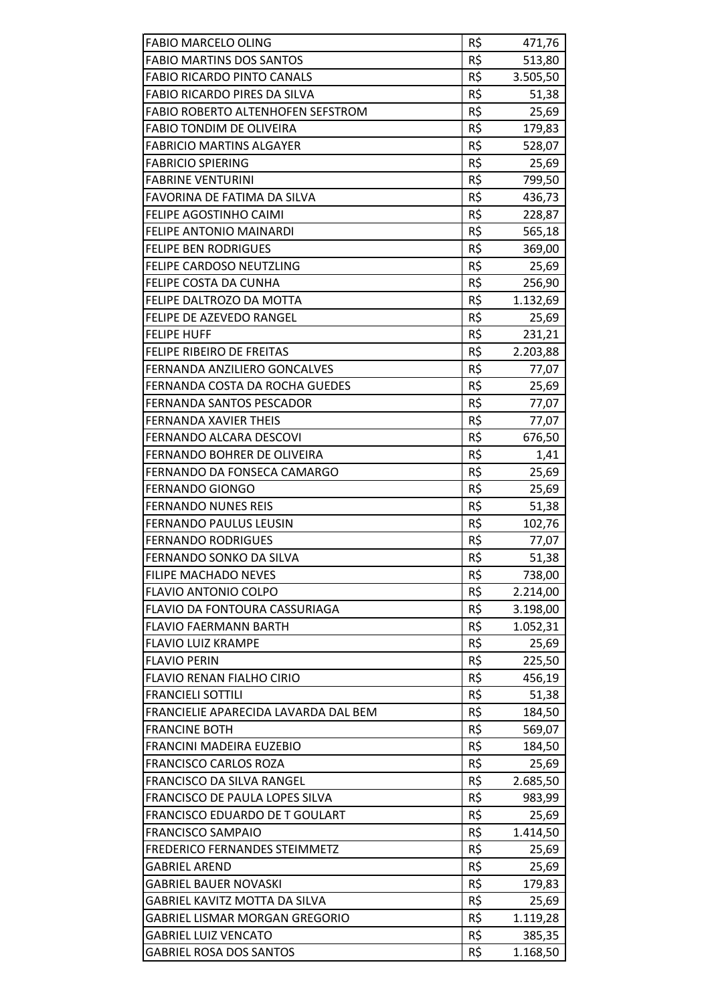| <b>FABIO MARCELO OLING</b>           | R\$ | 471,76   |
|--------------------------------------|-----|----------|
| <b>FABIO MARTINS DOS SANTOS</b>      | R\$ | 513,80   |
| <b>FABIO RICARDO PINTO CANALS</b>    | R\$ | 3.505,50 |
| FABIO RICARDO PIRES DA SILVA         | R\$ | 51,38    |
| FABIO ROBERTO ALTENHOFEN SEFSTROM    | R\$ | 25,69    |
| FABIO TONDIM DE OLIVEIRA             | R\$ | 179,83   |
| <b>FABRICIO MARTINS ALGAYER</b>      | R\$ | 528,07   |
| <b>FABRICIO SPIERING</b>             | R\$ | 25,69    |
| <b>FABRINE VENTURINI</b>             | R\$ | 799,50   |
| FAVORINA DE FATIMA DA SILVA          | R\$ | 436,73   |
| FELIPE AGOSTINHO CAIMI               | R\$ | 228,87   |
| <b>FELIPE ANTONIO MAINARDI</b>       | R\$ | 565,18   |
| <b>FELIPE BEN RODRIGUES</b>          | R\$ | 369,00   |
| FELIPE CARDOSO NEUTZLING             | R\$ | 25,69    |
| FELIPE COSTA DA CUNHA                | R\$ | 256,90   |
| FELIPE DALTROZO DA MOTTA             | R\$ | 1.132,69 |
| <b>FELIPE DE AZEVEDO RANGEL</b>      | R\$ | 25,69    |
| <b>FELIPE HUFF</b>                   | R\$ | 231,21   |
| FELIPE RIBEIRO DE FREITAS            | R\$ | 2.203,88 |
| FERNANDA ANZILIERO GONCALVES         | R\$ | 77,07    |
| FERNANDA COSTA DA ROCHA GUEDES       | R\$ | 25,69    |
| FERNANDA SANTOS PESCADOR             | R\$ | 77,07    |
| <b>FERNANDA XAVIER THEIS</b>         | R\$ | 77,07    |
| FERNANDO ALCARA DESCOVI              | R\$ | 676,50   |
| FERNANDO BOHRER DE OLIVEIRA          | R\$ | 1,41     |
| FERNANDO DA FONSECA CAMARGO          | R\$ | 25,69    |
| <b>FERNANDO GIONGO</b>               | R\$ | 25,69    |
| <b>FERNANDO NUNES REIS</b>           | R\$ | 51,38    |
| <b>FERNANDO PAULUS LEUSIN</b>        | R\$ | 102,76   |
| <b>FERNANDO RODRIGUES</b>            | R\$ | 77,07    |
| <b>FERNANDO SONKO DA SILVA</b>       | R\$ | 51,38    |
| <b>FILIPE MACHADO NEVES</b>          | R\$ | 738,00   |
| <b>FLAVIO ANTONIO COLPO</b>          | R\$ | 2.214,00 |
| FLAVIO DA FONTOURA CASSURIAGA        | R\$ | 3.198,00 |
| <b>FLAVIO FAERMANN BARTH</b>         | R\$ | 1.052,31 |
| <b>FLAVIO LUIZ KRAMPE</b>            | R\$ | 25,69    |
| <b>FLAVIO PERIN</b>                  | R\$ | 225,50   |
| FLAVIO RENAN FIALHO CIRIO            | R\$ | 456,19   |
| <b>FRANCIELI SOTTILI</b>             | R\$ | 51,38    |
| FRANCIELIE APARECIDA LAVARDA DAL BEM | R\$ | 184,50   |
| <b>FRANCINE BOTH</b>                 | R\$ | 569,07   |
| FRANCINI MADEIRA EUZEBIO             | R\$ | 184,50   |
| <b>FRANCISCO CARLOS ROZA</b>         | R\$ | 25,69    |
| FRANCISCO DA SILVA RANGEL            | R\$ | 2.685,50 |
| FRANCISCO DE PAULA LOPES SILVA       | R\$ | 983,99   |
| FRANCISCO EDUARDO DE T GOULART       | R\$ | 25,69    |
| <b>FRANCISCO SAMPAIO</b>             | R\$ | 1.414,50 |
| FREDERICO FERNANDES STEIMMETZ        | R\$ | 25,69    |
| GABRIEL AREND                        | R\$ | 25,69    |
| GABRIEL BAUER NOVASKI                | R\$ | 179,83   |
| GABRIEL KAVITZ MOTTA DA SILVA        | R\$ | 25,69    |
| GABRIEL LISMAR MORGAN GREGORIO       | R\$ | 1.119,28 |
| <b>GABRIEL LUIZ VENCATO</b>          | R\$ | 385,35   |
| <b>GABRIEL ROSA DOS SANTOS</b>       | R\$ | 1.168,50 |
|                                      |     |          |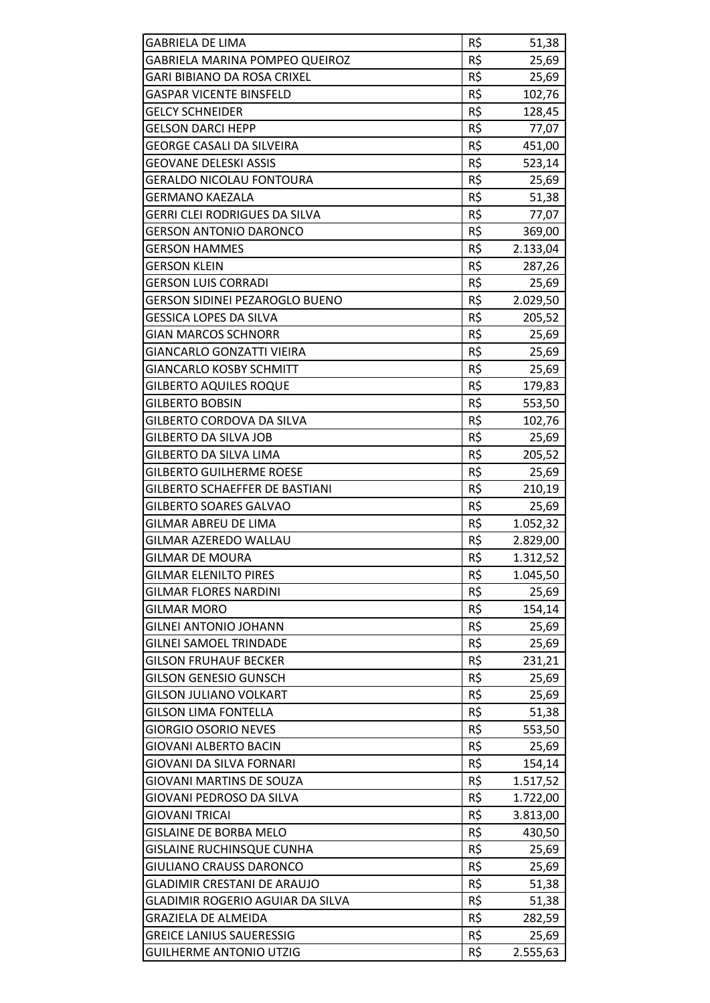| <b>GABRIELA DE LIMA</b>               | R\$ | 51,38    |
|---------------------------------------|-----|----------|
| GABRIELA MARINA POMPEO QUEIROZ        | R\$ | 25,69    |
| <b>GARI BIBIANO DA ROSA CRIXEL</b>    | R\$ | 25,69    |
| <b>GASPAR VICENTE BINSFELD</b>        | R\$ | 102,76   |
| GELCY SCHNEIDER                       | R\$ | 128,45   |
| <b>GELSON DARCI HEPP</b>              | R\$ | 77,07    |
| <b>GEORGE CASALI DA SILVEIRA</b>      | R\$ | 451,00   |
| <b>GEOVANE DELESKI ASSIS</b>          | R\$ | 523,14   |
| <b>GERALDO NICOLAU FONTOURA</b>       | R\$ | 25,69    |
| <b>GERMANO KAEZALA</b>                | R\$ | 51,38    |
| GERRI CLEI RODRIGUES DA SILVA         | R\$ | 77,07    |
| <b>GERSON ANTONIO DARONCO</b>         | R\$ | 369,00   |
| <b>GERSON HAMMES</b>                  | R\$ | 2.133,04 |
| <b>GERSON KLEIN</b>                   | R\$ | 287,26   |
| <b>GERSON LUIS CORRADI</b>            | R\$ | 25,69    |
| <b>GERSON SIDINEI PEZAROGLO BUENO</b> | R\$ | 2.029,50 |
| <b>GESSICA LOPES DA SILVA</b>         | R\$ | 205,52   |
| <b>GIAN MARCOS SCHNORR</b>            | R\$ | 25,69    |
| <b>GIANCARLO GONZATTI VIEIRA</b>      | R\$ | 25,69    |
| <b>GIANCARLO KOSBY SCHMITT</b>        | R\$ |          |
|                                       | R\$ | 25,69    |
| <b>GILBERTO AQUILES ROQUE</b>         |     | 179,83   |
| <b>GILBERTO BOBSIN</b>                | R\$ | 553,50   |
| GILBERTO CORDOVA DA SILVA             | R\$ | 102,76   |
| <b>GILBERTO DA SILVA JOB</b>          | R\$ | 25,69    |
| GILBERTO DA SILVA LIMA                | R\$ | 205,52   |
| <b>GILBERTO GUILHERME ROESE</b>       | R\$ | 25,69    |
| GILBERTO SCHAEFFER DE BASTIANI        | R\$ | 210,19   |
| <b>GILBERTO SOARES GALVAO</b>         | R\$ | 25,69    |
| GILMAR ABREU DE LIMA                  | R\$ | 1.052,32 |
| GILMAR AZEREDO WALLAU                 | R\$ | 2.829,00 |
| GILMAR DE MOURA                       | R\$ | 1.312,52 |
| GILMAR ELENILTO PIRES                 | R\$ | 1.045,50 |
| <b>GILMAR FLORES NARDINI</b>          | R\$ | 25,69    |
| GILMAR MORO                           | R\$ | 154,14   |
| <b>GILNEI ANTONIO JOHANN</b>          | R\$ | 25,69    |
| <b>GILNEI SAMOEL TRINDADE</b>         | R\$ | 25,69    |
| <b>GILSON FRUHAUF BECKER</b>          | R\$ | 231,21   |
| <b>GILSON GENESIO GUNSCH</b>          | R\$ | 25,69    |
| <b>GILSON JULIANO VOLKART</b>         | R\$ | 25,69    |
| <b>GILSON LIMA FONTELLA</b>           | R\$ | 51,38    |
| <b>GIORGIO OSORIO NEVES</b>           | R\$ | 553,50   |
| GIOVANI ALBERTO BACIN                 | R\$ | 25,69    |
| GIOVANI DA SILVA FORNARI              | R\$ | 154,14   |
| <b>GIOVANI MARTINS DE SOUZA</b>       | R\$ | 1.517,52 |
| GIOVANI PEDROSO DA SILVA              | R\$ | 1.722,00 |
| <b>GIOVANI TRICAI</b>                 | R\$ | 3.813,00 |
| <b>GISLAINE DE BORBA MELO</b>         | R\$ | 430,50   |
| <b>GISLAINE RUCHINSQUE CUNHA</b>      | R\$ | 25,69    |
| GIULIANO CRAUSS DARONCO               | R\$ | 25,69    |
| <b>GLADIMIR CRESTANI DE ARAUJO</b>    | R\$ | 51,38    |
| GLADIMIR ROGERIO AGUIAR DA SILVA      | R\$ | 51,38    |
| <b>GRAZIELA DE ALMEIDA</b>            | R\$ | 282,59   |
| <b>GREICE LANIUS SAUERESSIG</b>       | R\$ | 25,69    |
| <b>GUILHERME ANTONIO UTZIG</b>        | R\$ | 2.555,63 |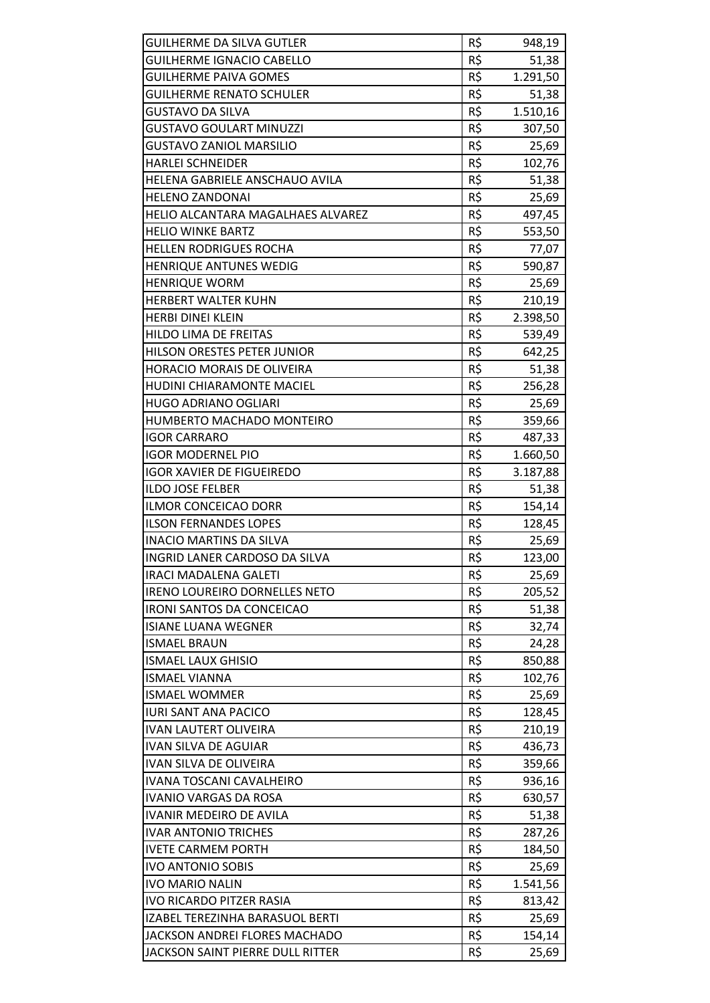| <b>GUILHERME DA SILVA GUTLER</b>     | R\$ | 948,19   |
|--------------------------------------|-----|----------|
| <b>GUILHERME IGNACIO CABELLO</b>     | R\$ | 51,38    |
| <b>GUILHERME PAIVA GOMES</b>         | R\$ | 1.291,50 |
| <b>GUILHERME RENATO SCHULER</b>      | R\$ | 51,38    |
| GUSTAVO DA SILVA                     | R\$ | 1.510,16 |
| <b>GUSTAVO GOULART MINUZZI</b>       | R\$ | 307,50   |
| <b>GUSTAVO ZANIOL MARSILIO</b>       | R\$ | 25,69    |
| <b>HARLEI SCHNEIDER</b>              | R\$ | 102,76   |
| HELENA GABRIELE ANSCHAUO AVILA       | R\$ | 51,38    |
| <b>HELENO ZANDONAI</b>               | R\$ | 25,69    |
| HELIO ALCANTARA MAGALHAES ALVAREZ    | R\$ | 497,45   |
| <b>HELIO WINKE BARTZ</b>             | R\$ | 553,50   |
| <b>HELLEN RODRIGUES ROCHA</b>        | R\$ | 77,07    |
| <b>HENRIQUE ANTUNES WEDIG</b>        | R\$ | 590,87   |
| <b>HENRIQUE WORM</b>                 | R\$ | 25,69    |
| HERBERT WALTER KUHN                  | R\$ | 210,19   |
| <b>HERBI DINEI KLEIN</b>             | R\$ | 2.398,50 |
| <b>HILDO LIMA DE FREITAS</b>         | R\$ | 539,49   |
| <b>HILSON ORESTES PETER JUNIOR</b>   | R\$ | 642,25   |
| HORACIO MORAIS DE OLIVEIRA           | R\$ | 51,38    |
| HUDINI CHIARAMONTE MACIEL            | R\$ | 256,28   |
| <b>HUGO ADRIANO OGLIARI</b>          | R\$ | 25,69    |
| HUMBERTO MACHADO MONTEIRO            | R\$ | 359,66   |
| <b>IGOR CARRARO</b>                  | R\$ | 487,33   |
| <b>IGOR MODERNEL PIO</b>             | R\$ | 1.660,50 |
| <b>IGOR XAVIER DE FIGUEIREDO</b>     | R\$ | 3.187,88 |
| <b>ILDO JOSE FELBER</b>              | R\$ | 51,38    |
| <b>ILMOR CONCEICAO DORR</b>          | R\$ | 154,14   |
| <b>ILSON FERNANDES LOPES</b>         | R\$ | 128,45   |
| <b>INACIO MARTINS DA SILVA</b>       | R\$ | 25,69    |
| INGRID LANER CARDOSO DA SILVA        | R\$ | 123,00   |
| <b>IRACI MADALENA GALETI</b>         | R\$ | 25,69    |
| <b>IRENO LOUREIRO DORNELLES NETO</b> | R\$ | 205,52   |
| <b>IRONI SANTOS DA CONCEICAO</b>     | R\$ | 51,38    |
| <b>ISIANE LUANA WEGNER</b>           | R\$ | 32,74    |
| <b>ISMAEL BRAUN</b>                  | R\$ | 24,28    |
| <b>ISMAEL LAUX GHISIO</b>            | R\$ | 850,88   |
| <b>ISMAEL VIANNA</b>                 | R\$ | 102,76   |
| <b>ISMAEL WOMMER</b>                 | R\$ | 25,69    |
| <b>IURI SANT ANA PACICO</b>          | R\$ | 128,45   |
| <b>IVAN LAUTERT OLIVEIRA</b>         | R\$ | 210,19   |
| <b>IVAN SILVA DE AGUIAR</b>          | R\$ | 436,73   |
| IVAN SILVA DE OLIVEIRA               | R\$ | 359,66   |
| IVANA TOSCANI CAVALHEIRO             | R\$ | 936,16   |
| <b>IVANIO VARGAS DA ROSA</b>         | R\$ | 630,57   |
| <b>IVANIR MEDEIRO DE AVILA</b>       | R\$ | 51,38    |
| <b>IVAR ANTONIO TRICHES</b>          | R\$ | 287,26   |
| <b>IVETE CARMEM PORTH</b>            | R\$ | 184,50   |
| <b>IVO ANTONIO SOBIS</b>             | R\$ | 25,69    |
| <b>IVO MARIO NALIN</b>               | R\$ | 1.541,56 |
| <b>IVO RICARDO PITZER RASIA</b>      | R\$ | 813,42   |
| IZABEL TEREZINHA BARASUOL BERTI      | R\$ | 25,69    |
| JACKSON ANDREI FLORES MACHADO        | R\$ | 154,14   |
| JACKSON SAINT PIERRE DULL RITTER     | R\$ | 25,69    |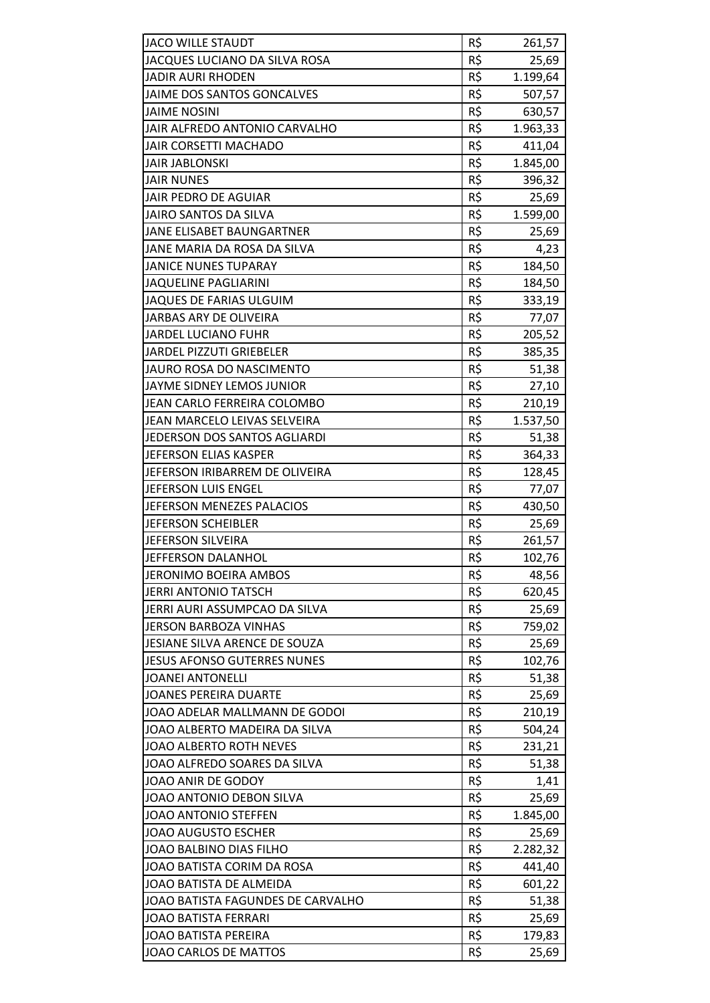| <b>JACO WILLE STAUDT</b>           | R\$ | 261,57   |
|------------------------------------|-----|----------|
| JACQUES LUCIANO DA SILVA ROSA      | R\$ | 25,69    |
| <b>JADIR AURI RHODEN</b>           | R\$ | 1.199,64 |
| JAIME DOS SANTOS GONCALVES         | R\$ | 507,57   |
| <b>JAIME NOSINI</b>                | R\$ | 630,57   |
| JAIR ALFREDO ANTONIO CARVALHO      | R\$ | 1.963,33 |
| <b>JAIR CORSETTI MACHADO</b>       | R\$ | 411,04   |
| <b>JAIR JABLONSKI</b>              | R\$ | 1.845,00 |
| <b>JAIR NUNES</b>                  | R\$ | 396,32   |
| <b>JAIR PEDRO DE AGUIAR</b>        | R\$ | 25,69    |
| <b>JAIRO SANTOS DA SILVA</b>       | R\$ | 1.599,00 |
| JANE ELISABET BAUNGARTNER          | R\$ | 25,69    |
| JANE MARIA DA ROSA DA SILVA        | R\$ | 4,23     |
| <b>JANICE NUNES TUPARAY</b>        | R\$ | 184,50   |
| <b>JAQUELINE PAGLIARINI</b>        | R\$ |          |
| <b>JAQUES DE FARIAS ULGUIM</b>     | R\$ | 184,50   |
|                                    |     | 333,19   |
| JARBAS ARY DE OLIVEIRA             | R\$ | 77,07    |
| <b>JARDEL LUCIANO FUHR</b>         | R\$ | 205,52   |
| JARDEL PIZZUTI GRIEBELER           | R\$ | 385,35   |
| <b>JAURO ROSA DO NASCIMENTO</b>    | R\$ | 51,38    |
| JAYME SIDNEY LEMOS JUNIOR          | R\$ | 27,10    |
| JEAN CARLO FERREIRA COLOMBO        | R\$ | 210,19   |
| JEAN MARCELO LEIVAS SELVEIRA       | R\$ | 1.537,50 |
| JEDERSON DOS SANTOS AGLIARDI       | R\$ | 51,38    |
| JEFERSON ELIAS KASPER              | R\$ | 364,33   |
| JEFERSON IRIBARREM DE OLIVEIRA     | R\$ | 128,45   |
| JEFERSON LUIS ENGEL                | R\$ | 77,07    |
| JEFERSON MENEZES PALACIOS          | R\$ | 430,50   |
| <b>JEFERSON SCHEIBLER</b>          | R\$ | 25,69    |
| <b>JEFERSON SILVEIRA</b>           | R\$ | 261,57   |
| JEFFERSON DALANHOL                 | R\$ | 102,76   |
| JERONIMO BOEIRA AMBOS              | R\$ | 48,56    |
| <b>JERRI ANTONIO TATSCH</b>        | R\$ | 620,45   |
| JERRI AURI ASSUMPCAO DA SILVA      | R\$ | 25,69    |
| <b>JERSON BARBOZA VINHAS</b>       | R\$ | 759,02   |
| JESIANE SILVA ARENCE DE SOUZA      | R\$ | 25,69    |
| <b>JESUS AFONSO GUTERRES NUNES</b> | R\$ | 102,76   |
| <b>JOANEI ANTONELLI</b>            | R\$ | 51,38    |
| <b>JOANES PEREIRA DUARTE</b>       | R\$ | 25,69    |
| JOAO ADELAR MALLMANN DE GODOI      | R\$ | 210,19   |
| JOAO ALBERTO MADEIRA DA SILVA      | R\$ | 504,24   |
| JOAO ALBERTO ROTH NEVES            | R\$ | 231,21   |
| JOAO ALFREDO SOARES DA SILVA       | R\$ | 51,38    |
| JOAO ANIR DE GODOY                 | R\$ | 1,41     |
| JOAO ANTONIO DEBON SILVA           | R\$ | 25,69    |
| <b>JOAO ANTONIO STEFFEN</b>        | R\$ | 1.845,00 |
| <b>JOAO AUGUSTO ESCHER</b>         | R\$ | 25,69    |
| JOAO BALBINO DIAS FILHO            | R\$ | 2.282,32 |
| JOAO BATISTA CORIM DA ROSA         | R\$ | 441,40   |
| JOAO BATISTA DE ALMEIDA            | R\$ | 601,22   |
| JOAO BATISTA FAGUNDES DE CARVALHO  | R\$ | 51,38    |
| JOAO BATISTA FERRARI               | R\$ | 25,69    |
| <b>JOAO BATISTA PEREIRA</b>        | R\$ | 179,83   |
| <b>JOAO CARLOS DE MATTOS</b>       | R\$ | 25,69    |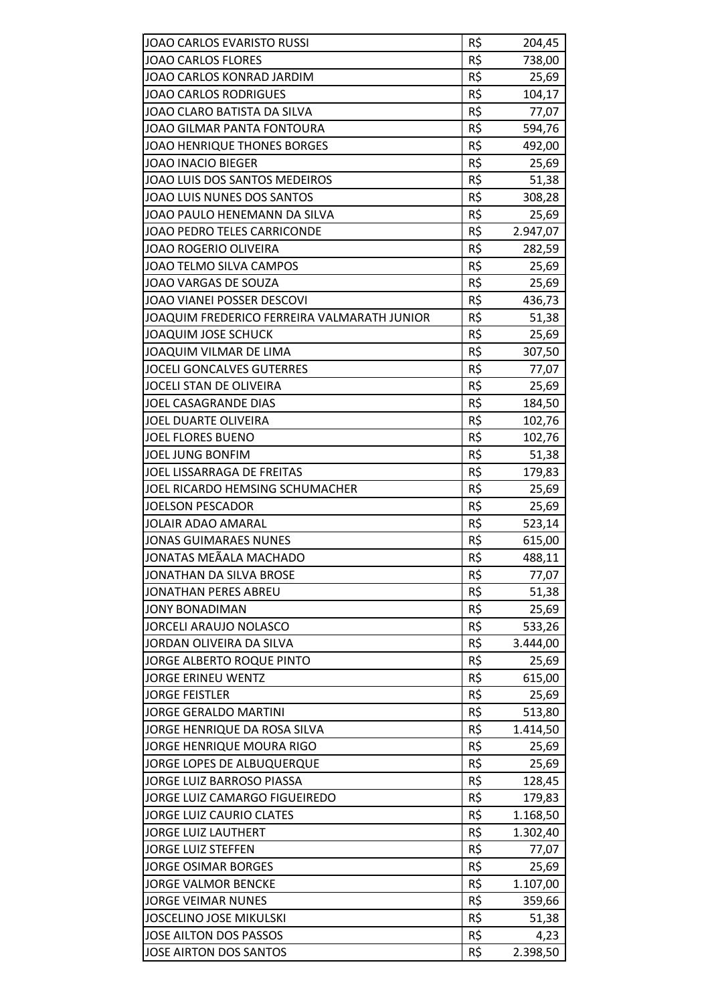| JOAO CARLOS EVARISTO RUSSI                  | R\$ | 204,45   |
|---------------------------------------------|-----|----------|
| <b>JOAO CARLOS FLORES</b>                   | R\$ | 738,00   |
| <b>JOAO CARLOS KONRAD JARDIM</b>            | R\$ | 25,69    |
| <b>JOAO CARLOS RODRIGUES</b>                | R\$ | 104,17   |
| JOAO CLARO BATISTA DA SILVA                 | R\$ | 77,07    |
| JOAO GILMAR PANTA FONTOURA                  | R\$ | 594,76   |
| <b>JOAO HENRIQUE THONES BORGES</b>          | R\$ | 492,00   |
| <b>JOAO INACIO BIEGER</b>                   | R\$ | 25,69    |
| JOAO LUIS DOS SANTOS MEDEIROS               | R\$ | 51,38    |
| JOAO LUIS NUNES DOS SANTOS                  | R\$ | 308,28   |
| JOAO PAULO HENEMANN DA SILVA                | R\$ | 25,69    |
| JOAO PEDRO TELES CARRICONDE                 | R\$ | 2.947,07 |
| <b>JOAO ROGERIO OLIVEIRA</b>                | R\$ | 282,59   |
| JOAO TELMO SILVA CAMPOS                     | R\$ | 25,69    |
| JOAO VARGAS DE SOUZA                        | R\$ | 25,69    |
| JOAO VIANEI POSSER DESCOVI                  | R\$ | 436,73   |
| JOAQUIM FREDERICO FERREIRA VALMARATH JUNIOR | R\$ | 51,38    |
| <b>JOAQUIM JOSE SCHUCK</b>                  | R\$ | 25,69    |
| JOAQUIM VILMAR DE LIMA                      | R\$ | 307,50   |
| <b>JOCELI GONCALVES GUTERRES</b>            | R\$ | 77,07    |
| JOCELI STAN DE OLIVEIRA                     | R\$ | 25,69    |
| JOEL CASAGRANDE DIAS                        | R\$ | 184,50   |
| JOEL DUARTE OLIVEIRA                        | R\$ | 102,76   |
| <b>JOEL FLORES BUENO</b>                    | R\$ | 102,76   |
| JOEL JUNG BONFIM                            | R\$ | 51,38    |
| JOEL LISSARRAGA DE FREITAS                  | R\$ | 179,83   |
| JOEL RICARDO HEMSING SCHUMACHER             | R\$ | 25,69    |
| <b>JOELSON PESCADOR</b>                     | R\$ | 25,69    |
| <b>JOLAIR ADAO AMARAL</b>                   | R\$ | 523,14   |
| <b>JONAS GUIMARAES NUNES</b>                | R\$ | 615,00   |
| JONATAS MEÃALA MACHADO                      | R\$ | 488,11   |
| JONATHAN DA SILVA BROSE                     | R\$ | 77,07    |
| JONATHAN PERES ABREU                        | R\$ | 51,38    |
| <b>JONY BONADIMAN</b>                       | R\$ | 25,69    |
| <b>JORCELI ARAUJO NOLASCO</b>               | R\$ | 533,26   |
| JORDAN OLIVEIRA DA SILVA                    | R\$ | 3.444,00 |
| JORGE ALBERTO ROQUE PINTO                   | R\$ | 25,69    |
| <b>JORGE ERINEU WENTZ</b>                   | R\$ | 615,00   |
| <b>JORGE FEISTLER</b>                       | R\$ | 25,69    |
| <b>JORGE GERALDO MARTINI</b>                | R\$ | 513,80   |
| JORGE HENRIQUE DA ROSA SILVA                | R\$ | 1.414,50 |
| JORGE HENRIQUE MOURA RIGO                   | R\$ | 25,69    |
| JORGE LOPES DE ALBUQUERQUE                  | R\$ | 25,69    |
| JORGE LUIZ BARROSO PIASSA                   | R\$ | 128,45   |
| JORGE LUIZ CAMARGO FIGUEIREDO               | R\$ | 179,83   |
| <b>JORGE LUIZ CAURIO CLATES</b>             | R\$ | 1.168,50 |
| <b>JORGE LUIZ LAUTHERT</b>                  | R\$ | 1.302,40 |
| <b>JORGE LUIZ STEFFEN</b>                   | R\$ | 77,07    |
| <b>JORGE OSIMAR BORGES</b>                  | R\$ | 25,69    |
| <b>JORGE VALMOR BENCKE</b>                  | R\$ | 1.107,00 |
| <b>JORGE VEIMAR NUNES</b>                   | R\$ | 359,66   |
| <b>JOSCELINO JOSE MIKULSKI</b>              | R\$ | 51,38    |
| JOSE AILTON DOS PASSOS                      | R\$ | 4,23     |
| JOSE AIRTON DOS SANTOS                      | R\$ | 2.398,50 |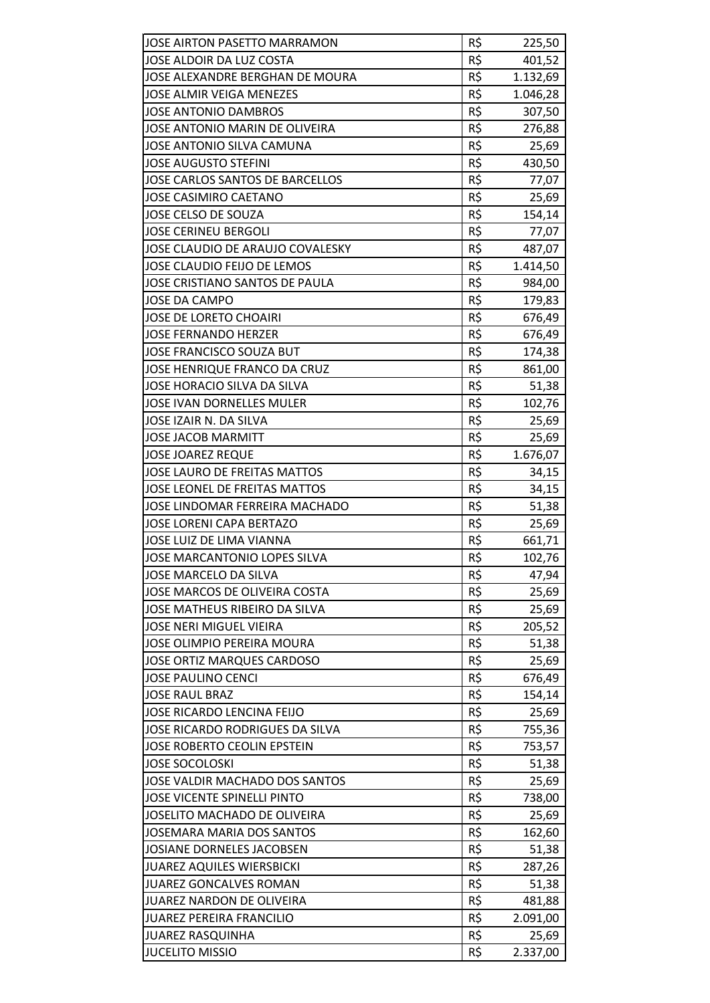| JOSE AIRTON PASETTO MARRAMON          | R\$ | 225,50   |
|---------------------------------------|-----|----------|
| JOSE ALDOIR DA LUZ COSTA              | R\$ | 401,52   |
| JOSE ALEXANDRE BERGHAN DE MOURA       | R\$ | 1.132,69 |
| JOSE ALMIR VEIGA MENEZES              | R\$ | 1.046,28 |
| <b>JOSE ANTONIO DAMBROS</b>           | R\$ | 307,50   |
| JOSE ANTONIO MARIN DE OLIVEIRA        | R\$ | 276,88   |
| JOSE ANTONIO SILVA CAMUNA             | R\$ | 25,69    |
| <b>JOSE AUGUSTO STEFINI</b>           | R\$ | 430,50   |
| JOSE CARLOS SANTOS DE BARCELLOS       | R\$ | 77,07    |
| <b>JOSE CASIMIRO CAETANO</b>          | R\$ | 25,69    |
| JOSE CELSO DE SOUZA                   | R\$ | 154,14   |
| <b>JOSE CERINEU BERGOLI</b>           | R\$ | 77,07    |
| JOSE CLAUDIO DE ARAUJO COVALESKY      | R\$ | 487,07   |
| JOSE CLAUDIO FEIJO DE LEMOS           | R\$ | 1.414,50 |
| JOSE CRISTIANO SANTOS DE PAULA        | R\$ | 984,00   |
| <b>JOSE DA CAMPO</b>                  | R\$ | 179,83   |
| <b>JOSE DE LORETO CHOAIRI</b>         | R\$ | 676,49   |
| <b>JOSE FERNANDO HERZER</b>           | R\$ | 676,49   |
| JOSE FRANCISCO SOUZA BUT              | R\$ | 174,38   |
| <b>JOSE HENRIQUE FRANCO DA CRUZ</b>   | R\$ | 861,00   |
| JOSE HORACIO SILVA DA SILVA           | R\$ | 51,38    |
| <b>JOSE IVAN DORNELLES MULER</b>      | R\$ | 102,76   |
| JOSE IZAIR N. DA SILVA                | R\$ | 25,69    |
| <b>JOSE JACOB MARMITT</b>             | R\$ | 25,69    |
| <b>JOSE JOAREZ REQUE</b>              | R\$ | 1.676,07 |
| JOSE LAURO DE FREITAS MATTOS          | R\$ | 34,15    |
| JOSE LEONEL DE FREITAS MATTOS         | R\$ | 34,15    |
| <b>JOSE LINDOMAR FERREIRA MACHADO</b> | R\$ | 51,38    |
| <b>JOSE LORENI CAPA BERTAZO</b>       | R\$ | 25,69    |
| JOSE LUIZ DE LIMA VIANNA              | R\$ | 661,71   |
| JOSE MARCANTONIO LOPES SILVA          | R\$ | 102,76   |
| JOSE MARCELO DA SILVA                 | R\$ | 47,94    |
| JOSE MARCOS DE OLIVEIRA COSTA         | R\$ | 25,69    |
| JOSE MATHEUS RIBEIRO DA SILVA         | R\$ | 25,69    |
| <b>JOSE NERI MIGUEL VIEIRA</b>        | R\$ | 205,52   |
| JOSE OLIMPIO PEREIRA MOURA            | R\$ | 51,38    |
| <b>JOSE ORTIZ MARQUES CARDOSO</b>     | R\$ | 25,69    |
| <b>JOSE PAULINO CENCI</b>             | R\$ | 676,49   |
| <b>JOSE RAUL BRAZ</b>                 | R\$ | 154,14   |
| <b>JOSE RICARDO LENCINA FEIJO</b>     | R\$ | 25,69    |
| JOSE RICARDO RODRIGUES DA SILVA       | R\$ | 755,36   |
| JOSE ROBERTO CEOLIN EPSTEIN           | R\$ | 753,57   |
| <b>JOSE SOCOLOSKI</b>                 | R\$ | 51,38    |
| JOSE VALDIR MACHADO DOS SANTOS        | R\$ | 25,69    |
| <b>JOSE VICENTE SPINELLI PINTO</b>    | R\$ | 738,00   |
| JOSELITO MACHADO DE OLIVEIRA          | R\$ | 25,69    |
| <b>JOSEMARA MARIA DOS SANTOS</b>      | R\$ | 162,60   |
| JOSIANE DORNELES JACOBSEN             | R\$ | 51,38    |
| <b>JUAREZ AQUILES WIERSBICKI</b>      | R\$ | 287,26   |
| <b>JUAREZ GONCALVES ROMAN</b>         | R\$ | 51,38    |
| <b>JUAREZ NARDON DE OLIVEIRA</b>      | R\$ | 481,88   |
| <b>JUAREZ PEREIRA FRANCILIO</b>       | R\$ | 2.091,00 |
| <b>JUAREZ RASQUINHA</b>               | R\$ | 25,69    |
| <b>JUCELITO MISSIO</b>                | R\$ | 2.337,00 |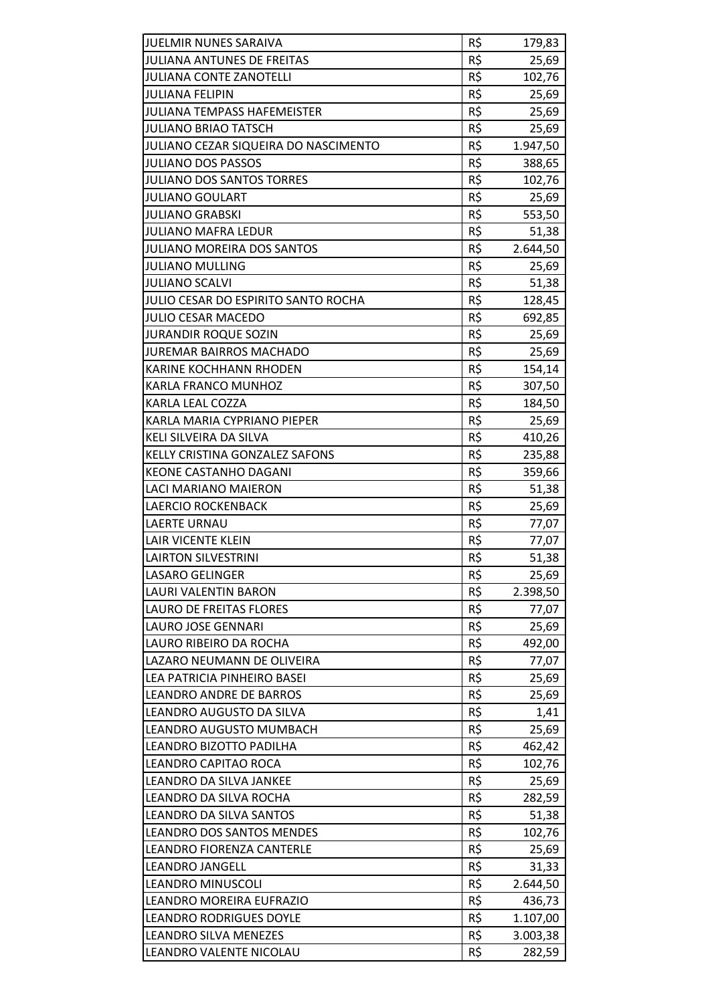| JUELMIR NUNES SARAIVA                       | R\$ | 179,83   |
|---------------------------------------------|-----|----------|
| <b>JULIANA ANTUNES DE FREITAS</b>           | R\$ | 25,69    |
| <b>JULIANA CONTE ZANOTELLI</b>              | R\$ | 102,76   |
| <b>JULIANA FELIPIN</b>                      | R\$ | 25,69    |
| <b>JULIANA TEMPASS HAFEMEISTER</b>          | R\$ | 25,69    |
| <b>JULIANO BRIAO TATSCH</b>                 | R\$ | 25,69    |
| <b>JULIANO CEZAR SIQUEIRA DO NASCIMENTO</b> | R\$ | 1.947,50 |
| <b>JULIANO DOS PASSOS</b>                   | R\$ | 388,65   |
| JULIANO DOS SANTOS TORRES                   | R\$ | 102,76   |
| <b>JULIANO GOULART</b>                      | R\$ | 25,69    |
| <b>JULIANO GRABSKI</b>                      | R\$ | 553,50   |
| JULIANO MAFRA LEDUR                         | R\$ | 51,38    |
| <b>JULIANO MOREIRA DOS SANTOS</b>           | R\$ | 2.644,50 |
| <b>JULIANO MULLING</b>                      | R\$ | 25,69    |
| <b>JULIANO SCALVI</b>                       | R\$ | 51,38    |
| JULIO CESAR DO ESPIRITO SANTO ROCHA         | R\$ | 128,45   |
| <b>JULIO CESAR MACEDO</b>                   | R\$ | 692,85   |
| <b>JURANDIR ROQUE SOZIN</b>                 | R\$ |          |
| <b>JUREMAR BAIRROS MACHADO</b>              | R\$ | 25,69    |
|                                             |     | 25,69    |
| <b>KARINE KOCHHANN RHODEN</b>               | R\$ | 154,14   |
| KARLA FRANCO MUNHOZ                         | R\$ | 307,50   |
| KARLA LEAL COZZA                            | R\$ | 184,50   |
| KARLA MARIA CYPRIANO PIEPER                 | R\$ | 25,69    |
| KELI SILVEIRA DA SILVA                      | R\$ | 410,26   |
| KELLY CRISTINA GONZALEZ SAFONS              | R\$ | 235,88   |
| <b>KEONE CASTANHO DAGANI</b>                | R\$ | 359,66   |
| LACI MARIANO MAIERON                        | R\$ | 51,38    |
| <b>LAERCIO ROCKENBACK</b>                   | R\$ | 25,69    |
| <b>LAERTE URNAU</b>                         | R\$ | 77,07    |
| <b>LAIR VICENTE KLEIN</b>                   | R\$ | 77,07    |
| <b>LAIRTON SILVESTRINI</b>                  | R\$ | 51,38    |
| <b>LASARO GELINGER</b>                      | R\$ | 25,69    |
| LAURI VALENTIN BARON                        | R\$ | 2.398,50 |
| LAURO DE FREITAS FLORES                     | R\$ | 77,07    |
| LAURO JOSE GENNARI                          | R\$ | 25,69    |
| LAURO RIBEIRO DA ROCHA                      | R\$ | 492,00   |
| LAZARO NEUMANN DE OLIVEIRA                  | R\$ | 77,07    |
| LEA PATRICIA PINHEIRO BASEI                 | R\$ | 25,69    |
| <b>LEANDRO ANDRE DE BARROS</b>              | R\$ | 25,69    |
| LEANDRO AUGUSTO DA SILVA                    | R\$ | 1,41     |
| LEANDRO AUGUSTO MUMBACH                     | R\$ | 25,69    |
| LEANDRO BIZOTTO PADILHA                     | R\$ | 462,42   |
| LEANDRO CAPITAO ROCA                        | R\$ | 102,76   |
| LEANDRO DA SILVA JANKEE                     | R\$ | 25,69    |
| LEANDRO DA SILVA ROCHA                      | R\$ | 282,59   |
| LEANDRO DA SILVA SANTOS                     | R\$ | 51,38    |
| <b>LEANDRO DOS SANTOS MENDES</b>            | R\$ | 102,76   |
| LEANDRO FIORENZA CANTERLE                   | R\$ | 25,69    |
| <b>LEANDRO JANGELL</b>                      | R\$ | 31,33    |
| <b>LEANDRO MINUSCOLI</b>                    | R\$ | 2.644,50 |
| LEANDRO MOREIRA EUFRAZIO                    | R\$ | 436,73   |
| <b>LEANDRO RODRIGUES DOYLE</b>              | R\$ | 1.107,00 |
| <b>LEANDRO SILVA MENEZES</b>                | R\$ | 3.003,38 |
| LEANDRO VALENTE NICOLAU                     | R\$ | 282,59   |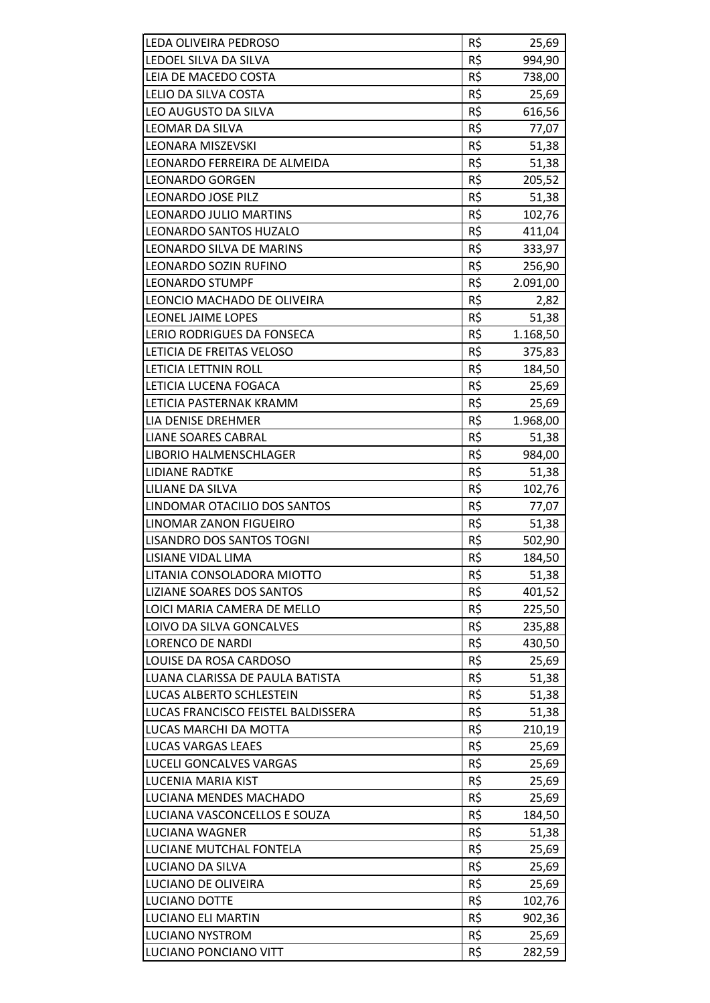| LEDA OLIVEIRA PEDROSO              | R\$             | 25,69    |
|------------------------------------|-----------------|----------|
| LEDOEL SILVA DA SILVA              | R\$             | 994,90   |
| LEIA DE MACEDO COSTA               | R\$             | 738,00   |
| LELIO DA SILVA COSTA               | $R\overline{S}$ | 25,69    |
| LEO AUGUSTO DA SILVA               | R\$             | 616,56   |
| <b>LEOMAR DA SILVA</b>             | R\$             | 77,07    |
| <b>LEONARA MISZEVSKI</b>           | R\$             | 51,38    |
| LEONARDO FERREIRA DE ALMEIDA       | R\$             | 51,38    |
| <b>LEONARDO GORGEN</b>             | R\$             | 205,52   |
| <b>LEONARDO JOSE PILZ</b>          | R\$             | 51,38    |
| LEONARDO JULIO MARTINS             | R\$             | 102,76   |
| LEONARDO SANTOS HUZALO             | R\$             | 411,04   |
| LEONARDO SILVA DE MARINS           | R\$             | 333,97   |
| LEONARDO SOZIN RUFINO              | R\$             | 256,90   |
| <b>LEONARDO STUMPF</b>             | R\$             | 2.091,00 |
| LEONCIO MACHADO DE OLIVEIRA        | R\$             | 2,82     |
| LEONEL JAIME LOPES                 | R\$             | 51,38    |
| LERIO RODRIGUES DA FONSECA         | R\$             | 1.168,50 |
| LETICIA DE FREITAS VELOSO          | R\$             | 375,83   |
| LETICIA LETTNIN ROLL               | R\$             | 184,50   |
| LETICIA LUCENA FOGACA              | R\$             | 25,69    |
| LETICIA PASTERNAK KRAMM            | R\$             | 25,69    |
| LIA DENISE DREHMER                 | R\$             | 1.968,00 |
| <b>LIANE SOARES CABRAL</b>         | R\$             | 51,38    |
| LIBORIO HALMENSCHLAGER             | R\$             | 984,00   |
| <b>LIDIANE RADTKE</b>              | R\$             | 51,38    |
| LILIANE DA SILVA                   | R\$             | 102,76   |
| LINDOMAR OTACILIO DOS SANTOS       | R\$             | 77,07    |
| LINOMAR ZANON FIGUEIRO             | R\$             | 51,38    |
| LISANDRO DOS SANTOS TOGNI          | R\$             | 502,90   |
| LISIANE VIDAL LIMA                 | R\$             | 184,50   |
| LITANIA CONSOLADORA MIOTTO         | R\$             | 51,38    |
| LIZIANE SOARES DOS SANTOS          | R\$             | 401,52   |
| LOICI MARIA CAMERA DE MELLO        | R\$             | 225,50   |
| LOIVO DA SILVA GONCALVES           | R\$             | 235,88   |
| <b>LORENCO DE NARDI</b>            | R\$             | 430,50   |
| LOUISE DA ROSA CARDOSO             | R\$             | 25,69    |
| LUANA CLARISSA DE PAULA BATISTA    | R\$             | 51,38    |
| LUCAS ALBERTO SCHLESTEIN           | R\$             | 51,38    |
| LUCAS FRANCISCO FEISTEL BALDISSERA | R\$             | 51,38    |
| LUCAS MARCHI DA MOTTA              | R\$             | 210,19   |
| LUCAS VARGAS LEAES                 | R\$             | 25,69    |
| LUCELI GONCALVES VARGAS            | R\$             | 25,69    |
| LUCENIA MARIA KIST                 | R\$             | 25,69    |
| LUCIANA MENDES MACHADO             | R\$             | 25,69    |
| LUCIANA VASCONCELLOS E SOUZA       | R\$             | 184,50   |
| LUCIANA WAGNER                     | R\$             | 51,38    |
| LUCIANE MUTCHAL FONTELA            | R\$             | 25,69    |
| LUCIANO DA SILVA                   | R\$             | 25,69    |
| LUCIANO DE OLIVEIRA                | R\$             | 25,69    |
| LUCIANO DOTTE                      | R\$             | 102,76   |
| <b>LUCIANO ELI MARTIN</b>          | R\$             | 902,36   |
| <b>LUCIANO NYSTROM</b>             | R\$             | 25,69    |
| LUCIANO PONCIANO VITT              | R\$             | 282,59   |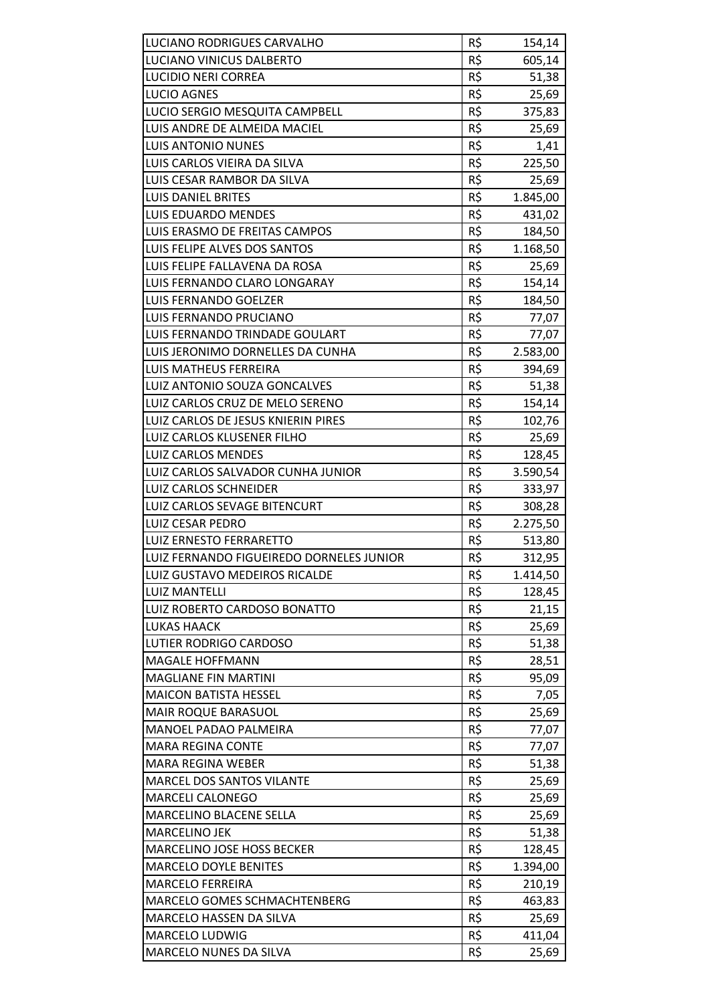| LUCIANO RODRIGUES CARVALHO               | R\$ | 154,14   |
|------------------------------------------|-----|----------|
| LUCIANO VINICUS DALBERTO                 | R\$ | 605,14   |
| <b>LUCIDIO NERI CORREA</b>               | R\$ | 51,38    |
| <b>LUCIO AGNES</b>                       | R\$ | 25,69    |
| LUCIO SERGIO MESQUITA CAMPBELL           | R\$ | 375,83   |
| LUIS ANDRE DE ALMEIDA MACIEL             | R\$ | 25,69    |
| <b>LUIS ANTONIO NUNES</b>                | R\$ | 1,41     |
| LUIS CARLOS VIEIRA DA SILVA              | R\$ | 225,50   |
| LUIS CESAR RAMBOR DA SILVA               | R\$ | 25,69    |
| <b>LUIS DANIEL BRITES</b>                | R\$ | 1.845,00 |
| <b>LUIS EDUARDO MENDES</b>               | R\$ | 431,02   |
| LUIS ERASMO DE FREITAS CAMPOS            | R\$ | 184,50   |
| LUIS FELIPE ALVES DOS SANTOS             | R\$ | 1.168,50 |
| LUIS FELIPE FALLAVENA DA ROSA            | R\$ | 25,69    |
| LUIS FERNANDO CLARO LONGARAY             | R\$ | 154,14   |
| <b>LUIS FERNANDO GOELZER</b>             | R\$ | 184,50   |
| LUIS FERNANDO PRUCIANO                   | R\$ | 77,07    |
| LUIS FERNANDO TRINDADE GOULART           | R\$ | 77,07    |
| LUIS JERONIMO DORNELLES DA CUNHA         | R\$ | 2.583,00 |
| <b>LUIS MATHEUS FERREIRA</b>             | R\$ | 394,69   |
| LUIZ ANTONIO SOUZA GONCALVES             | R\$ | 51,38    |
| LUIZ CARLOS CRUZ DE MELO SERENO          | R\$ | 154,14   |
| LUIZ CARLOS DE JESUS KNIERIN PIRES       | R\$ | 102,76   |
| LUIZ CARLOS KLUSENER FILHO               | R\$ | 25,69    |
| <b>LUIZ CARLOS MENDES</b>                | R\$ | 128,45   |
| LUIZ CARLOS SALVADOR CUNHA JUNIOR        | R\$ | 3.590,54 |
| <b>LUIZ CARLOS SCHNEIDER</b>             | R\$ | 333,97   |
| LUIZ CARLOS SEVAGE BITENCURT             | R\$ | 308,28   |
| <b>LUIZ CESAR PEDRO</b>                  | R\$ | 2.275,50 |
| <b>LUIZ ERNESTO FERRARETTO</b>           | R\$ | 513,80   |
| LUIZ FERNANDO FIGUEIREDO DORNELES JUNIOR | R\$ | 312,95   |
| LUIZ GUSTAVO MEDEIROS RICALDE            | R\$ | 1.414,50 |
| LUIZ MANTELLI                            | R\$ | 128,45   |
| LUIZ ROBERTO CARDOSO BONATTO             | R\$ | 21,15    |
| <b>LUKAS HAACK</b>                       | R\$ | 25,69    |
| LUTIER RODRIGO CARDOSO                   | R\$ | 51,38    |
| <b>MAGALE HOFFMANN</b>                   | R\$ | 28,51    |
| <b>MAGLIANE FIN MARTINI</b>              | R\$ | 95,09    |
| <b>MAICON BATISTA HESSEL</b>             | R\$ | 7,05     |
| <b>MAIR ROQUE BARASUOL</b>               | R\$ | 25,69    |
| MANOEL PADAO PALMEIRA                    | R\$ | 77,07    |
| <b>MARA REGINA CONTE</b>                 | R\$ | 77,07    |
| <b>MARA REGINA WEBER</b>                 | R\$ | 51,38    |
| MARCEL DOS SANTOS VILANTE                | R\$ | 25,69    |
| <b>MARCELI CALONEGO</b>                  | R\$ | 25,69    |
| MARCELINO BLACENE SELLA                  | R\$ | 25,69    |
| <b>MARCELINO JEK</b>                     | R\$ | 51,38    |
| MARCELINO JOSE HOSS BECKER               | R\$ | 128,45   |
| <b>MARCELO DOYLE BENITES</b>             | R\$ | 1.394,00 |
| <b>MARCELO FERREIRA</b>                  | R\$ | 210,19   |
| MARCELO GOMES SCHMACHTENBERG             | R\$ | 463,83   |
| MARCELO HASSEN DA SILVA                  | R\$ | 25,69    |
| MARCELO LUDWIG                           | R\$ | 411,04   |
| MARCELO NUNES DA SILVA                   | R\$ | 25,69    |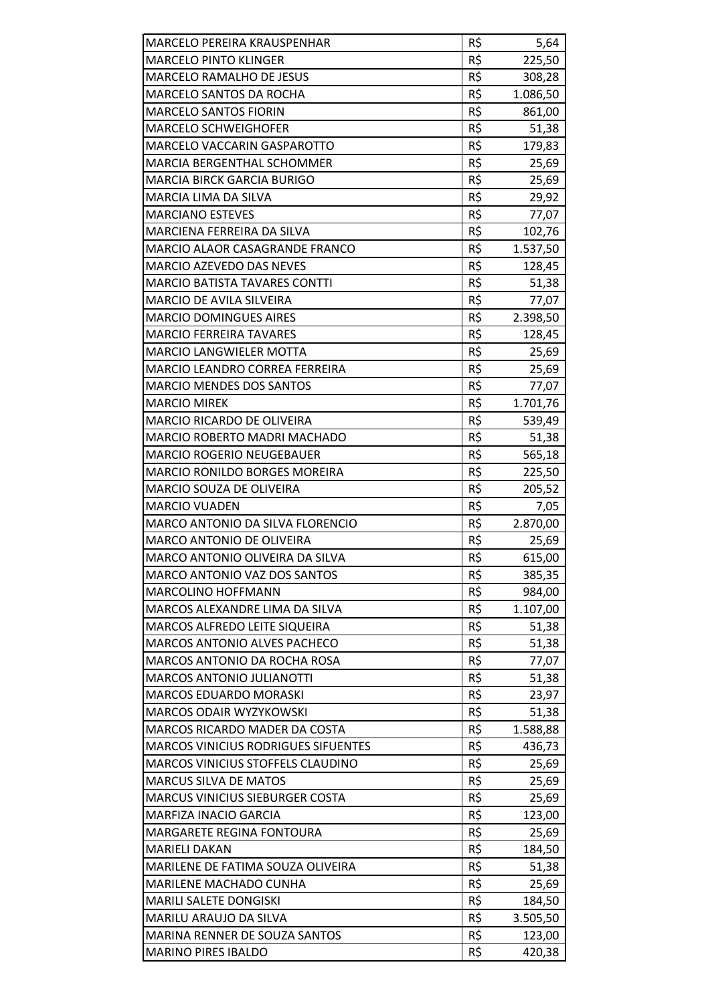| <b>MARCELO PEREIRA KRAUSPENHAR</b>         | R\$             | 5,64     |
|--------------------------------------------|-----------------|----------|
| <b>MARCELO PINTO KLINGER</b>               | R\$             | 225,50   |
| <b>MARCELO RAMALHO DE JESUS</b>            | R\$             | 308,28   |
| MARCELO SANTOS DA ROCHA                    | R\$             | 1.086,50 |
| <b>MARCELO SANTOS FIORIN</b>               | R\$             | 861,00   |
| <b>MARCELO SCHWEIGHOFER</b>                | R\$             | 51,38    |
| MARCELO VACCARIN GASPAROTTO                | R\$             | 179,83   |
| <b>MARCIA BERGENTHAL SCHOMMER</b>          | R\$             | 25,69    |
| <b>MARCIA BIRCK GARCIA BURIGO</b>          | $R\overline{S}$ | 25,69    |
| MARCIA LIMA DA SILVA                       | R\$             | 29,92    |
| <b>MARCIANO ESTEVES</b>                    | R\$             | 77,07    |
| MARCIENA FERREIRA DA SILVA                 | R\$             | 102,76   |
| <b>MARCIO ALAOR CASAGRANDE FRANCO</b>      | R\$             | 1.537,50 |
| MARCIO AZEVEDO DAS NEVES                   | R\$             | 128,45   |
| <b>MARCIO BATISTA TAVARES CONTTI</b>       | R\$             | 51,38    |
| <b>MARCIO DE AVILA SILVEIRA</b>            | R\$             | 77,07    |
| <b>MARCIO DOMINGUES AIRES</b>              | R\$             | 2.398,50 |
| <b>MARCIO FERREIRA TAVARES</b>             | R\$             | 128,45   |
| <b>MARCIO LANGWIELER MOTTA</b>             | R\$             | 25,69    |
| MARCIO LEANDRO CORREA FERREIRA             | R\$             | 25,69    |
| <b>MARCIO MENDES DOS SANTOS</b>            | R\$             | 77,07    |
| <b>MARCIO MIREK</b>                        | R\$             | 1.701,76 |
| <b>MARCIO RICARDO DE OLIVEIRA</b>          | R\$             | 539,49   |
| MARCIO ROBERTO MADRI MACHADO               | R\$             | 51,38    |
| <b>MARCIO ROGERIO NEUGEBAUER</b>           | R\$             | 565,18   |
| <b>MARCIO RONILDO BORGES MOREIRA</b>       | R\$             | 225,50   |
| MARCIO SOUZA DE OLIVEIRA                   | R\$             | 205,52   |
| <b>MARCIO VUADEN</b>                       | R\$             | 7,05     |
| MARCO ANTONIO DA SILVA FLORENCIO           | R\$             | 2.870,00 |
| MARCO ANTONIO DE OLIVEIRA                  | R\$             | 25,69    |
| MARCO ANTONIO OLIVEIRA DA SILVA            | R\$             | 615,00   |
| MARCO ANTONIO VAZ DOS SANTOS               | R\$             | 385,35   |
| <b>MARCOLINO HOFFMANN</b>                  | R\$             | 984,00   |
| MARCOS ALEXANDRE LIMA DA SILVA             | R\$             | 1.107,00 |
| MARCOS ALFREDO LEITE SIQUEIRA              | R\$             | 51,38    |
| <b>MARCOS ANTONIO ALVES PACHECO</b>        | R\$             | 51,38    |
| MARCOS ANTONIO DA ROCHA ROSA               | R\$             | 77,07    |
| <b>MARCOS ANTONIO JULIANOTTI</b>           | R\$             | 51,38    |
| <b>MARCOS EDUARDO MORASKI</b>              | R\$             | 23,97    |
| <b>MARCOS ODAIR WYZYKOWSKI</b>             | R\$             | 51,38    |
| <b>MARCOS RICARDO MADER DA COSTA</b>       | R\$             | 1.588,88 |
| <b>MARCOS VINICIUS RODRIGUES SIFUENTES</b> | R\$             | 436,73   |
| MARCOS VINICIUS STOFFELS CLAUDINO          | R\$             | 25,69    |
| <b>MARCUS SILVA DE MATOS</b>               | R\$             | 25,69    |
| <b>MARCUS VINICIUS SIEBURGER COSTA</b>     | R\$             | 25,69    |
| <b>MARFIZA INACIO GARCIA</b>               | R\$             | 123,00   |
| MARGARETE REGINA FONTOURA                  | R\$             | 25,69    |
| <b>MARIELI DAKAN</b>                       | R\$             | 184,50   |
| MARILENE DE FATIMA SOUZA OLIVEIRA          | R\$             | 51,38    |
| MARILENE MACHADO CUNHA                     | R\$             | 25,69    |
| MARILI SALETE DONGISKI                     | R\$             | 184,50   |
| MARILU ARAUJO DA SILVA                     | R\$             | 3.505,50 |
| MARINA RENNER DE SOUZA SANTOS              | R\$             | 123,00   |
| <b>MARINO PIRES IBALDO</b>                 | R\$             | 420,38   |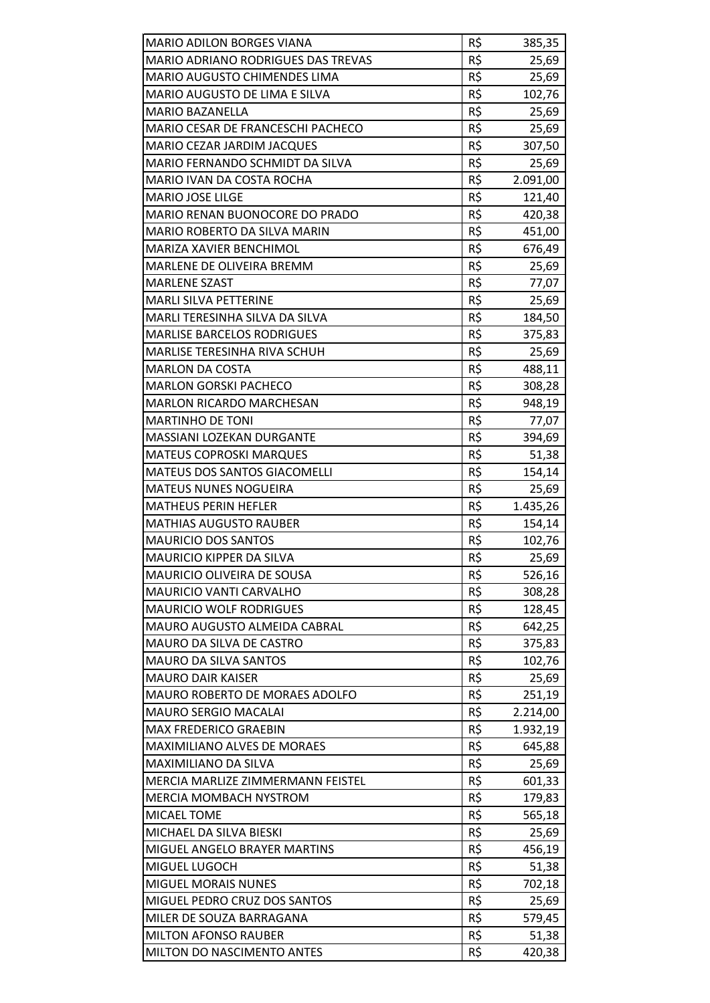| MARIO ADILON BORGES VIANA                                      | R\$        | 385,35   |
|----------------------------------------------------------------|------------|----------|
| <b>MARIO ADRIANO RODRIGUES DAS TREVAS</b>                      | R\$        | 25,69    |
| MARIO AUGUSTO CHIMENDES LIMA                                   | R\$        | 25,69    |
| MARIO AUGUSTO DE LIMA E SILVA                                  | R\$        | 102,76   |
| <b>MARIO BAZANELLA</b>                                         | R\$        | 25,69    |
| MARIO CESAR DE FRANCESCHI PACHECO                              | R\$        | 25,69    |
| <b>MARIO CEZAR JARDIM JACQUES</b>                              | R\$        | 307,50   |
| MARIO FERNANDO SCHMIDT DA SILVA                                | R\$        | 25,69    |
| MARIO IVAN DA COSTA ROCHA                                      | R\$        | 2.091,00 |
| <b>MARIO JOSE LILGE</b>                                        | R\$        | 121,40   |
| MARIO RENAN BUONOCORE DO PRADO                                 | R\$        | 420,38   |
| MARIO ROBERTO DA SILVA MARIN                                   | R\$        | 451,00   |
| MARIZA XAVIER BENCHIMOL                                        | R\$        | 676,49   |
| MARLENE DE OLIVEIRA BREMM                                      | R\$        | 25,69    |
| <b>MARLENE SZAST</b>                                           | R\$        | 77,07    |
| <b>MARLI SILVA PETTERINE</b>                                   | R\$        | 25,69    |
| MARLI TERESINHA SILVA DA SILVA                                 | R\$        | 184,50   |
| <b>MARLISE BARCELOS RODRIGUES</b>                              | R\$        | 375,83   |
| MARLISE TERESINHA RIVA SCHUH                                   | R\$        | 25,69    |
| <b>MARLON DA COSTA</b>                                         | R\$        | 488,11   |
| <b>MARLON GORSKI PACHECO</b>                                   | R\$        |          |
| <b>MARLON RICARDO MARCHESAN</b>                                | R\$        | 308,28   |
| <b>MARTINHO DE TONI</b>                                        | R\$        | 948,19   |
| MASSIANI LOZEKAN DURGANTE                                      | R\$        | 77,07    |
|                                                                |            | 394,69   |
| <b>MATEUS COPROSKI MARQUES</b><br>MATEUS DOS SANTOS GIACOMELLI | R\$        | 51,38    |
|                                                                | R\$        | 154,14   |
| <b>MATEUS NUNES NOGUEIRA</b><br><b>MATHEUS PERIN HEFLER</b>    | R\$        | 25,69    |
|                                                                | R\$        | 1.435,26 |
| <b>MATHIAS AUGUSTO RAUBER</b><br><b>MAURICIO DOS SANTOS</b>    | R\$        | 154,14   |
| <b>MAURICIO KIPPER DA SILVA</b>                                | R\$<br>R\$ | 102,76   |
|                                                                |            | 25,69    |
| MAURICIO OLIVEIRA DE SOUSA                                     | R\$        | 526,16   |
| MAURICIO VANTI CARVALHO                                        | R\$        | 308,28   |
| <b>MAURICIO WOLF RODRIGUES</b>                                 | R\$        | 128,45   |
| <b>MAURO AUGUSTO ALMEIDA CABRAL</b>                            | R\$        | 642,25   |
| MAURO DA SILVA DE CASTRO                                       | R\$        | 375,83   |
| <b>MAURO DA SILVA SANTOS</b>                                   | R\$        | 102,76   |
| <b>MAURO DAIR KAISER</b>                                       | R\$        | 25,69    |
| MAURO ROBERTO DE MORAES ADOLFO                                 | R\$        | 251,19   |
| <b>MAURO SERGIO MACALAI</b>                                    | R\$        | 2.214,00 |
| <b>MAX FREDERICO GRAEBIN</b>                                   | R\$        | 1.932,19 |
| <b>MAXIMILIANO ALVES DE MORAES</b>                             | R\$        | 645,88   |
| MAXIMILIANO DA SILVA                                           | R\$        | 25,69    |
| MERCIA MARLIZE ZIMMERMANN FEISTEL                              | R\$        | 601,33   |
| <b>MERCIA MOMBACH NYSTROM</b>                                  | R\$        | 179,83   |
| MICAEL TOME                                                    | R\$        | 565,18   |
| MICHAEL DA SILVA BIESKI                                        | R\$        | 25,69    |
| MIGUEL ANGELO BRAYER MARTINS                                   | R\$        | 456,19   |
| MIGUEL LUGOCH                                                  | R\$        | 51,38    |
| <b>MIGUEL MORAIS NUNES</b>                                     | R\$        | 702,18   |
| MIGUEL PEDRO CRUZ DOS SANTOS                                   | R\$        | 25,69    |
| MILER DE SOUZA BARRAGANA                                       | R\$        | 579,45   |
| <b>MILTON AFONSO RAUBER</b>                                    | R\$        | 51,38    |
| <b>MILTON DO NASCIMENTO ANTES</b>                              | R\$        | 420,38   |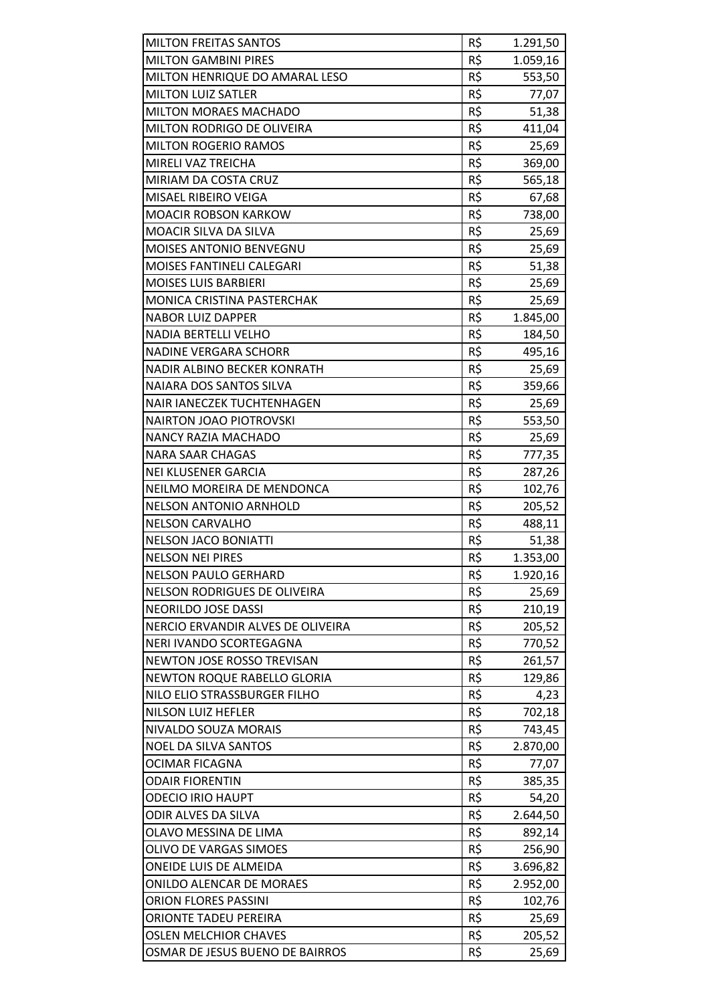| <b>MILTON FREITAS SANTOS</b>        | R\$ | 1.291,50 |
|-------------------------------------|-----|----------|
| <b>MILTON GAMBINI PIRES</b>         | R\$ | 1.059,16 |
| MILTON HENRIQUE DO AMARAL LESO      | R\$ | 553,50   |
| <b>MILTON LUIZ SATLER</b>           | R\$ | 77,07    |
| MILTON MORAES MACHADO               | R\$ | 51,38    |
| MILTON RODRIGO DE OLIVEIRA          | R\$ | 411,04   |
| <b>MILTON ROGERIO RAMOS</b>         | R\$ | 25,69    |
| MIRELI VAZ TREICHA                  | R\$ | 369,00   |
| MIRIAM DA COSTA CRUZ                | R\$ | 565,18   |
| MISAEL RIBEIRO VEIGA                | R\$ | 67,68    |
| <b>MOACIR ROBSON KARKOW</b>         | R\$ | 738,00   |
| MOACIR SILVA DA SILVA               | R\$ | 25,69    |
| <b>MOISES ANTONIO BENVEGNU</b>      | R\$ | 25,69    |
| MOISES FANTINELI CALEGARI           | R\$ | 51,38    |
| <b>MOISES LUIS BARBIERI</b>         | R\$ | 25,69    |
| MONICA CRISTINA PASTERCHAK          | R\$ | 25,69    |
| <b>NABOR LUIZ DAPPER</b>            | R\$ | 1.845,00 |
| <b>NADIA BERTELLI VELHO</b>         | R\$ | 184,50   |
| <b>NADINE VERGARA SCHORR</b>        | R\$ | 495,16   |
| NADIR ALBINO BECKER KONRATH         | R\$ | 25,69    |
| NAIARA DOS SANTOS SILVA             | R\$ | 359,66   |
| NAIR IANECZEK TUCHTENHAGEN          | R\$ | 25,69    |
| <b>NAIRTON JOAO PIOTROVSKI</b>      | R\$ | 553,50   |
| <b>NANCY RAZIA MACHADO</b>          | R\$ | 25,69    |
| <b>NARA SAAR CHAGAS</b>             | R\$ | 777,35   |
| <b>NEI KLUSENER GARCIA</b>          | R\$ | 287,26   |
| NEILMO MOREIRA DE MENDONCA          | R\$ | 102,76   |
| <b>NELSON ANTONIO ARNHOLD</b>       | R\$ | 205,52   |
| <b>NELSON CARVALHO</b>              | R\$ | 488,11   |
| <b>NELSON JACO BONIATTI</b>         | R\$ | 51,38    |
| <b>NELSON NEI PIRES</b>             | R\$ | 1.353,00 |
| <b>NELSON PAULO GERHARD</b>         | R\$ | 1.920,16 |
| <b>NELSON RODRIGUES DE OLIVEIRA</b> | R\$ | 25,69    |
| <b>NEORILDO JOSE DASSI</b>          | R\$ | 210,19   |
| NERCIO ERVANDIR ALVES DE OLIVEIRA   | R\$ | 205,52   |
| NERI IVANDO SCORTEGAGNA             | R\$ | 770,52   |
| NEWTON JOSE ROSSO TREVISAN          | R\$ | 261,57   |
| <b>NEWTON ROQUE RABELLO GLORIA</b>  | R\$ | 129,86   |
| NILO ELIO STRASSBURGER FILHO        | R\$ | 4,23     |
| <b>NILSON LUIZ HEFLER</b>           | R\$ | 702,18   |
| NIVALDO SOUZA MORAIS                | R\$ | 743,45   |
| <b>NOEL DA SILVA SANTOS</b>         | R\$ | 2.870,00 |
| OCIMAR FICAGNA                      | R\$ | 77,07    |
| <b>ODAIR FIORENTIN</b>              | R\$ | 385,35   |
| <b>ODECIO IRIO HAUPT</b>            | R\$ | 54,20    |
| ODIR ALVES DA SILVA                 | R\$ | 2.644,50 |
| OLAVO MESSINA DE LIMA               | R\$ | 892,14   |
| OLIVO DE VARGAS SIMOES              | R\$ | 256,90   |
| ONEIDE LUIS DE ALMEIDA              | R\$ | 3.696,82 |
| ONILDO ALENCAR DE MORAES            | R\$ | 2.952,00 |
| <b>ORION FLORES PASSINI</b>         | R\$ | 102,76   |
| ORIONTE TADEU PEREIRA               | R\$ | 25,69    |
| <b>OSLEN MELCHIOR CHAVES</b>        | R\$ | 205,52   |
| OSMAR DE JESUS BUENO DE BAIRROS     | R\$ | 25,69    |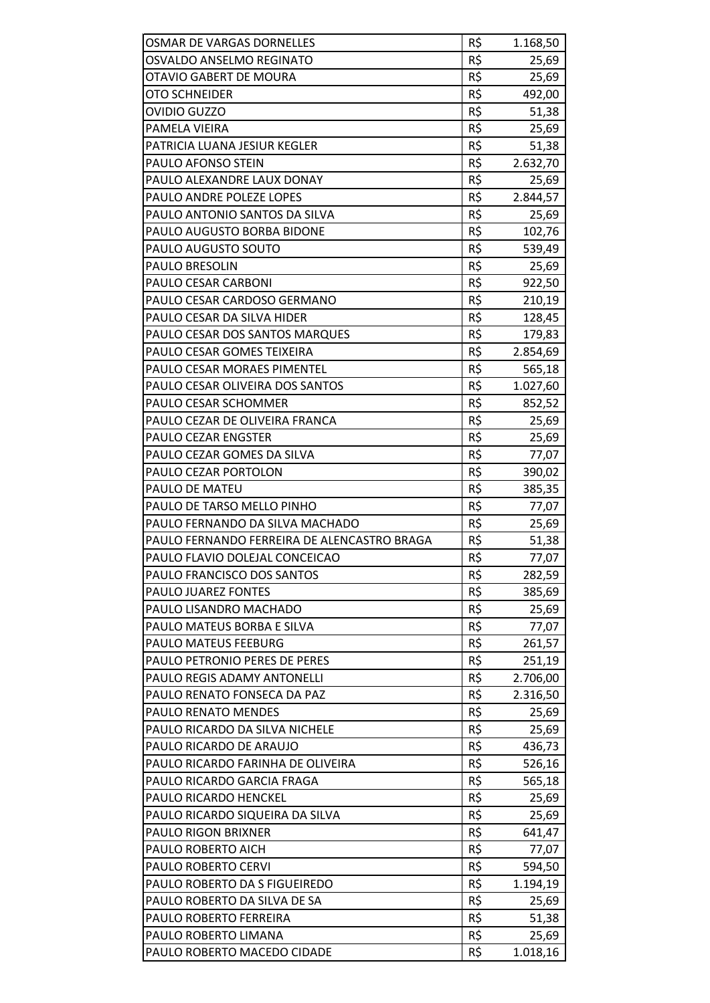| <b>OSMAR DE VARGAS DORNELLES</b>                    | R\$        | 1.168,50          |
|-----------------------------------------------------|------------|-------------------|
| OSVALDO ANSELMO REGINATO                            | R\$        | 25,69             |
| OTAVIO GABERT DE MOURA                              | R\$        | 25,69             |
| OTO SCHNEIDER                                       | R\$        | 492,00            |
| OVIDIO GUZZO                                        | R\$        | 51,38             |
| PAMELA VIEIRA                                       | R\$        | 25,69             |
| PATRICIA LUANA JESIUR KEGLER                        | R\$        | 51,38             |
| <b>PAULO AFONSO STEIN</b>                           | R\$        | 2.632,70          |
| PAULO ALEXANDRE LAUX DONAY                          | R\$        | 25,69             |
| PAULO ANDRE POLEZE LOPES                            | R\$        | 2.844,57          |
| PAULO ANTONIO SANTOS DA SILVA                       | R\$        | 25,69             |
| PAULO AUGUSTO BORBA BIDONE                          | R\$        | 102,76            |
| PAULO AUGUSTO SOUTO                                 | R\$        | 539,49            |
| PAULO BRESOLIN                                      | R\$        | 25,69             |
| PAULO CESAR CARBONI                                 | R\$        | 922,50            |
| PAULO CESAR CARDOSO GERMANO                         | R\$        | 210,19            |
| PAULO CESAR DA SILVA HIDER                          | R\$        | 128,45            |
| PAULO CESAR DOS SANTOS MARQUES                      | R\$        | 179,83            |
| PAULO CESAR GOMES TEIXEIRA                          | R\$        | 2.854,69          |
| PAULO CESAR MORAES PIMENTEL                         | R\$        | 565,18            |
| PAULO CESAR OLIVEIRA DOS SANTOS                     | R\$        | 1.027,60          |
| PAULO CESAR SCHOMMER                                | R\$        | 852,52            |
| PAULO CEZAR DE OLIVEIRA FRANCA                      | R\$        | 25,69             |
| <b>PAULO CEZAR ENGSTER</b>                          | R\$        | 25,69             |
| PAULO CEZAR GOMES DA SILVA                          | R\$        | 77,07             |
| PAULO CEZAR PORTOLON                                | R\$        | 390,02            |
| PAULO DE MATEU                                      | R\$        | 385,35            |
| PAULO DE TARSO MELLO PINHO                          | R\$        | 77,07             |
| PAULO FERNANDO DA SILVA MACHADO                     | R\$        | 25,69             |
| PAULO FERNANDO FERREIRA DE ALENCASTRO BRAGA         | R\$        | 51,38             |
| PAULO FLAVIO DOLEJAL CONCEICAO                      | R\$        | 77,07             |
| PAULO FRANCISCO DOS SANTOS                          | R\$        | 282,59            |
| PAULO JUAREZ FONTES                                 | R\$        | 385,69            |
| PAULO LISANDRO MACHADO                              | R\$        | 25,69             |
| PAULO MATEUS BORBA E SILVA                          | R\$        | 77,07             |
| PAULO MATEUS FEEBURG                                | R\$        | 261,57            |
| <b>PAULO PETRONIO PERES DE PERES</b>                | R\$        | 251,19            |
| PAULO REGIS ADAMY ANTONELLI                         | R\$        | 2.706,00          |
| PAULO RENATO FONSECA DA PAZ                         | R\$        | 2.316,50          |
| PAULO RENATO MENDES                                 | R\$        | 25,69             |
| PAULO RICARDO DA SILVA NICHELE                      | R\$        | 25,69             |
| PAULO RICARDO DE ARAUJO                             | R\$        | 436,73            |
| PAULO RICARDO FARINHA DE OLIVEIRA                   | R\$        | 526,16            |
| PAULO RICARDO GARCIA FRAGA                          | R\$        | 565,18            |
| PAULO RICARDO HENCKEL                               | R\$        | 25,69             |
| PAULO RICARDO SIQUEIRA DA SILVA                     | R\$        | 25,69             |
| <b>PAULO RIGON BRIXNER</b>                          | R\$        | 641,47            |
| PAULO ROBERTO AICH                                  | R\$        | 77,07             |
| PAULO ROBERTO CERVI                                 | R\$        | 594,50            |
| PAULO ROBERTO DA S FIGUEIREDO                       | R\$        | 1.194,19          |
| PAULO ROBERTO DA SILVA DE SA                        | R\$        | 25,69             |
| PAULO ROBERTO FERREIRA                              | R\$        | 51,38             |
| PAULO ROBERTO LIMANA<br>PAULO ROBERTO MACEDO CIDADE | R\$<br>R\$ | 25,69<br>1.018,16 |
|                                                     |            |                   |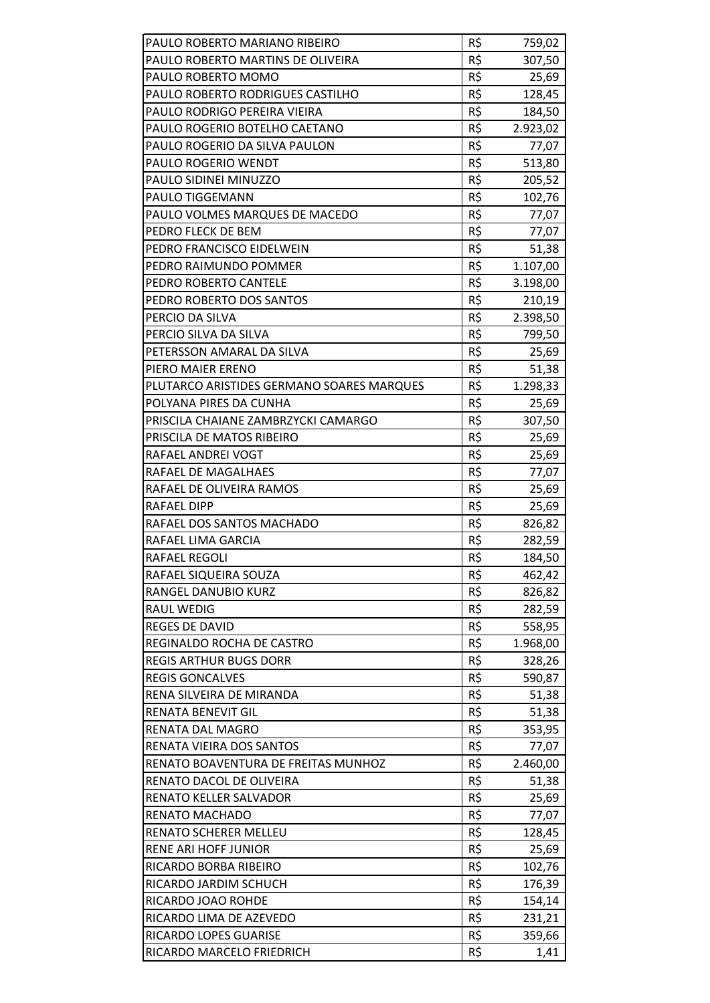| PAULO ROBERTO MARIANO RIBEIRO             | R\$             | 759,02   |
|-------------------------------------------|-----------------|----------|
| PAULO ROBERTO MARTINS DE OLIVEIRA         | R\$             | 307,50   |
| PAULO ROBERTO MOMO                        | R\$             | 25,69    |
| PAULO ROBERTO RODRIGUES CASTILHO          | R\$             | 128,45   |
| PAULO RODRIGO PEREIRA VIEIRA              | R\$             | 184,50   |
| PAULO ROGERIO BOTELHO CAETANO             | R\$             | 2.923,02 |
| PAULO ROGERIO DA SILVA PAULON             | R\$             | 77,07    |
| <b>PAULO ROGERIO WENDT</b>                | R\$             | 513,80   |
| PAULO SIDINEI MINUZZO                     | $R\overline{S}$ | 205,52   |
| <b>PAULO TIGGEMANN</b>                    | R\$             | 102,76   |
| PAULO VOLMES MARQUES DE MACEDO            | R\$             | 77,07    |
| PEDRO FLECK DE BEM                        | R\$             | 77,07    |
| PEDRO FRANCISCO EIDELWEIN                 | R\$             | 51,38    |
| PEDRO RAIMUNDO POMMER                     | R\$             | 1.107,00 |
| PEDRO ROBERTO CANTELE                     | R\$             | 3.198,00 |
| PEDRO ROBERTO DOS SANTOS                  | R\$             | 210,19   |
| PERCIO DA SILVA                           | R\$             | 2.398,50 |
| PERCIO SILVA DA SILVA                     | R\$             | 799,50   |
| PETERSSON AMARAL DA SILVA                 | R\$             | 25,69    |
| PIERO MAIER ERENO                         | R\$             | 51,38    |
| PLUTARCO ARISTIDES GERMANO SOARES MARQUES | R\$             | 1.298,33 |
| POLYANA PIRES DA CUNHA                    | R\$             | 25,69    |
| PRISCILA CHAIANE ZAMBRZYCKI CAMARGO       | R\$             | 307,50   |
| PRISCILA DE MATOS RIBEIRO                 | R\$             | 25,69    |
| RAFAEL ANDREI VOGT                        | R\$             | 25,69    |
| RAFAEL DE MAGALHAES                       | R\$             | 77,07    |
| RAFAEL DE OLIVEIRA RAMOS                  | R\$             | 25,69    |
| RAFAEL DIPP                               | R\$             | 25,69    |
| RAFAEL DOS SANTOS MACHADO                 | R\$             | 826,82   |
| RAFAEL LIMA GARCIA                        | R\$             | 282,59   |
| <b>RAFAEL REGOLI</b>                      | R\$             | 184,50   |
| RAFAEL SIQUEIRA SOUZA                     | R\$             | 462,42   |
| RANGEL DANUBIO KURZ                       | R\$             | 826,82   |
| <b>RAUL WEDIG</b>                         | R\$             | 282,59   |
| <b>REGES DE DAVID</b>                     | R\$             | 558,95   |
| REGINALDO ROCHA DE CASTRO                 | R\$             | 1.968,00 |
| <b>REGIS ARTHUR BUGS DORR</b>             | R\$             | 328,26   |
| <b>REGIS GONCALVES</b>                    | R\$             | 590,87   |
| RENA SILVEIRA DE MIRANDA                  | R\$             | 51,38    |
| <b>RENATA BENEVIT GIL</b>                 | R\$             | 51,38    |
| RENATA DAL MAGRO                          | R\$             | 353,95   |
| RENATA VIEIRA DOS SANTOS                  | R\$             | 77,07    |
| RENATO BOAVENTURA DE FREITAS MUNHOZ       | R\$             | 2.460,00 |
| RENATO DACOL DE OLIVEIRA                  | R\$             | 51,38    |
| RENATO KELLER SALVADOR                    | R\$             | 25,69    |
| RENATO MACHADO                            | R\$             | 77,07    |
| <b>RENATO SCHERER MELLEU</b>              | R\$             | 128,45   |
| <b>RENE ARI HOFF JUNIOR</b>               | R\$             | 25,69    |
| RICARDO BORBA RIBEIRO                     | R\$             | 102,76   |
| RICARDO JARDIM SCHUCH                     | R\$             | 176,39   |
| RICARDO JOAO ROHDE                        | R\$             | 154,14   |
| RICARDO LIMA DE AZEVEDO                   | R\$             | 231,21   |
| RICARDO LOPES GUARISE                     | R\$             | 359,66   |
| RICARDO MARCELO FRIEDRICH                 | R\$             | 1,41     |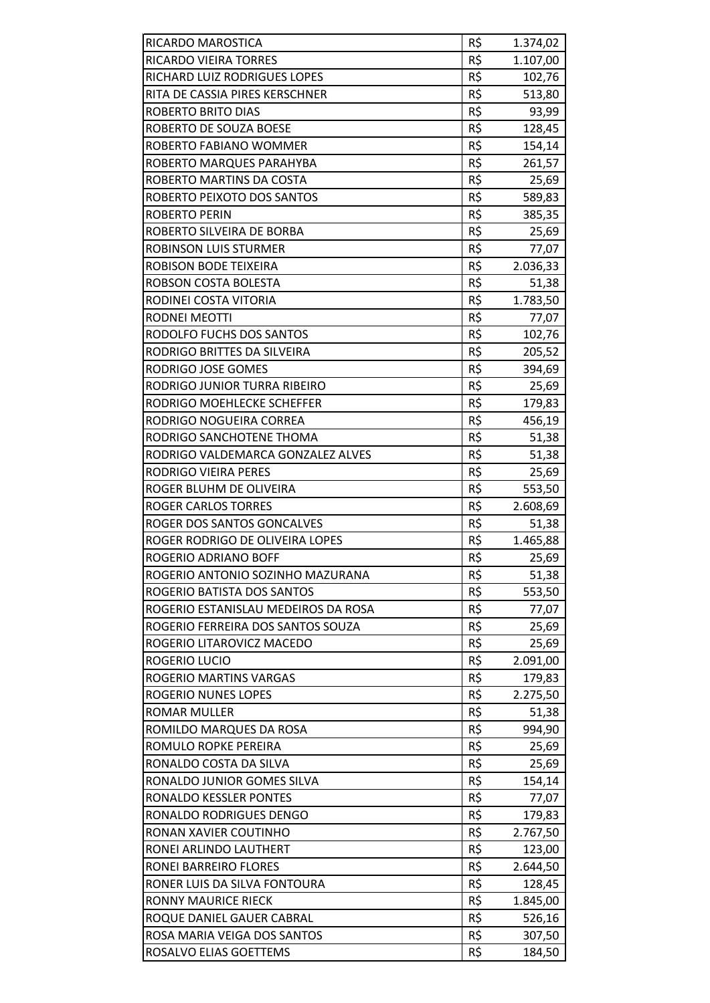| R\$<br><b>RICARDO VIEIRA TORRES</b><br>1.107,00<br>R\$<br>RICHARD LUIZ RODRIGUES LOPES<br>102,76<br>R\$<br>RITA DE CASSIA PIRES KERSCHNER<br>513,80<br>R\$<br><b>ROBERTO BRITO DIAS</b><br>93,99<br>R\$<br>ROBERTO DE SOUZA BOESE<br>128,45<br>R\$<br>154,14<br>ROBERTO FABIANO WOMMER<br>R\$<br>ROBERTO MARQUES PARAHYBA<br>261,57<br>R\$<br>ROBERTO MARTINS DA COSTA<br>25,69<br>R\$<br>ROBERTO PEIXOTO DOS SANTOS<br>589,83<br>R\$<br><b>ROBERTO PERIN</b><br>385,35<br>R\$<br>ROBERTO SILVEIRA DE BORBA<br>25,69<br>R\$<br>ROBINSON LUIS STURMER<br>77,07<br>R\$<br><b>ROBISON BODE TEIXEIRA</b><br>2.036,33<br>R\$<br>ROBSON COSTA BOLESTA<br>51,38<br>R\$<br>1.783,50<br>RODINEI COSTA VITORIA<br>R\$<br>RODNEI MEOTTI<br>77,07<br>R\$<br>RODOLFO FUCHS DOS SANTOS<br>102,76<br>R\$<br>RODRIGO BRITTES DA SILVEIRA<br>205,52<br>R\$<br>RODRIGO JOSE GOMES<br>394,69<br>R\$<br>RODRIGO JUNIOR TURRA RIBEIRO<br>25,69<br>R\$<br>RODRIGO MOEHLECKE SCHEFFER<br>179,83<br>R\$<br>RODRIGO NOGUEIRA CORREA<br>456,19<br>R\$<br>RODRIGO SANCHOTENE THOMA<br>51,38<br>R\$<br>RODRIGO VALDEMARCA GONZALEZ ALVES<br>51,38<br>R\$<br>RODRIGO VIEIRA PERES<br>25,69<br>R\$<br>ROGER BLUHM DE OLIVEIRA<br>553,50<br>R\$<br><b>ROGER CARLOS TORRES</b><br>2.608,69<br>R\$<br>ROGER DOS SANTOS GONCALVES<br>51,38<br>R\$<br>ROGER RODRIGO DE OLIVEIRA LOPES<br>1.465,88<br>R\$<br>ROGERIO ADRIANO BOFF<br>25,69<br>ROGERIO ANTONIO SOZINHO MAZURANA<br>R\$<br>51,38<br>R\$<br>ROGERIO BATISTA DOS SANTOS<br>553,50<br>R\$<br>ROGERIO ESTANISLAU MEDEIROS DA ROSA<br>77,07<br>R\$<br>ROGERIO FERREIRA DOS SANTOS SOUZA<br>25,69<br>R\$<br>ROGERIO LITAROVICZ MACEDO<br>25,69<br>R\$<br>ROGERIO LUCIO<br>2.091,00<br>ROGERIO MARTINS VARGAS<br>R\$<br>179,83<br>R\$<br>ROGERIO NUNES LOPES<br>2.275,50<br>R\$<br><b>ROMAR MULLER</b><br>51,38<br>R\$<br>ROMILDO MARQUES DA ROSA<br>994,90<br>R\$<br>ROMULO ROPKE PEREIRA<br>25,69<br>R\$<br>RONALDO COSTA DA SILVA<br>25,69<br>R\$<br>RONALDO JUNIOR GOMES SILVA<br>154,14<br>R\$<br>RONALDO KESSLER PONTES<br>77,07<br>R\$<br>RONALDO RODRIGUES DENGO<br>179,83<br>R\$<br>RONAN XAVIER COUTINHO<br>2.767,50<br>R\$<br>RONEI ARLINDO LAUTHERT<br>123,00<br>R\$<br>RONEI BARREIRO FLORES<br>2.644,50<br>R\$<br>RONER LUIS DA SILVA FONTOURA<br>128,45<br>R\$<br><b>RONNY MAURICE RIECK</b><br>1.845,00<br>R\$<br>ROQUE DANIEL GAUER CABRAL<br>526,16<br>R\$<br>ROSA MARIA VEIGA DOS SANTOS<br>307,50<br>R\$<br>ROSALVO ELIAS GOETTEMS<br>184,50 | RICARDO MAROSTICA | R\$ | 1.374,02 |
|-------------------------------------------------------------------------------------------------------------------------------------------------------------------------------------------------------------------------------------------------------------------------------------------------------------------------------------------------------------------------------------------------------------------------------------------------------------------------------------------------------------------------------------------------------------------------------------------------------------------------------------------------------------------------------------------------------------------------------------------------------------------------------------------------------------------------------------------------------------------------------------------------------------------------------------------------------------------------------------------------------------------------------------------------------------------------------------------------------------------------------------------------------------------------------------------------------------------------------------------------------------------------------------------------------------------------------------------------------------------------------------------------------------------------------------------------------------------------------------------------------------------------------------------------------------------------------------------------------------------------------------------------------------------------------------------------------------------------------------------------------------------------------------------------------------------------------------------------------------------------------------------------------------------------------------------------------------------------------------------------------------------------------------------------------------------------------------------------------------------------------------------------------------------------------------------------------------------------------------------------------------------------------------------------------------------------------------------------------------------------------------------------------------------------------------------------------------------------------------|-------------------|-----|----------|
|                                                                                                                                                                                                                                                                                                                                                                                                                                                                                                                                                                                                                                                                                                                                                                                                                                                                                                                                                                                                                                                                                                                                                                                                                                                                                                                                                                                                                                                                                                                                                                                                                                                                                                                                                                                                                                                                                                                                                                                                                                                                                                                                                                                                                                                                                                                                                                                                                                                                                     |                   |     |          |
|                                                                                                                                                                                                                                                                                                                                                                                                                                                                                                                                                                                                                                                                                                                                                                                                                                                                                                                                                                                                                                                                                                                                                                                                                                                                                                                                                                                                                                                                                                                                                                                                                                                                                                                                                                                                                                                                                                                                                                                                                                                                                                                                                                                                                                                                                                                                                                                                                                                                                     |                   |     |          |
|                                                                                                                                                                                                                                                                                                                                                                                                                                                                                                                                                                                                                                                                                                                                                                                                                                                                                                                                                                                                                                                                                                                                                                                                                                                                                                                                                                                                                                                                                                                                                                                                                                                                                                                                                                                                                                                                                                                                                                                                                                                                                                                                                                                                                                                                                                                                                                                                                                                                                     |                   |     |          |
|                                                                                                                                                                                                                                                                                                                                                                                                                                                                                                                                                                                                                                                                                                                                                                                                                                                                                                                                                                                                                                                                                                                                                                                                                                                                                                                                                                                                                                                                                                                                                                                                                                                                                                                                                                                                                                                                                                                                                                                                                                                                                                                                                                                                                                                                                                                                                                                                                                                                                     |                   |     |          |
|                                                                                                                                                                                                                                                                                                                                                                                                                                                                                                                                                                                                                                                                                                                                                                                                                                                                                                                                                                                                                                                                                                                                                                                                                                                                                                                                                                                                                                                                                                                                                                                                                                                                                                                                                                                                                                                                                                                                                                                                                                                                                                                                                                                                                                                                                                                                                                                                                                                                                     |                   |     |          |
|                                                                                                                                                                                                                                                                                                                                                                                                                                                                                                                                                                                                                                                                                                                                                                                                                                                                                                                                                                                                                                                                                                                                                                                                                                                                                                                                                                                                                                                                                                                                                                                                                                                                                                                                                                                                                                                                                                                                                                                                                                                                                                                                                                                                                                                                                                                                                                                                                                                                                     |                   |     |          |
|                                                                                                                                                                                                                                                                                                                                                                                                                                                                                                                                                                                                                                                                                                                                                                                                                                                                                                                                                                                                                                                                                                                                                                                                                                                                                                                                                                                                                                                                                                                                                                                                                                                                                                                                                                                                                                                                                                                                                                                                                                                                                                                                                                                                                                                                                                                                                                                                                                                                                     |                   |     |          |
|                                                                                                                                                                                                                                                                                                                                                                                                                                                                                                                                                                                                                                                                                                                                                                                                                                                                                                                                                                                                                                                                                                                                                                                                                                                                                                                                                                                                                                                                                                                                                                                                                                                                                                                                                                                                                                                                                                                                                                                                                                                                                                                                                                                                                                                                                                                                                                                                                                                                                     |                   |     |          |
|                                                                                                                                                                                                                                                                                                                                                                                                                                                                                                                                                                                                                                                                                                                                                                                                                                                                                                                                                                                                                                                                                                                                                                                                                                                                                                                                                                                                                                                                                                                                                                                                                                                                                                                                                                                                                                                                                                                                                                                                                                                                                                                                                                                                                                                                                                                                                                                                                                                                                     |                   |     |          |
|                                                                                                                                                                                                                                                                                                                                                                                                                                                                                                                                                                                                                                                                                                                                                                                                                                                                                                                                                                                                                                                                                                                                                                                                                                                                                                                                                                                                                                                                                                                                                                                                                                                                                                                                                                                                                                                                                                                                                                                                                                                                                                                                                                                                                                                                                                                                                                                                                                                                                     |                   |     |          |
|                                                                                                                                                                                                                                                                                                                                                                                                                                                                                                                                                                                                                                                                                                                                                                                                                                                                                                                                                                                                                                                                                                                                                                                                                                                                                                                                                                                                                                                                                                                                                                                                                                                                                                                                                                                                                                                                                                                                                                                                                                                                                                                                                                                                                                                                                                                                                                                                                                                                                     |                   |     |          |
|                                                                                                                                                                                                                                                                                                                                                                                                                                                                                                                                                                                                                                                                                                                                                                                                                                                                                                                                                                                                                                                                                                                                                                                                                                                                                                                                                                                                                                                                                                                                                                                                                                                                                                                                                                                                                                                                                                                                                                                                                                                                                                                                                                                                                                                                                                                                                                                                                                                                                     |                   |     |          |
|                                                                                                                                                                                                                                                                                                                                                                                                                                                                                                                                                                                                                                                                                                                                                                                                                                                                                                                                                                                                                                                                                                                                                                                                                                                                                                                                                                                                                                                                                                                                                                                                                                                                                                                                                                                                                                                                                                                                                                                                                                                                                                                                                                                                                                                                                                                                                                                                                                                                                     |                   |     |          |
|                                                                                                                                                                                                                                                                                                                                                                                                                                                                                                                                                                                                                                                                                                                                                                                                                                                                                                                                                                                                                                                                                                                                                                                                                                                                                                                                                                                                                                                                                                                                                                                                                                                                                                                                                                                                                                                                                                                                                                                                                                                                                                                                                                                                                                                                                                                                                                                                                                                                                     |                   |     |          |
|                                                                                                                                                                                                                                                                                                                                                                                                                                                                                                                                                                                                                                                                                                                                                                                                                                                                                                                                                                                                                                                                                                                                                                                                                                                                                                                                                                                                                                                                                                                                                                                                                                                                                                                                                                                                                                                                                                                                                                                                                                                                                                                                                                                                                                                                                                                                                                                                                                                                                     |                   |     |          |
|                                                                                                                                                                                                                                                                                                                                                                                                                                                                                                                                                                                                                                                                                                                                                                                                                                                                                                                                                                                                                                                                                                                                                                                                                                                                                                                                                                                                                                                                                                                                                                                                                                                                                                                                                                                                                                                                                                                                                                                                                                                                                                                                                                                                                                                                                                                                                                                                                                                                                     |                   |     |          |
|                                                                                                                                                                                                                                                                                                                                                                                                                                                                                                                                                                                                                                                                                                                                                                                                                                                                                                                                                                                                                                                                                                                                                                                                                                                                                                                                                                                                                                                                                                                                                                                                                                                                                                                                                                                                                                                                                                                                                                                                                                                                                                                                                                                                                                                                                                                                                                                                                                                                                     |                   |     |          |
|                                                                                                                                                                                                                                                                                                                                                                                                                                                                                                                                                                                                                                                                                                                                                                                                                                                                                                                                                                                                                                                                                                                                                                                                                                                                                                                                                                                                                                                                                                                                                                                                                                                                                                                                                                                                                                                                                                                                                                                                                                                                                                                                                                                                                                                                                                                                                                                                                                                                                     |                   |     |          |
|                                                                                                                                                                                                                                                                                                                                                                                                                                                                                                                                                                                                                                                                                                                                                                                                                                                                                                                                                                                                                                                                                                                                                                                                                                                                                                                                                                                                                                                                                                                                                                                                                                                                                                                                                                                                                                                                                                                                                                                                                                                                                                                                                                                                                                                                                                                                                                                                                                                                                     |                   |     |          |
|                                                                                                                                                                                                                                                                                                                                                                                                                                                                                                                                                                                                                                                                                                                                                                                                                                                                                                                                                                                                                                                                                                                                                                                                                                                                                                                                                                                                                                                                                                                                                                                                                                                                                                                                                                                                                                                                                                                                                                                                                                                                                                                                                                                                                                                                                                                                                                                                                                                                                     |                   |     |          |
|                                                                                                                                                                                                                                                                                                                                                                                                                                                                                                                                                                                                                                                                                                                                                                                                                                                                                                                                                                                                                                                                                                                                                                                                                                                                                                                                                                                                                                                                                                                                                                                                                                                                                                                                                                                                                                                                                                                                                                                                                                                                                                                                                                                                                                                                                                                                                                                                                                                                                     |                   |     |          |
|                                                                                                                                                                                                                                                                                                                                                                                                                                                                                                                                                                                                                                                                                                                                                                                                                                                                                                                                                                                                                                                                                                                                                                                                                                                                                                                                                                                                                                                                                                                                                                                                                                                                                                                                                                                                                                                                                                                                                                                                                                                                                                                                                                                                                                                                                                                                                                                                                                                                                     |                   |     |          |
|                                                                                                                                                                                                                                                                                                                                                                                                                                                                                                                                                                                                                                                                                                                                                                                                                                                                                                                                                                                                                                                                                                                                                                                                                                                                                                                                                                                                                                                                                                                                                                                                                                                                                                                                                                                                                                                                                                                                                                                                                                                                                                                                                                                                                                                                                                                                                                                                                                                                                     |                   |     |          |
|                                                                                                                                                                                                                                                                                                                                                                                                                                                                                                                                                                                                                                                                                                                                                                                                                                                                                                                                                                                                                                                                                                                                                                                                                                                                                                                                                                                                                                                                                                                                                                                                                                                                                                                                                                                                                                                                                                                                                                                                                                                                                                                                                                                                                                                                                                                                                                                                                                                                                     |                   |     |          |
|                                                                                                                                                                                                                                                                                                                                                                                                                                                                                                                                                                                                                                                                                                                                                                                                                                                                                                                                                                                                                                                                                                                                                                                                                                                                                                                                                                                                                                                                                                                                                                                                                                                                                                                                                                                                                                                                                                                                                                                                                                                                                                                                                                                                                                                                                                                                                                                                                                                                                     |                   |     |          |
|                                                                                                                                                                                                                                                                                                                                                                                                                                                                                                                                                                                                                                                                                                                                                                                                                                                                                                                                                                                                                                                                                                                                                                                                                                                                                                                                                                                                                                                                                                                                                                                                                                                                                                                                                                                                                                                                                                                                                                                                                                                                                                                                                                                                                                                                                                                                                                                                                                                                                     |                   |     |          |
|                                                                                                                                                                                                                                                                                                                                                                                                                                                                                                                                                                                                                                                                                                                                                                                                                                                                                                                                                                                                                                                                                                                                                                                                                                                                                                                                                                                                                                                                                                                                                                                                                                                                                                                                                                                                                                                                                                                                                                                                                                                                                                                                                                                                                                                                                                                                                                                                                                                                                     |                   |     |          |
|                                                                                                                                                                                                                                                                                                                                                                                                                                                                                                                                                                                                                                                                                                                                                                                                                                                                                                                                                                                                                                                                                                                                                                                                                                                                                                                                                                                                                                                                                                                                                                                                                                                                                                                                                                                                                                                                                                                                                                                                                                                                                                                                                                                                                                                                                                                                                                                                                                                                                     |                   |     |          |
|                                                                                                                                                                                                                                                                                                                                                                                                                                                                                                                                                                                                                                                                                                                                                                                                                                                                                                                                                                                                                                                                                                                                                                                                                                                                                                                                                                                                                                                                                                                                                                                                                                                                                                                                                                                                                                                                                                                                                                                                                                                                                                                                                                                                                                                                                                                                                                                                                                                                                     |                   |     |          |
|                                                                                                                                                                                                                                                                                                                                                                                                                                                                                                                                                                                                                                                                                                                                                                                                                                                                                                                                                                                                                                                                                                                                                                                                                                                                                                                                                                                                                                                                                                                                                                                                                                                                                                                                                                                                                                                                                                                                                                                                                                                                                                                                                                                                                                                                                                                                                                                                                                                                                     |                   |     |          |
|                                                                                                                                                                                                                                                                                                                                                                                                                                                                                                                                                                                                                                                                                                                                                                                                                                                                                                                                                                                                                                                                                                                                                                                                                                                                                                                                                                                                                                                                                                                                                                                                                                                                                                                                                                                                                                                                                                                                                                                                                                                                                                                                                                                                                                                                                                                                                                                                                                                                                     |                   |     |          |
|                                                                                                                                                                                                                                                                                                                                                                                                                                                                                                                                                                                                                                                                                                                                                                                                                                                                                                                                                                                                                                                                                                                                                                                                                                                                                                                                                                                                                                                                                                                                                                                                                                                                                                                                                                                                                                                                                                                                                                                                                                                                                                                                                                                                                                                                                                                                                                                                                                                                                     |                   |     |          |
|                                                                                                                                                                                                                                                                                                                                                                                                                                                                                                                                                                                                                                                                                                                                                                                                                                                                                                                                                                                                                                                                                                                                                                                                                                                                                                                                                                                                                                                                                                                                                                                                                                                                                                                                                                                                                                                                                                                                                                                                                                                                                                                                                                                                                                                                                                                                                                                                                                                                                     |                   |     |          |
|                                                                                                                                                                                                                                                                                                                                                                                                                                                                                                                                                                                                                                                                                                                                                                                                                                                                                                                                                                                                                                                                                                                                                                                                                                                                                                                                                                                                                                                                                                                                                                                                                                                                                                                                                                                                                                                                                                                                                                                                                                                                                                                                                                                                                                                                                                                                                                                                                                                                                     |                   |     |          |
|                                                                                                                                                                                                                                                                                                                                                                                                                                                                                                                                                                                                                                                                                                                                                                                                                                                                                                                                                                                                                                                                                                                                                                                                                                                                                                                                                                                                                                                                                                                                                                                                                                                                                                                                                                                                                                                                                                                                                                                                                                                                                                                                                                                                                                                                                                                                                                                                                                                                                     |                   |     |          |
|                                                                                                                                                                                                                                                                                                                                                                                                                                                                                                                                                                                                                                                                                                                                                                                                                                                                                                                                                                                                                                                                                                                                                                                                                                                                                                                                                                                                                                                                                                                                                                                                                                                                                                                                                                                                                                                                                                                                                                                                                                                                                                                                                                                                                                                                                                                                                                                                                                                                                     |                   |     |          |
|                                                                                                                                                                                                                                                                                                                                                                                                                                                                                                                                                                                                                                                                                                                                                                                                                                                                                                                                                                                                                                                                                                                                                                                                                                                                                                                                                                                                                                                                                                                                                                                                                                                                                                                                                                                                                                                                                                                                                                                                                                                                                                                                                                                                                                                                                                                                                                                                                                                                                     |                   |     |          |
|                                                                                                                                                                                                                                                                                                                                                                                                                                                                                                                                                                                                                                                                                                                                                                                                                                                                                                                                                                                                                                                                                                                                                                                                                                                                                                                                                                                                                                                                                                                                                                                                                                                                                                                                                                                                                                                                                                                                                                                                                                                                                                                                                                                                                                                                                                                                                                                                                                                                                     |                   |     |          |
|                                                                                                                                                                                                                                                                                                                                                                                                                                                                                                                                                                                                                                                                                                                                                                                                                                                                                                                                                                                                                                                                                                                                                                                                                                                                                                                                                                                                                                                                                                                                                                                                                                                                                                                                                                                                                                                                                                                                                                                                                                                                                                                                                                                                                                                                                                                                                                                                                                                                                     |                   |     |          |
|                                                                                                                                                                                                                                                                                                                                                                                                                                                                                                                                                                                                                                                                                                                                                                                                                                                                                                                                                                                                                                                                                                                                                                                                                                                                                                                                                                                                                                                                                                                                                                                                                                                                                                                                                                                                                                                                                                                                                                                                                                                                                                                                                                                                                                                                                                                                                                                                                                                                                     |                   |     |          |
|                                                                                                                                                                                                                                                                                                                                                                                                                                                                                                                                                                                                                                                                                                                                                                                                                                                                                                                                                                                                                                                                                                                                                                                                                                                                                                                                                                                                                                                                                                                                                                                                                                                                                                                                                                                                                                                                                                                                                                                                                                                                                                                                                                                                                                                                                                                                                                                                                                                                                     |                   |     |          |
|                                                                                                                                                                                                                                                                                                                                                                                                                                                                                                                                                                                                                                                                                                                                                                                                                                                                                                                                                                                                                                                                                                                                                                                                                                                                                                                                                                                                                                                                                                                                                                                                                                                                                                                                                                                                                                                                                                                                                                                                                                                                                                                                                                                                                                                                                                                                                                                                                                                                                     |                   |     |          |
|                                                                                                                                                                                                                                                                                                                                                                                                                                                                                                                                                                                                                                                                                                                                                                                                                                                                                                                                                                                                                                                                                                                                                                                                                                                                                                                                                                                                                                                                                                                                                                                                                                                                                                                                                                                                                                                                                                                                                                                                                                                                                                                                                                                                                                                                                                                                                                                                                                                                                     |                   |     |          |
|                                                                                                                                                                                                                                                                                                                                                                                                                                                                                                                                                                                                                                                                                                                                                                                                                                                                                                                                                                                                                                                                                                                                                                                                                                                                                                                                                                                                                                                                                                                                                                                                                                                                                                                                                                                                                                                                                                                                                                                                                                                                                                                                                                                                                                                                                                                                                                                                                                                                                     |                   |     |          |
|                                                                                                                                                                                                                                                                                                                                                                                                                                                                                                                                                                                                                                                                                                                                                                                                                                                                                                                                                                                                                                                                                                                                                                                                                                                                                                                                                                                                                                                                                                                                                                                                                                                                                                                                                                                                                                                                                                                                                                                                                                                                                                                                                                                                                                                                                                                                                                                                                                                                                     |                   |     |          |
|                                                                                                                                                                                                                                                                                                                                                                                                                                                                                                                                                                                                                                                                                                                                                                                                                                                                                                                                                                                                                                                                                                                                                                                                                                                                                                                                                                                                                                                                                                                                                                                                                                                                                                                                                                                                                                                                                                                                                                                                                                                                                                                                                                                                                                                                                                                                                                                                                                                                                     |                   |     |          |
|                                                                                                                                                                                                                                                                                                                                                                                                                                                                                                                                                                                                                                                                                                                                                                                                                                                                                                                                                                                                                                                                                                                                                                                                                                                                                                                                                                                                                                                                                                                                                                                                                                                                                                                                                                                                                                                                                                                                                                                                                                                                                                                                                                                                                                                                                                                                                                                                                                                                                     |                   |     |          |
|                                                                                                                                                                                                                                                                                                                                                                                                                                                                                                                                                                                                                                                                                                                                                                                                                                                                                                                                                                                                                                                                                                                                                                                                                                                                                                                                                                                                                                                                                                                                                                                                                                                                                                                                                                                                                                                                                                                                                                                                                                                                                                                                                                                                                                                                                                                                                                                                                                                                                     |                   |     |          |
|                                                                                                                                                                                                                                                                                                                                                                                                                                                                                                                                                                                                                                                                                                                                                                                                                                                                                                                                                                                                                                                                                                                                                                                                                                                                                                                                                                                                                                                                                                                                                                                                                                                                                                                                                                                                                                                                                                                                                                                                                                                                                                                                                                                                                                                                                                                                                                                                                                                                                     |                   |     |          |
|                                                                                                                                                                                                                                                                                                                                                                                                                                                                                                                                                                                                                                                                                                                                                                                                                                                                                                                                                                                                                                                                                                                                                                                                                                                                                                                                                                                                                                                                                                                                                                                                                                                                                                                                                                                                                                                                                                                                                                                                                                                                                                                                                                                                                                                                                                                                                                                                                                                                                     |                   |     |          |
|                                                                                                                                                                                                                                                                                                                                                                                                                                                                                                                                                                                                                                                                                                                                                                                                                                                                                                                                                                                                                                                                                                                                                                                                                                                                                                                                                                                                                                                                                                                                                                                                                                                                                                                                                                                                                                                                                                                                                                                                                                                                                                                                                                                                                                                                                                                                                                                                                                                                                     |                   |     |          |
|                                                                                                                                                                                                                                                                                                                                                                                                                                                                                                                                                                                                                                                                                                                                                                                                                                                                                                                                                                                                                                                                                                                                                                                                                                                                                                                                                                                                                                                                                                                                                                                                                                                                                                                                                                                                                                                                                                                                                                                                                                                                                                                                                                                                                                                                                                                                                                                                                                                                                     |                   |     |          |
|                                                                                                                                                                                                                                                                                                                                                                                                                                                                                                                                                                                                                                                                                                                                                                                                                                                                                                                                                                                                                                                                                                                                                                                                                                                                                                                                                                                                                                                                                                                                                                                                                                                                                                                                                                                                                                                                                                                                                                                                                                                                                                                                                                                                                                                                                                                                                                                                                                                                                     |                   |     |          |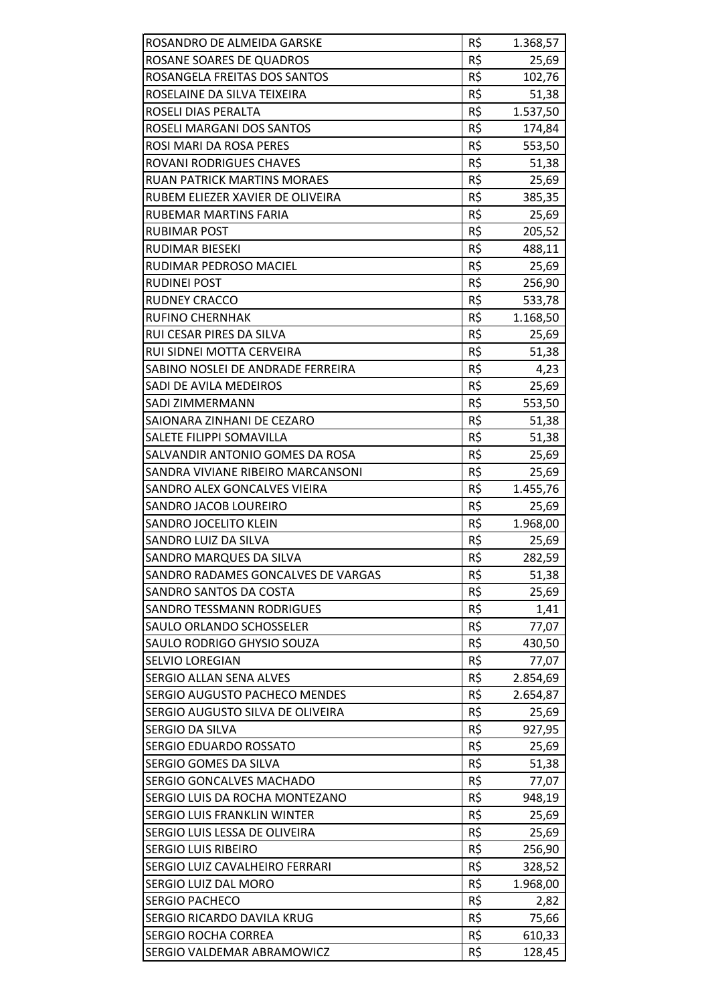| ROSANDRO DE ALMEIDA GARSKE         | R\$             | 1.368,57 |
|------------------------------------|-----------------|----------|
| ROSANE SOARES DE QUADROS           | R\$             | 25,69    |
| ROSANGELA FREITAS DOS SANTOS       | R\$             | 102,76   |
| ROSELAINE DA SILVA TEIXEIRA        | $R\overline{S}$ | 51,38    |
| ROSELI DIAS PERALTA                | R\$             | 1.537,50 |
| ROSELI MARGANI DOS SANTOS          | R\$             | 174,84   |
| ROSI MARI DA ROSA PERES            | R\$             | 553,50   |
| <b>ROVANI RODRIGUES CHAVES</b>     | R\$             | 51,38    |
| <b>RUAN PATRICK MARTINS MORAES</b> | $R\overline{S}$ | 25,69    |
| RUBEM ELIEZER XAVIER DE OLIVEIRA   | R\$             | 385,35   |
| RUBEMAR MARTINS FARIA              | R\$             | 25,69    |
| RUBIMAR POST                       | R\$             | 205,52   |
| RUDIMAR BIESEKI                    | R\$             | 488,11   |
| RUDIMAR PEDROSO MACIEL             | R\$             | 25,69    |
| <b>RUDINEI POST</b>                | R\$             | 256,90   |
| <b>RUDNEY CRACCO</b>               | R\$             | 533,78   |
| <b>RUFINO CHERNHAK</b>             | R\$             | 1.168,50 |
| RUI CESAR PIRES DA SILVA           | R\$             | 25,69    |
| RUI SIDNEI MOTTA CERVEIRA          | R\$             | 51,38    |
| SABINO NOSLEI DE ANDRADE FERREIRA  | R\$             | 4,23     |
| SADI DE AVILA MEDEIROS             | R\$             | 25,69    |
| SADI ZIMMERMANN                    | R\$             | 553,50   |
| SAIONARA ZINHANI DE CEZARO         | R\$             | 51,38    |
| SALETE FILIPPI SOMAVILLA           | R\$             | 51,38    |
| SALVANDIR ANTONIO GOMES DA ROSA    | R\$             | 25,69    |
| SANDRA VIVIANE RIBEIRO MARCANSONI  | R\$             | 25,69    |
| SANDRO ALEX GONCALVES VIEIRA       | R\$             | 1.455,76 |
| SANDRO JACOB LOUREIRO              | R\$             | 25,69    |
| SANDRO JOCELITO KLEIN              | R\$             | 1.968,00 |
| SANDRO LUIZ DA SILVA               | R\$             | 25,69    |
| SANDRO MARQUES DA SILVA            | R\$             | 282,59   |
| SANDRO RADAMES GONCALVES DE VARGAS | R\$             | 51,38    |
| SANDRO SANTOS DA COSTA             | R\$             | 25,69    |
| <b>SANDRO TESSMANN RODRIGUES</b>   | R\$             | 1,41     |
| SAULO ORLANDO SCHOSSELER           | R\$             | 77,07    |
| SAULO RODRIGO GHYSIO SOUZA         | R\$             | 430,50   |
| <b>SELVIO LOREGIAN</b>             | R\$             | 77,07    |
| SERGIO ALLAN SENA ALVES            | R\$             | 2.854,69 |
| SERGIO AUGUSTO PACHECO MENDES      | R\$             | 2.654,87 |
| SERGIO AUGUSTO SILVA DE OLIVEIRA   | R\$             | 25,69    |
| SERGIO DA SILVA                    | R\$             | 927,95   |
| SERGIO EDUARDO ROSSATO             | R\$             | 25,69    |
| SERGIO GOMES DA SILVA              | R\$             | 51,38    |
| SERGIO GONCALVES MACHADO           | R\$             | 77,07    |
| SERGIO LUIS DA ROCHA MONTEZANO     | R\$             | 948,19   |
| <b>SERGIO LUIS FRANKLIN WINTER</b> | R\$             | 25,69    |
| SERGIO LUIS LESSA DE OLIVEIRA      | R\$             | 25,69    |
| <b>SERGIO LUIS RIBEIRO</b>         | R\$             | 256,90   |
| SERGIO LUIZ CAVALHEIRO FERRARI     | R\$             | 328,52   |
| SERGIO LUIZ DAL MORO               | R\$             | 1.968,00 |
| <b>SERGIO PACHECO</b>              | R\$             | 2,82     |
| SERGIO RICARDO DAVILA KRUG         | R\$             | 75,66    |
| <b>SERGIO ROCHA CORREA</b>         | R\$<br>R\$      | 610,33   |
| SERGIO VALDEMAR ABRAMOWICZ         |                 | 128,45   |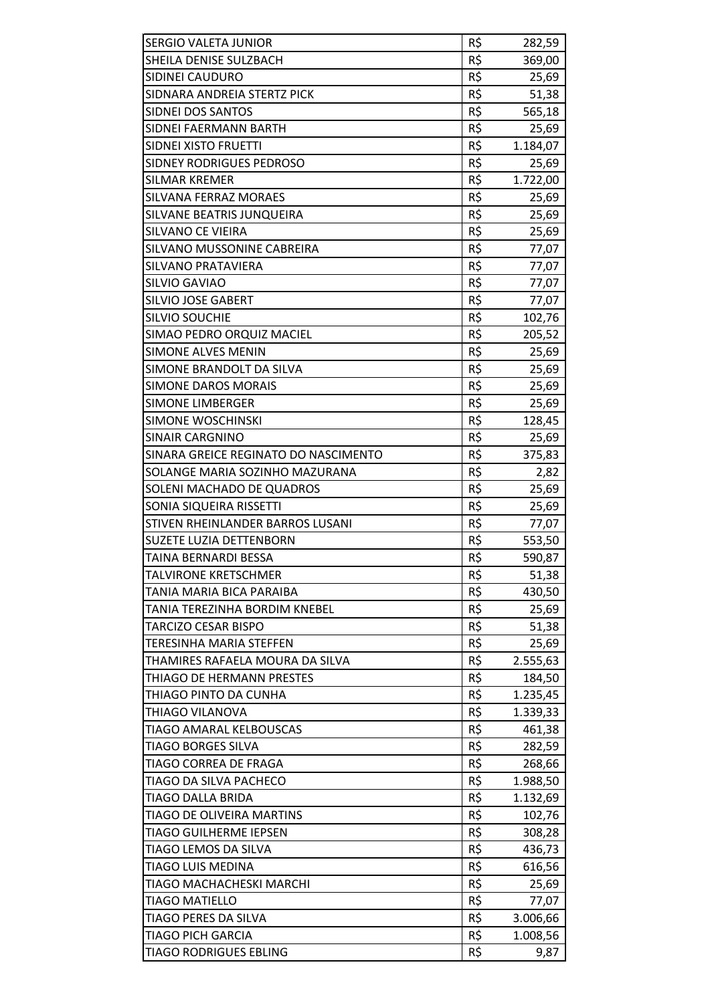| <b>SERGIO VALETA JUNIOR</b>          | R\$             | 282,59   |
|--------------------------------------|-----------------|----------|
| SHEILA DENISE SULZBACH               | R\$             | 369,00   |
| SIDINEI CAUDURO                      | R\$             | 25,69    |
| SIDNARA ANDREIA STERTZ PICK          | R\$             | 51,38    |
| SIDNEI DOS SANTOS                    | R\$             | 565,18   |
| SIDNEI FAERMANN BARTH                | R\$             | 25,69    |
| SIDNEI XISTO FRUETTI                 | R\$             | 1.184,07 |
| SIDNEY RODRIGUES PEDROSO             | R\$             | 25,69    |
| <b>SILMAR KREMER</b>                 | $R\overline{S}$ | 1.722,00 |
| SILVANA FERRAZ MORAES                | R\$             | 25,69    |
| SILVANE BEATRIS JUNQUEIRA            | R\$             | 25,69    |
| SILVANO CE VIEIRA                    | R\$             | 25,69    |
| SILVANO MUSSONINE CABREIRA           | R\$             | 77,07    |
| <b>SILVANO PRATAVIERA</b>            | $R\zeta$        | 77,07    |
| SILVIO GAVIAO                        | R\$             | 77,07    |
| <b>SILVIO JOSE GABERT</b>            | R\$             | 77,07    |
| <b>SILVIO SOUCHIE</b>                | R\$             | 102,76   |
| SIMAO PEDRO ORQUIZ MACIEL            | R\$             | 205,52   |
| <b>SIMONE ALVES MENIN</b>            | R\$             | 25,69    |
| SIMONE BRANDOLT DA SILVA             | R\$             | 25,69    |
| <b>SIMONE DAROS MORAIS</b>           | R\$             | 25,69    |
| <b>SIMONE LIMBERGER</b>              | R\$             | 25,69    |
| SIMONE WOSCHINSKI                    | R\$             | 128,45   |
| <b>SINAIR CARGNINO</b>               | R\$             | 25,69    |
| SINARA GREICE REGINATO DO NASCIMENTO | R\$             | 375,83   |
| SOLANGE MARIA SOZINHO MAZURANA       | R\$             | 2,82     |
| SOLENI MACHADO DE QUADROS            | R\$             | 25,69    |
| SONIA SIQUEIRA RISSETTI              | R\$             | 25,69    |
| STIVEN RHEINLANDER BARROS LUSANI     | R\$             | 77,07    |
| <b>SUZETE LUZIA DETTENBORN</b>       | R\$             | 553,50   |
| TAINA BERNARDI BESSA                 | R\$             | 590,87   |
| <b>TALVIRONE KRETSCHMER</b>          | R\$             | 51,38    |
| TANIA MARIA BICA PARAIBA             | R\$             | 430,50   |
| TANIA TEREZINHA BORDIM KNEBEL        | R\$             | 25,69    |
| <b>TARCIZO CESAR BISPO</b>           | R\$             | 51,38    |
| <b>TERESINHA MARIA STEFFEN</b>       | R\$             | 25,69    |
| THAMIRES RAFAELA MOURA DA SILVA      | R\$             | 2.555,63 |
| THIAGO DE HERMANN PRESTES            | R\$             | 184,50   |
| THIAGO PINTO DA CUNHA                | R\$             | 1.235,45 |
| <b>THIAGO VILANOVA</b>               | R\$             | 1.339,33 |
| TIAGO AMARAL KELBOUSCAS              | R\$             | 461,38   |
| <b>TIAGO BORGES SILVA</b>            | R\$             | 282,59   |
| <b>TIAGO CORREA DE FRAGA</b>         | R\$             | 268,66   |
| TIAGO DA SILVA PACHECO               | R\$             | 1.988,50 |
| TIAGO DALLA BRIDA                    | R\$             | 1.132,69 |
| TIAGO DE OLIVEIRA MARTINS            | R\$             | 102,76   |
| <b>TIAGO GUILHERME IEPSEN</b>        | R\$             | 308,28   |
| TIAGO LEMOS DA SILVA                 | R\$             | 436,73   |
| <b>TIAGO LUIS MEDINA</b>             | R\$             | 616,56   |
| TIAGO MACHACHESKI MARCHI             | R\$             | 25,69    |
| <b>TIAGO MATIELLO</b>                | R\$             | 77,07    |
| TIAGO PERES DA SILVA                 | R\$             | 3.006,66 |
| <b>TIAGO PICH GARCIA</b>             | R\$             | 1.008,56 |
| <b>TIAGO RODRIGUES EBLING</b>        | R\$             | 9,87     |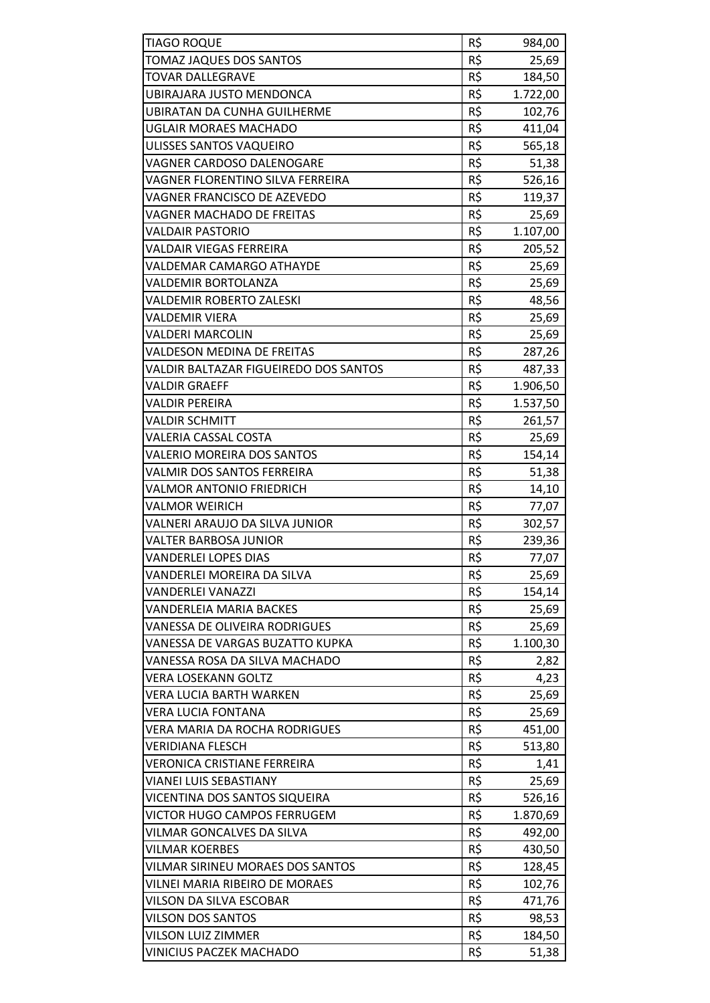| <b>TIAGO ROQUE</b>                    | R\$ | 984,00   |
|---------------------------------------|-----|----------|
| TOMAZ JAQUES DOS SANTOS               | R\$ | 25,69    |
| <b>TOVAR DALLEGRAVE</b>               | R\$ | 184,50   |
| UBIRAJARA JUSTO MENDONCA              | R\$ | 1.722,00 |
| UBIRATAN DA CUNHA GUILHERME           | R\$ | 102,76   |
| <b>UGLAIR MORAES MACHADO</b>          | R\$ | 411,04   |
| ULISSES SANTOS VAQUEIRO               | R\$ | 565,18   |
| <b>VAGNER CARDOSO DALENOGARE</b>      | R\$ | 51,38    |
| VAGNER FLORENTINO SILVA FERREIRA      | R\$ | 526,16   |
| VAGNER FRANCISCO DE AZEVEDO           | R\$ | 119,37   |
| VAGNER MACHADO DE FREITAS             | R\$ | 25,69    |
| VALDAIR PASTORIO                      | R\$ | 1.107,00 |
| VALDAIR VIEGAS FERREIRA               | R\$ | 205,52   |
| <b>VALDEMAR CAMARGO ATHAYDE</b>       | R\$ |          |
|                                       |     | 25,69    |
| VALDEMIR BORTOLANZA                   | R\$ | 25,69    |
| <b>VALDEMIR ROBERTO ZALESKI</b>       | R\$ | 48,56    |
| VALDEMIR VIERA                        | R\$ | 25,69    |
| VALDERI MARCOLIN                      | R\$ | 25,69    |
| <b>VALDESON MEDINA DE FREITAS</b>     | R\$ | 287,26   |
| VALDIR BALTAZAR FIGUEIREDO DOS SANTOS | R\$ | 487,33   |
| <b>VALDIR GRAEFF</b>                  | R\$ | 1.906,50 |
| VALDIR PEREIRA                        | R\$ | 1.537,50 |
| <b>VALDIR SCHMITT</b>                 | R\$ | 261,57   |
| <b>VALERIA CASSAL COSTA</b>           | R\$ | 25,69    |
| VALERIO MOREIRA DOS SANTOS            | R\$ | 154,14   |
| VALMIR DOS SANTOS FERREIRA            | R\$ | 51,38    |
| VALMOR ANTONIO FRIEDRICH              | R\$ | 14,10    |
| <b>VALMOR WEIRICH</b>                 | R\$ | 77,07    |
| VALNERI ARAUJO DA SILVA JUNIOR        | R\$ | 302,57   |
| VALTER BARBOSA JUNIOR                 | R\$ | 239,36   |
| VANDERLEI LOPES DIAS                  | R\$ | 77,07    |
| VANDERLEI MOREIRA DA SILVA            | R\$ | 25,69    |
| VANDERLEI VANAZZI                     | R\$ | 154,14   |
| <b>VANDERLEIA MARIA BACKES</b>        | R\$ | 25,69    |
| <b>VANESSA DE OLIVEIRA RODRIGUES</b>  | R\$ | 25,69    |
| VANESSA DE VARGAS BUZATTO KUPKA       | R\$ | 1.100,30 |
| VANESSA ROSA DA SILVA MACHADO         | R\$ | 2,82     |
| <b>VERA LOSEKANN GOLTZ</b>            | R\$ | 4,23     |
| <b>VERA LUCIA BARTH WARKEN</b>        | R\$ | 25,69    |
| <b>VERA LUCIA FONTANA</b>             | R\$ | 25,69    |
| VERA MARIA DA ROCHA RODRIGUES         | R\$ | 451,00   |
| VERIDIANA FLESCH                      | R\$ | 513,80   |
| <b>VERONICA CRISTIANE FERREIRA</b>    | R\$ | 1,41     |
| <b>VIANEI LUIS SEBASTIANY</b>         | R\$ | 25,69    |
| VICENTINA DOS SANTOS SIQUEIRA         | R\$ | 526,16   |
| VICTOR HUGO CAMPOS FERRUGEM           | R\$ | 1.870,69 |
| VILMAR GONCALVES DA SILVA             | R\$ | 492,00   |
| <b>VILMAR KOERBES</b>                 | R\$ | 430,50   |
| VILMAR SIRINEU MORAES DOS SANTOS      | R\$ | 128,45   |
| VILNEI MARIA RIBEIRO DE MORAES        | R\$ | 102,76   |
| VILSON DA SILVA ESCOBAR               | R\$ | 471,76   |
| <b>VILSON DOS SANTOS</b>              | R\$ | 98,53    |
| VILSON LUIZ ZIMMER                    | R\$ | 184,50   |
| VINICIUS PACZEK MACHADO               | R\$ | 51,38    |
|                                       |     |          |